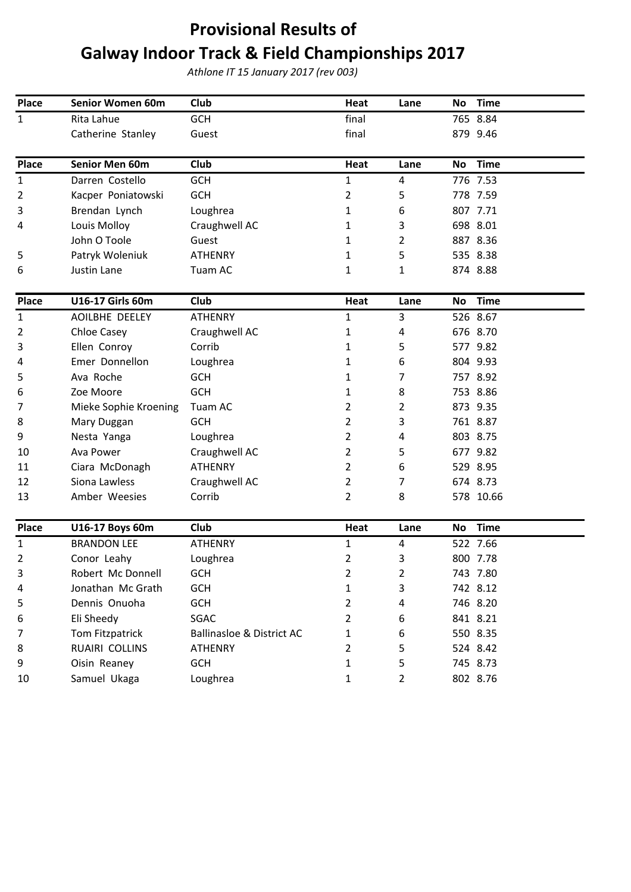## **Provisional Results of Galway Indoor Track & Field Championships 2017**

*Athlone IT 15 January 2017 (rev 003)*

| Place        | Senior Women 60m      | Club                      | Heat           | Lane           | <b>Time</b><br>No        |
|--------------|-----------------------|---------------------------|----------------|----------------|--------------------------|
| $\mathbf{1}$ | Rita Lahue            | <b>GCH</b>                | final          |                | 765 8.84                 |
|              | Catherine Stanley     | Guest                     | final          |                | 879 9.46                 |
|              |                       |                           |                |                |                          |
| <b>Place</b> | Senior Men 60m        | Club                      | Heat           | Lane           | <b>Time</b><br>No        |
| $\mathbf{1}$ | Darren Costello       | <b>GCH</b>                | $\mathbf{1}$   | 4              | 776 7.53                 |
| 2            | Kacper Poniatowski    | <b>GCH</b>                | $\overline{2}$ | 5              | 778 7.59                 |
| 3            | Brendan Lynch         | Loughrea                  | $\mathbf{1}$   | 6              | 807 7.71                 |
| 4            | Louis Molloy          | Craughwell AC             | 1              | 3              | 698 8.01                 |
|              | John O Toole          | Guest                     | 1              | 2              | 887 8.36                 |
| 5            | Patryk Woleniuk       | <b>ATHENRY</b>            | $\mathbf{1}$   | 5              | 535 8.38                 |
| 6            | Justin Lane           | Tuam AC                   | 1              | 1              | 874 8.88                 |
| Place        | U16-17 Girls 60m      | Club                      | Heat           | Lane           | <b>Time</b><br>No        |
| 1            | AOILBHE DEELEY        | <b>ATHENRY</b>            | $\mathbf{1}$   | 3              | 526 8.67                 |
| 2            | Chloe Casey           | Craughwell AC             | 1              | 4              | 676 8.70                 |
| 3            | Ellen Conroy          | Corrib                    | 1              | 5              | 577 9.82                 |
| 4            | Emer Donnellon        | Loughrea                  | $\mathbf{1}$   | 6              | 804 9.93                 |
| 5            | Ava Roche             | <b>GCH</b>                | 1              | 7              | 757 8.92                 |
| 6            | Zoe Moore             | <b>GCH</b>                | 1              | 8              | 753 8.86                 |
| 7            | Mieke Sophie Kroening | Tuam AC                   | $\overline{2}$ | 2              | 873 9.35                 |
| 8            | Mary Duggan           | <b>GCH</b>                | $\overline{2}$ | 3              | 761 8.87                 |
| 9            | Nesta Yanga           | Loughrea                  | $\overline{2}$ | 4              | 803 8.75                 |
| 10           | Ava Power             | Craughwell AC             | $\overline{2}$ | 5              | 677 9.82                 |
| 11           | Ciara McDonagh        | <b>ATHENRY</b>            | $\overline{2}$ | 6              | 529 8.95                 |
| 12           | Siona Lawless         | Craughwell AC             | $\overline{2}$ | 7              | 674 8.73                 |
| 13           | Amber Weesies         | Corrib                    | 2              | 8              | 578 10.66                |
|              |                       |                           |                |                |                          |
| <b>Place</b> | U16-17 Boys 60m       | Club                      | Heat           | Lane           | <b>Time</b><br><b>No</b> |
| $\mathbf{1}$ | <b>BRANDON LEE</b>    | <b>ATHENRY</b>            | $\mathbf 1$    | $\overline{4}$ | 522 7.66                 |
| 2            | Conor Leahy           | Loughrea                  | $\overline{2}$ | 3              | 800 7.78                 |
| 3            | Robert Mc Donnell     | GCH                       | $\overline{2}$ | $\overline{c}$ | 743 7.80                 |
| 4            | Jonathan Mc Grath     | <b>GCH</b>                | $\mathbf{1}$   | 3              | 742 8.12                 |
| 5            | Dennis Onuoha         | <b>GCH</b>                | $\overline{2}$ | 4              | 746 8.20                 |
| 6            | Eli Sheedy            | SGAC                      | $\overline{2}$ | 6              | 841 8.21                 |
| 7            | Tom Fitzpatrick       | Ballinasloe & District AC | 1              | 6              | 550 8.35                 |
| 8            | RUAIRI COLLINS        | <b>ATHENRY</b>            | $\overline{2}$ | 5              | 524 8.42                 |
| 9            | Oisin Reaney          | <b>GCH</b>                | $\mathbf{1}$   | 5              | 745 8.73                 |
| 10           | Samuel Ukaga          | Loughrea                  | 1              | $\overline{2}$ | 802 8.76                 |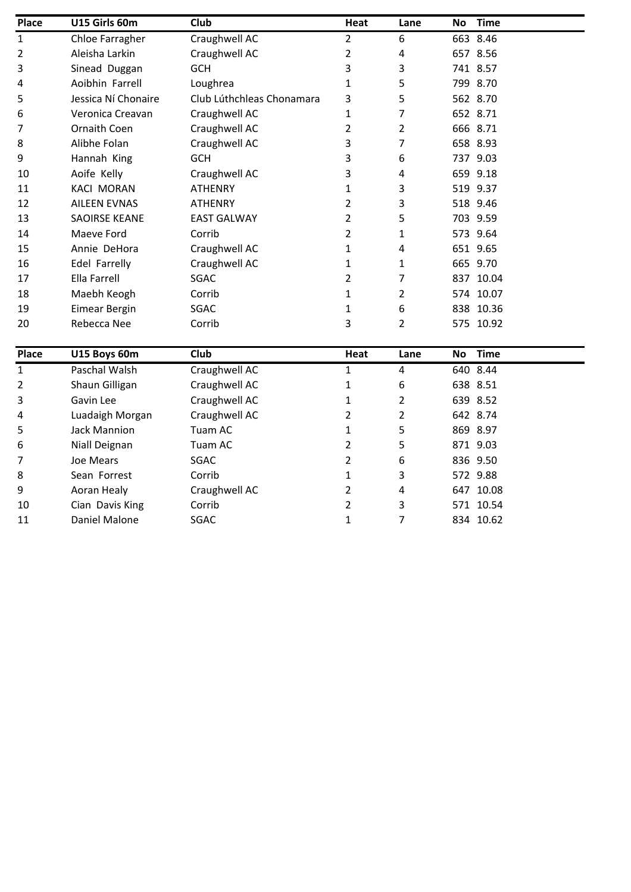| Place | U15 Girls 60m        | Club                      | Heat           | Lane           | <b>Time</b><br><b>No</b> |  |
|-------|----------------------|---------------------------|----------------|----------------|--------------------------|--|
| 1     | Chloe Farragher      | Craughwell AC             | 2              | 6              | 663 8.46                 |  |
| 2     | Aleisha Larkin       | Craughwell AC             | 2              | 4              | 657 8.56                 |  |
| 3     | Sinead Duggan        | <b>GCH</b>                | 3              | 3              | 741 8.57                 |  |
| 4     | Aoibhin Farrell      | Loughrea                  | 1              | 5              | 799 8.70                 |  |
| 5     | Jessica Ní Chonaire  | Club Lúthchleas Chonamara | 3              | 5              | 562 8.70                 |  |
| 6     | Veronica Creavan     | Craughwell AC             | 1              | 7              | 652 8.71                 |  |
| 7     | Ornaith Coen         | Craughwell AC             | 2              | $\overline{2}$ | 666 8.71                 |  |
| 8     | Alibhe Folan         | Craughwell AC             | 3              | 7              | 658 8.93                 |  |
| 9     | Hannah King          | <b>GCH</b>                | 3              | 6              | 737 9.03                 |  |
| 10    | Aoife Kelly          | Craughwell AC             | 3              | 4              | 659 9.18                 |  |
| 11    | <b>KACI MORAN</b>    | <b>ATHENRY</b>            | 1              | 3              | 519 9.37                 |  |
| 12    | <b>AILEEN EVNAS</b>  | <b>ATHENRY</b>            | 2              | 3              | 518 9.46                 |  |
| 13    | <b>SAOIRSE KEANE</b> | <b>EAST GALWAY</b>        | 2              | 5              | 703 9.59                 |  |
| 14    | Maeve Ford           | Corrib                    | 2              | 1              | 573 9.64                 |  |
| 15    | Annie DeHora         | Craughwell AC             | 1              | 4              | 651 9.65                 |  |
| 16    | Edel Farrelly        | Craughwell AC             | 1              | 1              | 665 9.70                 |  |
| 17    | Ella Farrell         | SGAC                      | 2              | 7              | 837 10.04                |  |
| 18    | Maebh Keogh          | Corrib                    | 1              | 2              | 574 10.07                |  |
| 19    | <b>Eimear Bergin</b> | SGAC                      | 1              | 6              | 838 10.36                |  |
| 20    | Rebecca Nee          | Corrib                    | 3              | 2              | 575 10.92                |  |
|       |                      |                           |                |                |                          |  |
| Place | U15 Boys 60m         | Club                      | Heat           | Lane           | <b>Time</b><br>No        |  |
| 1     | Paschal Walsh        | Craughwell AC             | 1              | 4              | 640 8.44                 |  |
| 2     | Shaun Gilligan       | Craughwell AC             | 1              | 6              | 638 8.51                 |  |
| 3     | Gavin Lee            | Craughwell AC             | 1              | 2              | 639 8.52                 |  |
| 4     | Luadaigh Morgan      | Craughwell AC             | $\overline{2}$ | 2              | 642 8.74                 |  |

|    | Gavin Lee       | Craughwell AC |   | 639 8.52  |  |
|----|-----------------|---------------|---|-----------|--|
| 4  | Luadaigh Morgan | Craughwell AC |   | 642 8.74  |  |
| 5  | Jack Mannion    | Tuam AC       |   | 869 8.97  |  |
| 6  | Niall Deignan   | Tuam AC       |   | 871 9.03  |  |
|    | Joe Mears       | SGAC          | 6 | 836 9.50  |  |
| 8  | Sean Forrest    | Corrib        |   | 572 9.88  |  |
| 9  | Aoran Healy     | Craughwell AC | 4 | 647 10.08 |  |
| 10 | Cian Davis King | Corrib        | 3 | 571 10.54 |  |
| 11 | Daniel Malone   | SGAC          |   | 834 10.62 |  |
|    |                 |               |   |           |  |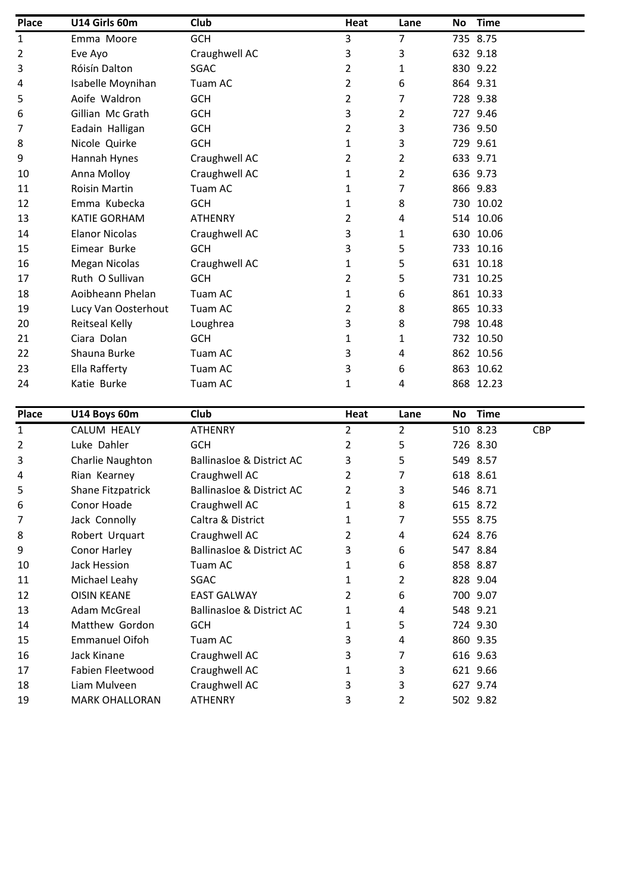| <b>Place</b>   | U14 Girls 60m         | Club                                 | Heat           | Lane           | No | <b>Time</b> |            |
|----------------|-----------------------|--------------------------------------|----------------|----------------|----|-------------|------------|
| 1              | Emma Moore            | <b>GCH</b>                           | 3              | $\overline{7}$ |    | 735 8.75    |            |
| 2              | Eve Ayo               | Craughwell AC                        | 3              | 3              |    | 632 9.18    |            |
| 3              | Róisín Dalton         | SGAC                                 | 2              | 1              |    | 830 9.22    |            |
| 4              | Isabelle Moynihan     | Tuam AC                              | 2              | 6              |    | 864 9.31    |            |
| 5              | Aoife Waldron         | <b>GCH</b>                           | 2              | 7              |    | 728 9.38    |            |
| 6              | Gillian Mc Grath      | <b>GCH</b>                           | 3              | 2              |    | 727 9.46    |            |
| 7              | Eadain Halligan       | <b>GCH</b>                           | $\overline{2}$ | 3              |    | 736 9.50    |            |
| 8              | Nicole Quirke         | <b>GCH</b>                           | 1              | 3              |    | 729 9.61    |            |
| 9              | Hannah Hynes          | Craughwell AC                        | 2              | 2              |    | 633 9.71    |            |
| 10             | Anna Molloy           | Craughwell AC                        | 1              | 2              |    | 636 9.73    |            |
| 11             | <b>Roisin Martin</b>  | Tuam AC                              | 1              | 7              |    | 866 9.83    |            |
| 12             | Emma Kubecka          | <b>GCH</b>                           | 1              | 8              |    | 730 10.02   |            |
| 13             | <b>KATIE GORHAM</b>   | <b>ATHENRY</b>                       | 2              | 4              |    | 514 10.06   |            |
| 14             | <b>Elanor Nicolas</b> | Craughwell AC                        | 3              | 1              |    | 630 10.06   |            |
| 15             | Eimear Burke          | <b>GCH</b>                           | 3              | 5              |    | 733 10.16   |            |
| 16             | <b>Megan Nicolas</b>  | Craughwell AC                        | 1              | 5              |    | 631 10.18   |            |
| 17             | Ruth O Sullivan       | <b>GCH</b>                           | 2              | 5              |    | 731 10.25   |            |
| 18             | Aoibheann Phelan      | Tuam AC                              | 1              | 6              |    | 861 10.33   |            |
| 19             | Lucy Van Oosterhout   | Tuam AC                              | 2              | 8              |    | 865 10.33   |            |
| 20             | Reitseal Kelly        | Loughrea                             | 3              | 8              |    | 798 10.48   |            |
| 21             | Ciara Dolan           | <b>GCH</b>                           | 1              | 1              |    | 732 10.50   |            |
| 22             | Shauna Burke          | Tuam AC                              | 3              | 4              |    | 862 10.56   |            |
| 23             | Ella Rafferty         | Tuam AC                              | 3              | 6              |    | 863 10.62   |            |
| 24             | Katie Burke           | Tuam AC                              | 1              | 4              |    | 868 12.23   |            |
| <b>Place</b>   | U14 Boys 60m          | Club                                 | <b>Heat</b>    | Lane           | No | <b>Time</b> |            |
| $\mathbf{1}$   | CALUM HEALY           | <b>ATHENRY</b>                       | $\overline{2}$ | $\overline{2}$ |    | 510 8.23    | <b>CBP</b> |
| $\overline{2}$ | Luke Dahler           | <b>GCH</b>                           | $\overline{2}$ | 5              |    | 726 8.30    |            |
| 3              | Charlie Naughton      | <b>Ballinasloe &amp; District AC</b> | 3              | 5              |    | 549 8.57    |            |
| 4              | Rian Kearney          | Craughwell AC                        | 2              | 7              |    | 618 8.61    |            |
| 5              | Shane Fitzpatrick     | <b>Ballinasloe &amp; District AC</b> | $\overline{2}$ | 3              |    | 546 8.71    |            |
| 6              | Conor Hoade           | Craughwell AC                        | 1              | 8              |    | 615 8.72    |            |
| 7              | Jack Connolly         | Caltra & District                    | $\mathbf{1}$   | $\overline{7}$ |    | 555 8.75    |            |
| 8              | Robert Urquart        | Craughwell AC                        | $\overline{2}$ | 4              |    | 624 8.76    |            |
| 9              | Conor Harley          | <b>Ballinasloe &amp; District AC</b> | 3              | 6              |    | 547 8.84    |            |
| 10             | Jack Hession          | Tuam AC                              | 1              | 6              |    | 858 8.87    |            |
| 11             | Michael Leahy         | SGAC                                 | $\mathbf{1}$   | $\overline{2}$ |    | 828 9.04    |            |

12 OISIN KEANE EAST GALWAY 12 6 700 9.07 13 Adam McGreal Ballinasloe & District AC 1 4 548 9.21 14 Matthew Gordon GCH 1 5 724 9.30 15 Emmanuel Oifoh Tuam AC 3 4 860 9.35 16 Jack Kinane Craughwell AC 3 7 616 9.63 17 Fabien Fleetwood Craughwell AC 1 3 621 9.66 18 Liam Mulveen Craughwell AC 3 3 627 9.74 19 MARK OHALLORAN ATHENRY 3 2 502 9.82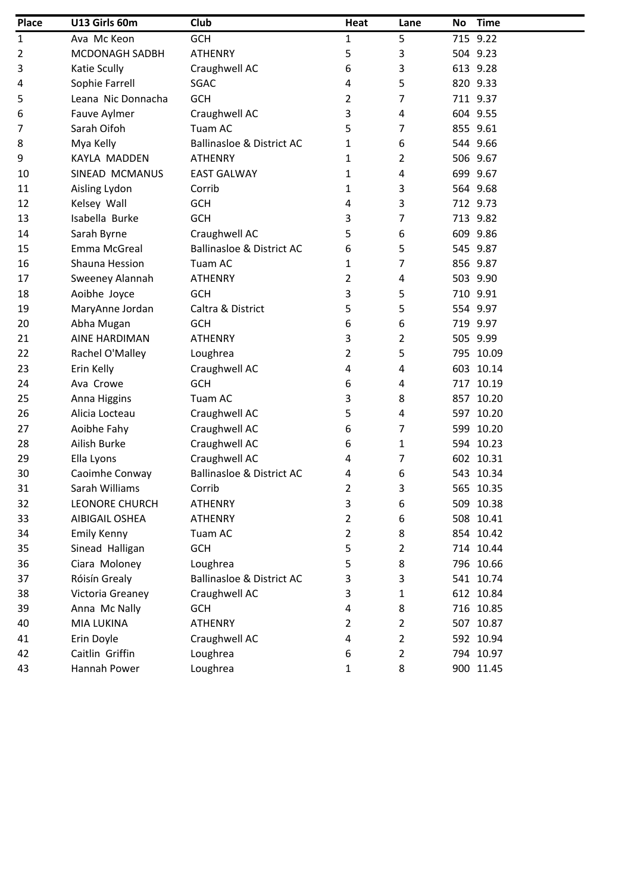| <b>Place</b>   | U13 Girls 60m         | Club                                 | Heat           | Lane | No. | <b>Time</b> |
|----------------|-----------------------|--------------------------------------|----------------|------|-----|-------------|
| 1              | Ava Mc Keon           | <b>GCH</b>                           | 1              | 5    |     | 715 9.22    |
| $\overline{2}$ | MCDONAGH SADBH        | <b>ATHENRY</b>                       | 5              | 3    |     | 504 9.23    |
| 3              | Katie Scully          | Craughwell AC                        | 6              | 3    |     | 613 9.28    |
| 4              | Sophie Farrell        | SGAC                                 | 4              | 5    |     | 820 9.33    |
| 5              | Leana Nic Donnacha    | <b>GCH</b>                           | 2              | 7    |     | 711 9.37    |
| 6              | Fauve Aylmer          | Craughwell AC                        | 3              | 4    |     | 604 9.55    |
| 7              | Sarah Oifoh           | Tuam AC                              | 5              | 7    |     | 855 9.61    |
| 8              | Mya Kelly             | <b>Ballinasloe &amp; District AC</b> | 1              | 6    |     | 544 9.66    |
| 9              | KAYLA MADDEN          | <b>ATHENRY</b>                       | 1              | 2    |     | 506 9.67    |
| 10             | SINEAD MCMANUS        | <b>EAST GALWAY</b>                   | 1              | 4    |     | 699 9.67    |
| 11             | Aisling Lydon         | Corrib                               | 1              | 3    |     | 564 9.68    |
| 12             | Kelsey Wall           | <b>GCH</b>                           | 4              | 3    |     | 712 9.73    |
| 13             | Isabella Burke        | <b>GCH</b>                           | 3              | 7    |     | 713 9.82    |
| 14             | Sarah Byrne           | Craughwell AC                        | 5              | 6    |     | 609 9.86    |
| 15             | Emma McGreal          | <b>Ballinasloe &amp; District AC</b> | 6              | 5    |     | 545 9.87    |
| 16             | Shauna Hession        | Tuam AC                              | 1              | 7    |     | 856 9.87    |
| 17             | Sweeney Alannah       | <b>ATHENRY</b>                       | 2              | 4    |     | 503 9.90    |
| 18             | Aoibhe Joyce          | <b>GCH</b>                           | 3              | 5    |     | 710 9.91    |
| 19             | MaryAnne Jordan       | Caltra & District                    | 5              | 5    |     | 554 9.97    |
| 20             | Abha Mugan            | <b>GCH</b>                           | 6              | 6    |     | 719 9.97    |
| 21             | AINE HARDIMAN         | <b>ATHENRY</b>                       | 3              | 2    |     | 505 9.99    |
| 22             | Rachel O'Malley       | Loughrea                             | $\overline{2}$ | 5    |     | 795 10.09   |
| 23             | Erin Kelly            | Craughwell AC                        | 4              | 4    |     | 603 10.14   |
| 24             | Ava Crowe             | <b>GCH</b>                           | 6              | 4    |     | 717 10.19   |
| 25             | Anna Higgins          | Tuam AC                              | 3              | 8    |     | 857 10.20   |
| 26             | Alicia Locteau        | Craughwell AC                        | 5              | 4    |     | 597 10.20   |
| 27             | Aoibhe Fahy           | Craughwell AC                        | 6              | 7    |     | 599 10.20   |
| 28             | Ailish Burke          | Craughwell AC                        | 6              | 1    |     | 594 10.23   |
| 29             | Ella Lyons            | Craughwell AC                        | 4              | 7    |     | 602 10.31   |
| 30             | Caoimhe Conway        | <b>Ballinasloe &amp; District AC</b> | 4              | 6    |     | 543 10.34   |
| 31             | Sarah Williams        | Corrib                               | 2              | 3    |     | 565 10.35   |
| 32             | LEONORE CHURCH        | <b>ATHENRY</b>                       | 3              | 6    |     | 509 10.38   |
| 33             | <b>AIBIGAIL OSHEA</b> | <b>ATHENRY</b>                       | $\overline{2}$ | 6    |     | 508 10.41   |
| 34             | <b>Emily Kenny</b>    | Tuam AC                              | 2              | 8    |     | 854 10.42   |
| 35             | Sinead Halligan       | <b>GCH</b>                           | 5              | 2    |     | 714 10.44   |
| 36             | Ciara Moloney         | Loughrea                             | 5              | 8    |     | 796 10.66   |
| 37             | Róisín Grealy         | <b>Ballinasloe &amp; District AC</b> | 3              | 3    |     | 541 10.74   |
| 38             | Victoria Greaney      | Craughwell AC                        | 3              | 1    |     | 612 10.84   |
| 39             | Anna Mc Nally         | <b>GCH</b>                           | 4              | 8    |     | 716 10.85   |
| 40             | MIA LUKINA            | <b>ATHENRY</b>                       | 2              | 2    |     | 507 10.87   |
| 41             | Erin Doyle            | Craughwell AC                        | 4              | 2    |     | 592 10.94   |
| 42             | Caitlin Griffin       | Loughrea                             | 6              | 2    |     | 794 10.97   |
| 43             | Hannah Power          | Loughrea                             | 1              | 8    |     | 900 11.45   |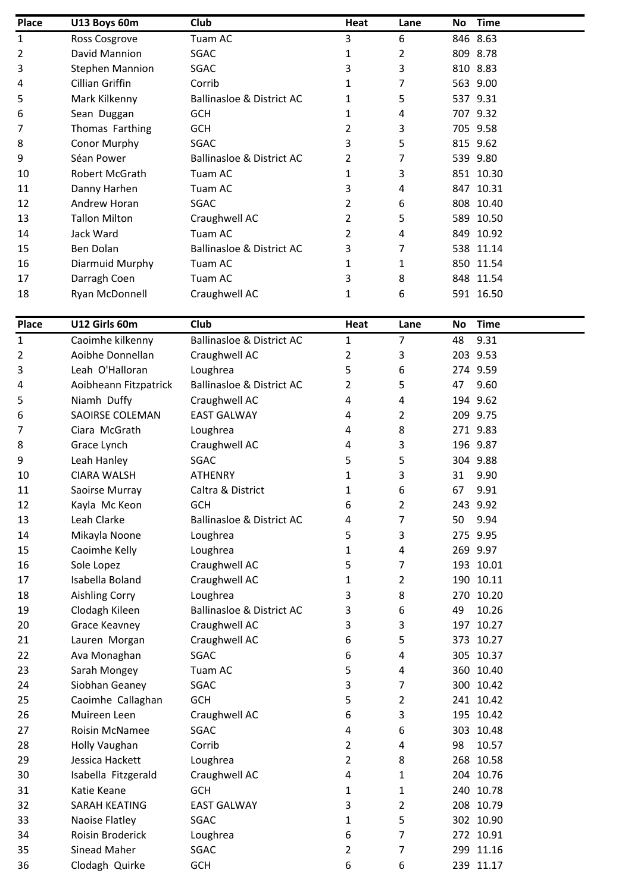| <b>Place</b> | U13 Boys 60m           | Club                                 | Heat           | Lane | <b>No</b> | <b>Time</b>            |
|--------------|------------------------|--------------------------------------|----------------|------|-----------|------------------------|
| 1            | Ross Cosgrove          | Tuam AC                              | 3              | 6    |           | 846 8.63               |
| 2            | David Mannion          | SGAC                                 | 1              | 2    |           | 809 8.78               |
| 3            | <b>Stephen Mannion</b> | SGAC                                 | 3              | 3    |           | 810 8.83               |
| 4            | Cillian Griffin        | Corrib                               | 1              | 7    |           | 563 9.00               |
| 5            | Mark Kilkenny          | <b>Ballinasloe &amp; District AC</b> | 1              | 5    |           | 537 9.31               |
| 6            | Sean Duggan            | <b>GCH</b>                           | 1              | 4    |           | 707 9.32               |
| 7            | Thomas Farthing        | <b>GCH</b>                           | 2              | 3    |           | 705 9.58               |
| 8            | Conor Murphy           | SGAC                                 | 3              | 5    |           | 815 9.62               |
| 9            | Séan Power             | <b>Ballinasloe &amp; District AC</b> | 2              | 7    |           | 539 9.80               |
| 10           | Robert McGrath         | Tuam AC                              | 1              | 3    |           | 851 10.30              |
| 11           | Danny Harhen           | Tuam AC                              | 3              | 4    |           | 847 10.31              |
| 12           | Andrew Horan           | SGAC                                 | 2              | 6    |           | 808 10.40              |
| 13           | <b>Tallon Milton</b>   | Craughwell AC                        | 2              | 5    |           | 589 10.50              |
| 14           | Jack Ward              | Tuam AC                              | 2              | 4    |           | 849 10.92              |
| 15           | Ben Dolan              | <b>Ballinasloe &amp; District AC</b> | 3              | 7    |           | 538 11.14              |
| 16           | Diarmuid Murphy        | Tuam AC                              | 1              | 1    |           | 850 11.54              |
| 17           | Darragh Coen           | Tuam AC                              | 3              | 8    |           | 848 11.54              |
| 18           | Ryan McDonnell         | Craughwell AC                        | 1              | 6    |           | 591 16.50              |
|              |                        |                                      |                |      |           |                        |
| <b>Place</b> | U12 Girls 60m          | Club                                 | Heat           | Lane | No        | <b>Time</b>            |
| 1            | Caoimhe kilkenny       | <b>Ballinasloe &amp; District AC</b> | 1              | 7    | 48        | 9.31                   |
| 2            | Aoibhe Donnellan       | Craughwell AC                        | $\overline{2}$ | 3    |           | 203 9.53               |
| 3            | Leah O'Halloran        | Loughrea                             | 5              | 6    |           | 274 9.59               |
| 4            | Aoibheann Fitzpatrick  | <b>Ballinasloe &amp; District AC</b> | 2              | 5    | 47        | 9.60                   |
| 5            | Niamh Duffy            | Craughwell AC                        | 4              | 4    |           | 194 9.62               |
| 6            | <b>SAOIRSE COLEMAN</b> | <b>EAST GALWAY</b>                   | 4              | 2    |           | 209 9.75               |
| 7            | Ciara McGrath          | Loughrea                             | 4              | 8    |           | 271 9.83               |
| 8            | Grace Lynch            | Craughwell AC                        | 4              | 3    |           | 196 9.87               |
| 9            | Leah Hanley            | SGAC                                 | 5              | 5    |           | 304 9.88               |
| 10           | <b>CIARA WALSH</b>     | <b>ATHENRY</b>                       | 1              | 3    | 31        | 9.90                   |
| 11           | Saoirse Murray         | Caltra & District                    | 1              | 6    | 67        | 9.91                   |
| 12           | Kayla Mc Keon          | <b>GCH</b>                           | 6              | 2    |           | 243 9.92               |
| 13           | Leah Clarke            | <b>Ballinasloe &amp; District AC</b> | 4              | 7    | 50        | 9.94                   |
| 14           | Mikayla Noone          | Loughrea                             | 5              | 3    |           | 275 9.95               |
| 15           | Caoimhe Kelly          | Loughrea                             | 1              | 4    |           | 269 9.97               |
| 16           | Sole Lopez             | Craughwell AC                        | 5              | 7    |           | 193 10.01              |
| 17           | Isabella Boland        | Craughwell AC                        | 1              | 2    |           | 190 10.11              |
| 18           | <b>Aishling Corry</b>  | Loughrea                             | 3              | 8    |           | 270 10.20              |
| 19           | Clodagh Kileen         | <b>Ballinasloe &amp; District AC</b> | 3              | 6    | 49        | 10.26                  |
| 20           | Grace Keavney          | Craughwell AC                        | 3              | 3    |           | 197 10.27              |
| 21           | Lauren Morgan          | Craughwell AC                        | 6              | 5    |           | 373 10.27              |
| 22           | Ava Monaghan           | SGAC                                 | 6              | 4    |           | 305 10.37              |
| 23           | Sarah Mongey           | Tuam AC                              | 5              | 4    |           | 360 10.40              |
| 24           | Siobhan Geaney         | SGAC                                 | 3              | 7    |           | 300 10.42              |
| 25           | Caoimhe Callaghan      | <b>GCH</b>                           | 5              | 2    |           | 241 10.42              |
| 26           | Muireen Leen           | Craughwell AC                        | 6              | 3    |           | 195 10.42              |
| 27           | Roisin McNamee         | SGAC                                 | 4              | 6    |           | 303 10.48              |
| 28           | Holly Vaughan          | Corrib                               | $\overline{2}$ | 4    | 98        | 10.57                  |
|              | Jessica Hackett        |                                      | $\overline{2}$ |      |           |                        |
| 29           |                        | Loughrea                             | 4              | 8    |           | 268 10.58<br>204 10.76 |
| 30           | Isabella Fitzgerald    | Craughwell AC                        |                | 1    |           |                        |
| 31           | Katie Keane            | <b>GCH</b>                           | 1              | 1    |           | 240 10.78              |
| 32           | SARAH KEATING          | <b>EAST GALWAY</b>                   | 3              | 2    |           | 208 10.79              |
| 33           | Naoise Flatley         | SGAC                                 | 1              | 5    |           | 302 10.90              |
| 34           | Roisin Broderick       | Loughrea                             | 6              | 7    |           | 272 10.91              |
| 35           | Sinead Maher           | SGAC                                 | $\overline{2}$ | 7    |           | 299 11.16              |
| 36           | Clodagh Quirke         | <b>GCH</b>                           | 6              | 6    |           | 239 11.17              |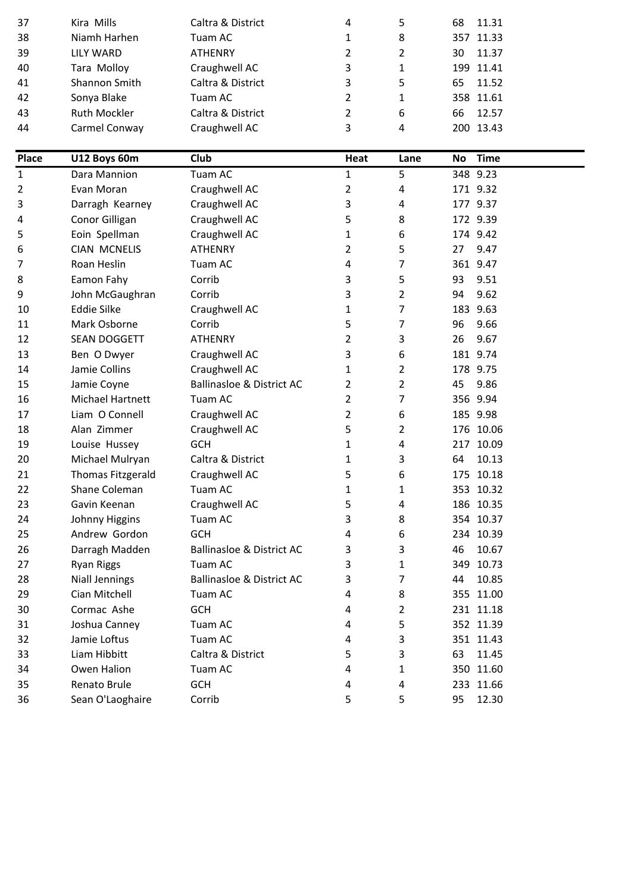| 37           | Kira Mills               | Caltra & District                    | 4              | 5    | 68 | 11.31       |
|--------------|--------------------------|--------------------------------------|----------------|------|----|-------------|
| 38           | Niamh Harhen             | Tuam AC                              | 1              | 8    |    | 357 11.33   |
| 39           | <b>LILY WARD</b>         | <b>ATHENRY</b>                       | $\overline{2}$ | 2    | 30 | 11.37       |
| 40           | Tara Molloy              | Craughwell AC                        | 3              | 1    |    | 199 11.41   |
| 41           | Shannon Smith            | Caltra & District                    | 3              | 5    | 65 | 11.52       |
| 42           | Sonya Blake              | Tuam AC                              | $\overline{2}$ | 1    |    | 358 11.61   |
| 43           | Ruth Mockler             | Caltra & District                    | 2              | 6    | 66 | 12.57       |
| 44           | Carmel Conway            | Craughwell AC                        | 3              | 4    |    | 200 13.43   |
|              |                          |                                      |                |      |    |             |
| <b>Place</b> | U12 Boys 60m             | Club                                 | Heat           | Lane | No | <b>Time</b> |
| $\mathbf{1}$ | Dara Mannion             | Tuam AC                              | 1              | 5    |    | 348 9.23    |
| 2            | Evan Moran               | Craughwell AC                        | 2              | 4    |    | 171 9.32    |
| 3            | Darragh Kearney          | Craughwell AC                        | 3              | 4    |    | 177 9.37    |
| 4            | Conor Gilligan           | Craughwell AC                        | 5              | 8    |    | 172 9.39    |
| 5            | Eoin Spellman            | Craughwell AC                        | 1              | 6    |    | 174 9.42    |
| 6            | <b>CIAN MCNELIS</b>      | <b>ATHENRY</b>                       | $\overline{2}$ | 5    | 27 | 9.47        |
| 7            | Roan Heslin              | Tuam AC                              | 4              | 7    |    | 361 9.47    |
| 8            | Eamon Fahy               | Corrib                               | 3              | 5    | 93 | 9.51        |
| 9            | John McGaughran          | Corrib                               | 3              | 2    | 94 | 9.62        |
| 10           | <b>Eddie Silke</b>       | Craughwell AC                        | 1              | 7    |    | 183 9.63    |
| 11           | Mark Osborne             | Corrib                               | 5              | 7    | 96 | 9.66        |
| 12           | SEAN DOGGETT             | <b>ATHENRY</b>                       | $\overline{2}$ | 3    | 26 | 9.67        |
| 13           | Ben O Dwyer              | Craughwell AC                        | 3              | 6    |    | 181 9.74    |
| 14           | Jamie Collins            | Craughwell AC                        | 1              | 2    |    | 178 9.75    |
| 15           | Jamie Coyne              | <b>Ballinasloe &amp; District AC</b> | 2              | 2    | 45 | 9.86        |
| 16           | Michael Hartnett         | Tuam AC                              | $\overline{2}$ | 7    |    | 356 9.94    |
| 17           | Liam O Connell           | Craughwell AC                        | 2              | 6    |    | 185 9.98    |
| 18           | Alan Zimmer              | Craughwell AC                        | 5              | 2    |    | 176 10.06   |
| 19           | Louise Hussey            | <b>GCH</b>                           | 1              | 4    |    | 217 10.09   |
| 20           | Michael Mulryan          | Caltra & District                    | 1              | 3    | 64 | 10.13       |
| 21           | <b>Thomas Fitzgerald</b> | Craughwell AC                        | 5              | 6    |    | 175 10.18   |
| 22           | Shane Coleman            | Tuam AC                              | 1              | 1    |    | 353 10.32   |
| 23           | Gavin Keenan             | Craughwell AC                        | 5              | 4    |    | 186 10.35   |
| 24           | Johnny Higgins           | Tuam AC                              | 3              | 8    |    | 354 10.37   |
| 25           | Andrew Gordon            | <b>GCH</b>                           | 4              | 6    |    | 234 10.39   |
| 26           | Darragh Madden           | <b>Ballinasloe &amp; District AC</b> | 3              | 3    | 46 | 10.67       |
| 27           | Ryan Riggs               | Tuam AC                              | 3              | 1    |    | 349 10.73   |
| 28           | <b>Niall Jennings</b>    | <b>Ballinasloe &amp; District AC</b> | 3              | 7    | 44 | 10.85       |
| 29           | Cian Mitchell            | Tuam AC                              | 4              | 8    |    | 355 11.00   |
| 30           | Cormac Ashe              | <b>GCH</b>                           | 4              | 2    |    | 231 11.18   |
| 31           | Joshua Canney            | Tuam AC                              | 4              | 5    |    | 352 11.39   |
| 32           | Jamie Loftus             | Tuam AC                              | 4              | 3    |    | 351 11.43   |
| 33           | Liam Hibbitt             | Caltra & District                    | 5              | 3    | 63 | 11.45       |
| 34           | Owen Halion              | Tuam AC                              | 4              | 1    |    | 350 11.60   |
| 35           | Renato Brule             | <b>GCH</b>                           | 4              | 4    |    | 233 11.66   |
| 36           | Sean O'Laoghaire         | Corrib                               | 5.             | 5    | 95 | 12.30       |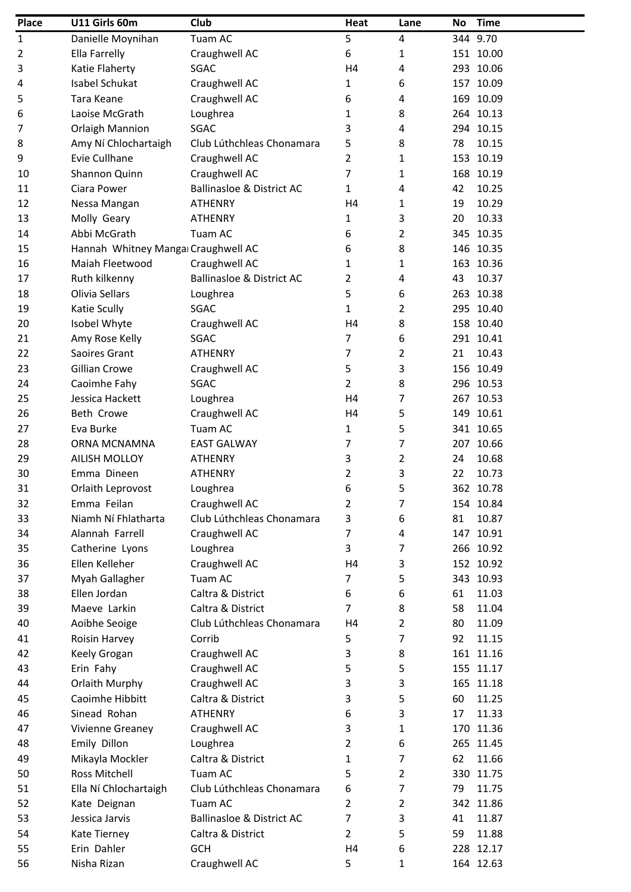| Place | U11 Girls 60m                       | Club                                 | Heat           | Lane           | No | <b>Time</b> |
|-------|-------------------------------------|--------------------------------------|----------------|----------------|----|-------------|
| 1     | Danielle Moynihan                   | Tuam AC                              | 5              | 4              |    | 344 9.70    |
| 2     | Ella Farrelly                       | Craughwell AC                        | 6              | 1              |    | 151 10.00   |
| 3     | Katie Flaherty                      | SGAC                                 | H <sub>4</sub> | 4              |    | 293 10.06   |
| 4     | <b>Isabel Schukat</b>               | Craughwell AC                        | 1              | 6              |    | 157 10.09   |
| 5     | Tara Keane                          | Craughwell AC                        | 6              | 4              |    | 169 10.09   |
| 6     | Laoise McGrath                      | Loughrea                             | 1              | 8              |    | 264 10.13   |
| 7     | <b>Orlaigh Mannion</b>              | SGAC                                 | 3              | 4              |    | 294 10.15   |
| 8     | Amy Ní Chlochartaigh                | Club Lúthchleas Chonamara            | 5              | 8              | 78 | 10.15       |
| 9     | Evie Cullhane                       | Craughwell AC                        | 2              | 1              |    | 153 10.19   |
| 10    | Shannon Quinn                       | Craughwell AC                        | 7              | 1              |    | 168 10.19   |
| 11    | Ciara Power                         | <b>Ballinasloe &amp; District AC</b> | 1              | 4              | 42 | 10.25       |
| 12    | Nessa Mangan                        | <b>ATHENRY</b>                       | H <sub>4</sub> | 1              | 19 | 10.29       |
| 13    | Molly Geary                         | <b>ATHENRY</b>                       | 1              | 3              | 20 | 10.33       |
| 14    | Abbi McGrath                        | Tuam AC                              | 6              | 2              |    | 345 10.35   |
| 15    | Hannah Whitney Mangai Craughwell AC |                                      | 6              | 8              |    | 146 10.35   |
| 16    | Maiah Fleetwood                     | Craughwell AC                        | 1              | 1              |    | 163 10.36   |
| 17    | Ruth kilkenny                       | <b>Ballinasloe &amp; District AC</b> | 2              | 4              | 43 | 10.37       |
| 18    | Olivia Sellars                      | Loughrea                             | 5              | 6              |    | 263 10.38   |
| 19    | Katie Scully                        | SGAC                                 | 1              | 2              |    | 295 10.40   |
| 20    | Isobel Whyte                        | Craughwell AC                        | H <sub>4</sub> | 8              |    | 158 10.40   |
| 21    | Amy Rose Kelly                      | <b>SGAC</b>                          | 7              | 6              |    | 291 10.41   |
| 22    | Saoires Grant                       | <b>ATHENRY</b>                       | 7              | $\overline{2}$ | 21 | 10.43       |
| 23    | Gillian Crowe                       | Craughwell AC                        | 5              | 3              |    | 156 10.49   |
| 24    | Caoimhe Fahy                        | SGAC                                 | $\overline{2}$ | 8              |    | 296 10.53   |
| 25    | Jessica Hackett                     | Loughrea                             | H <sub>4</sub> | 7              |    | 267 10.53   |
| 26    | Beth Crowe                          | Craughwell AC                        | H <sub>4</sub> | 5              |    | 149 10.61   |
| 27    | Eva Burke                           | Tuam AC                              | 1              | 5              |    | 341 10.65   |
| 28    | ORNA MCNAMNA                        | <b>EAST GALWAY</b>                   | 7              | 7              |    | 207 10.66   |
| 29    | <b>AILISH MOLLOY</b>                | <b>ATHENRY</b>                       | 3              | 2              | 24 | 10.68       |
| 30    | Emma Dineen                         | <b>ATHENRY</b>                       | 2              | 3              | 22 | 10.73       |
| 31    | Orlaith Leprovost                   | Loughrea                             | 6              | 5              |    | 362 10.78   |
| 32    | Emma Feilan                         | Craughwell AC                        | 2              | 7              |    | 154 10.84   |
| 33    | Niamh Ní Fhlatharta                 | Club Lúthchleas Chonamara            | 3              | 6              | 81 | 10.87       |
| 34    | Alannah Farrell                     | Craughwell AC                        | 7              | 4              |    | 147 10.91   |
| 35    | Catherine Lyons                     | Loughrea                             | 3              | 7              |    | 266 10.92   |
| 36    | Ellen Kelleher                      | Craughwell AC                        | H <sub>4</sub> | 3              |    | 152 10.92   |
| 37    | Myah Gallagher                      | Tuam AC                              | 7              | 5              |    | 343 10.93   |
| 38    | Ellen Jordan                        | Caltra & District                    | 6              | 6              | 61 | 11.03       |
| 39    | Maeve Larkin                        | Caltra & District                    | 7              | 8              | 58 | 11.04       |
| 40    | Aoibhe Seoige                       | Club Lúthchleas Chonamara            | H4             | $\overline{2}$ | 80 | 11.09       |
| 41    | Roisin Harvey                       | Corrib                               | 5              | $\overline{7}$ | 92 | 11.15       |
| 42    | Keely Grogan                        | Craughwell AC                        | 3              | 8              |    | 161 11.16   |
| 43    | Erin Fahy                           | Craughwell AC                        | 5              | 5              |    | 155 11.17   |
| 44    | Orlaith Murphy                      | Craughwell AC                        | 3              | 3              |    | 165 11.18   |
| 45    | Caoimhe Hibbitt                     | Caltra & District                    | 3              | 5              | 60 | 11.25       |
| 46    | Sinead Rohan                        | <b>ATHENRY</b>                       | 6              | 3              | 17 | 11.33       |
| 47    | Vivienne Greaney                    | Craughwell AC                        | 3              | 1              |    | 170 11.36   |
| 48    |                                     |                                      |                |                |    | 265 11.45   |
|       | Emily Dillon                        | Loughrea<br>Caltra & District        | 2              | 6<br>7         |    |             |
| 49    | Mikayla Mockler                     | Tuam AC                              | 1              |                | 62 | 11.66       |
| 50    | Ross Mitchell                       |                                      | 5              | 2              |    | 330 11.75   |
| 51    | Ella Ní Chlochartaigh               | Club Lúthchleas Chonamara            | 6              | 7              | 79 | 11.75       |
| 52    | Kate Deignan                        | Tuam AC                              | 2              | $\overline{2}$ |    | 342 11.86   |
| 53    | Jessica Jarvis                      | <b>Ballinasloe &amp; District AC</b> | 7              | 3              | 41 | 11.87       |
| 54    | Kate Tierney                        | Caltra & District                    | 2              | 5              | 59 | 11.88       |
| 55    | Erin Dahler                         | <b>GCH</b>                           | H <sub>4</sub> | 6              |    | 228 12.17   |
| 56    | Nisha Rizan                         | Craughwell AC                        | 5              | 1              |    | 164 12.63   |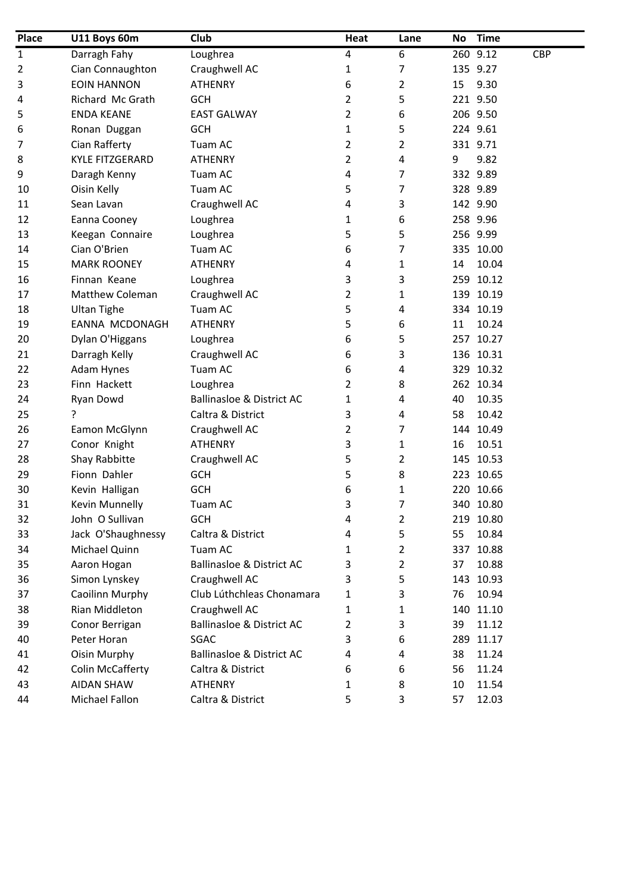| <b>Place</b> | U11 Boys 60m            | Club                                 | Heat           | Lane           | No | <b>Time</b>            |
|--------------|-------------------------|--------------------------------------|----------------|----------------|----|------------------------|
| 1            | Darragh Fahy            | Loughrea                             | 4              | 6              |    | 260 9.12<br><b>CBP</b> |
| 2            | Cian Connaughton        | Craughwell AC                        | 1              | 7              |    | 135 9.27               |
| 3            | <b>EOIN HANNON</b>      | <b>ATHENRY</b>                       | 6              | $\overline{2}$ | 15 | 9.30                   |
| 4            | Richard Mc Grath        | <b>GCH</b>                           | $\overline{2}$ | 5              |    | 221 9.50               |
| 5            | <b>ENDA KEANE</b>       | <b>EAST GALWAY</b>                   | $\overline{2}$ | 6              |    | 206 9.50               |
| 6            | Ronan Duggan            | <b>GCH</b>                           | 1              | 5              |    | 224 9.61               |
| 7            | Cian Rafferty           | Tuam AC                              | $\overline{2}$ | $\overline{2}$ |    | 331 9.71               |
| 8            | <b>KYLE FITZGERARD</b>  | <b>ATHENRY</b>                       | $\overline{2}$ | 4              | 9  | 9.82                   |
| 9            | Daragh Kenny            | Tuam AC                              | 4              | 7              |    | 332 9.89               |
| 10           | Oisin Kelly             | Tuam AC                              | 5              | 7              |    | 328 9.89               |
| 11           | Sean Lavan              | Craughwell AC                        | 4              | 3              |    | 142 9.90               |
| 12           | Eanna Cooney            | Loughrea                             | 1              | 6              |    | 258 9.96               |
| 13           | Keegan Connaire         | Loughrea                             | 5              | 5              |    | 256 9.99               |
| 14           | Cian O'Brien            | Tuam AC                              | 6              | 7              |    | 335 10.00              |
| 15           | <b>MARK ROONEY</b>      | <b>ATHENRY</b>                       | 4              | 1              | 14 | 10.04                  |
| 16           | Finnan Keane            | Loughrea                             | 3              | 3              |    | 259 10.12              |
| 17           | Matthew Coleman         | Craughwell AC                        | $\overline{2}$ | 1              |    | 139 10.19              |
| 18           | <b>Ultan Tighe</b>      | Tuam AC                              | 5              | 4              |    | 334 10.19              |
| 19           | <b>EANNA MCDONAGH</b>   | <b>ATHENRY</b>                       | 5              | 6              | 11 | 10.24                  |
| 20           | Dylan O'Higgans         | Loughrea                             | 6              | 5              |    | 257 10.27              |
| 21           | Darragh Kelly           | Craughwell AC                        | 6              | 3              |    | 136 10.31              |
| 22           | Adam Hynes              | Tuam AC                              | 6              | 4              |    | 329 10.32              |
| 23           | Finn Hackett            | Loughrea                             | 2              | 8              |    | 262 10.34              |
| 24           | Ryan Dowd               | <b>Ballinasloe &amp; District AC</b> | 1              | 4              | 40 | 10.35                  |
| 25           | ?                       | Caltra & District                    | 3              | 4              | 58 | 10.42                  |
| 26           | Eamon McGlynn           | Craughwell AC                        | 2              | 7              |    | 144 10.49              |
| 27           | Conor Knight            | <b>ATHENRY</b>                       | 3              | $\mathbf{1}$   | 16 | 10.51                  |
| 28           | Shay Rabbitte           | Craughwell AC                        | 5              | 2              |    | 145 10.53              |
| 29           | Fionn Dahler            | <b>GCH</b>                           | 5              | 8              |    | 223 10.65              |
| 30           | Kevin Halligan          | <b>GCH</b>                           | 6              | $\mathbf{1}$   |    | 220 10.66              |
| 31           | Kevin Munnelly          | Tuam AC                              | 3              | 7              |    | 340 10.80              |
| 32           | John O Sullivan         | <b>GCH</b>                           | 4              | $\overline{2}$ |    | 219 10.80              |
| 33           | Jack O'Shaughnessy      | Caltra & District                    | 4              | 5              | 55 | 10.84                  |
| 34           | Michael Quinn           | Tuam AC                              | 1              | $\overline{2}$ |    | 337 10.88              |
| 35           | Aaron Hogan             | <b>Ballinasloe &amp; District AC</b> | 3              | 2              | 37 | 10.88                  |
| 36           | Simon Lynskey           | Craughwell AC                        | 3              | 5              |    | 143 10.93              |
| 37           | Caoilinn Murphy         | Club Lúthchleas Chonamara            | 1              | 3              | 76 | 10.94                  |
| 38           | Rian Middleton          | Craughwell AC                        | 1              | 1              |    | 140 11.10              |
| 39           | Conor Berrigan          | <b>Ballinasloe &amp; District AC</b> | 2              | 3              | 39 | 11.12                  |
| 40           | Peter Horan             | SGAC                                 | 3              | 6              |    | 289 11.17              |
| 41           | Oisin Murphy            | <b>Ballinasloe &amp; District AC</b> | 4              | 4              | 38 | 11.24                  |
| 42           | <b>Colin McCafferty</b> | Caltra & District                    | 6              | 6              | 56 | 11.24                  |
| 43           | <b>AIDAN SHAW</b>       | <b>ATHENRY</b>                       | 1              | 8              | 10 | 11.54                  |
| 44           | Michael Fallon          | Caltra & District                    | 5              | 3              | 57 | 12.03                  |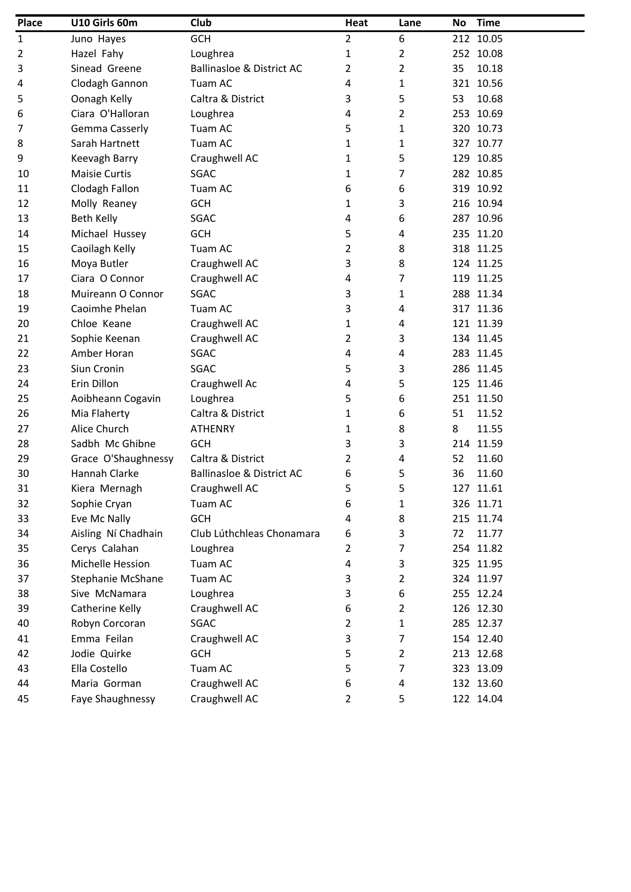| Place | U10 Girls 60m        | Club                                 | Heat | Lane           | No | <b>Time</b> |
|-------|----------------------|--------------------------------------|------|----------------|----|-------------|
| 1     | Juno Hayes           | GCH                                  | 2    | 6              |    | 212 10.05   |
| 2     | Hazel Fahy           | Loughrea                             | 1    | $\overline{2}$ |    | 252 10.08   |
| 3     | Sinead Greene        | <b>Ballinasloe &amp; District AC</b> | 2    | 2              | 35 | 10.18       |
| 4     | Clodagh Gannon       | Tuam AC                              | 4    | 1              |    | 321 10.56   |
| 5     | Oonagh Kelly         | Caltra & District                    | 3    | 5              | 53 | 10.68       |
| 6     | Ciara O'Halloran     | Loughrea                             | 4    | $\overline{2}$ |    | 253 10.69   |
| 7     | Gemma Casserly       | Tuam AC                              | 5    | 1              |    | 320 10.73   |
| 8     | Sarah Hartnett       | Tuam AC                              | 1    | 1              |    | 327 10.77   |
| 9     | Keevagh Barry        | Craughwell AC                        | 1    | 5              |    | 129 10.85   |
| 10    | <b>Maisie Curtis</b> | <b>SGAC</b>                          | 1    | 7              |    | 282 10.85   |
| 11    | Clodagh Fallon       | Tuam AC                              | 6    | 6              |    | 319 10.92   |
| 12    | Molly Reaney         | <b>GCH</b>                           | 1    | 3              |    | 216 10.94   |
| 13    | Beth Kelly           | SGAC                                 | 4    | 6              |    | 287 10.96   |
| 14    | Michael Hussey       | <b>GCH</b>                           | 5    | 4              |    | 235 11.20   |
| 15    | Caoilagh Kelly       | Tuam AC                              | 2    | 8              |    | 318 11.25   |
| 16    | Moya Butler          | Craughwell AC                        | 3    | 8              |    | 124 11.25   |
| 17    | Ciara O Connor       | Craughwell AC                        | 4    | 7              |    | 119 11.25   |
| 18    | Muireann O Connor    | <b>SGAC</b>                          | 3    | 1              |    | 288 11.34   |
| 19    | Caoimhe Phelan       | Tuam AC                              | 3    | 4              |    | 317 11.36   |
| 20    | Chloe Keane          | Craughwell AC                        | 1    | 4              |    | 121 11.39   |
| 21    | Sophie Keenan        | Craughwell AC                        | 2    | 3              |    | 134 11.45   |
| 22    | Amber Horan          | SGAC                                 | 4    | 4              |    | 283 11.45   |
| 23    | Siun Cronin          | <b>SGAC</b>                          | 5    | 3              |    | 286 11.45   |
| 24    | Erin Dillon          | Craughwell Ac                        | 4    | 5              |    | 125 11.46   |
| 25    | Aoibheann Cogavin    | Loughrea                             | 5    | 6              |    | 251 11.50   |
| 26    | Mia Flaherty         | Caltra & District                    | 1    | 6              | 51 | 11.52       |
| 27    | Alice Church         | <b>ATHENRY</b>                       | 1    | 8              | 8  | 11.55       |
| 28    | Sadbh Mc Ghibne      | <b>GCH</b>                           | 3    | 3              |    | 214 11.59   |
| 29    | Grace O'Shaughnessy  | Caltra & District                    | 2    | 4              | 52 | 11.60       |
| 30    | Hannah Clarke        | <b>Ballinasloe &amp; District AC</b> | 6    | 5              | 36 | 11.60       |
| 31    | Kiera Mernagh        | Craughwell AC                        | 5    | 5              |    | 127 11.61   |
| 32    | Sophie Cryan         | Tuam AC                              | 6    | 1              |    | 326 11.71   |
| 33    | Eve Mc Nally         | <b>GCH</b>                           | 4    | 8              |    | 215 11.74   |
| 34    | Aisling Ní Chadhain  | Club Lúthchleas Chonamara            | 6    | 3              | 72 | 11.77       |
| 35    | Cerys Calahan        | Loughrea                             | 2    | 7              |    | 254 11.82   |
| 36    | Michelle Hession     | Tuam AC                              | 4    | 3              |    | 325 11.95   |
| 37    | Stephanie McShane    | Tuam AC                              | 3    | $\overline{2}$ |    | 324 11.97   |
| 38    | Sive McNamara        | Loughrea                             | 3    | 6              |    | 255 12.24   |
| 39    | Catherine Kelly      | Craughwell AC                        | 6    | 2              |    | 126 12.30   |
| 40    | Robyn Corcoran       | <b>SGAC</b>                          | 2    | 1              |    | 285 12.37   |
| 41    | Emma Feilan          | Craughwell AC                        | 3    | 7              |    | 154 12.40   |
| 42    | Jodie Quirke         | <b>GCH</b>                           | 5    | 2              |    | 213 12.68   |
| 43    | Ella Costello        | Tuam AC                              | 5    | 7              |    | 323 13.09   |
| 44    | Maria Gorman         | Craughwell AC                        | 6    | 4              |    | 132 13.60   |
| 45    | Faye Shaughnessy     | Craughwell AC                        | 2    | 5              |    | 122 14.04   |
|       |                      |                                      |      |                |    |             |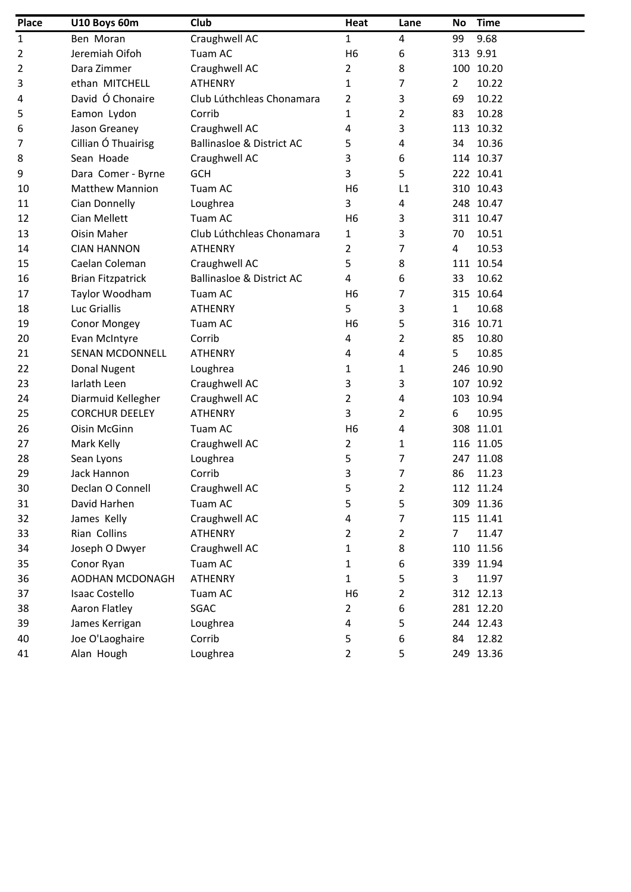| <b>Place</b>   | U10 Boys 60m             | Club                                 | Heat           | Lane           | <b>No</b>      | <b>Time</b> |
|----------------|--------------------------|--------------------------------------|----------------|----------------|----------------|-------------|
| 1              | Ben Moran                | Craughwell AC                        | $\mathbf{1}$   | 4              | 99             | 9.68        |
| $\overline{2}$ | Jeremiah Oifoh           | Tuam AC                              | H <sub>6</sub> | 6              |                | 313 9.91    |
| $\overline{2}$ | Dara Zimmer              | Craughwell AC                        | 2              | 8              |                | 100 10.20   |
| 3              | ethan MITCHELL           | <b>ATHENRY</b>                       | 1              | 7              | $\overline{2}$ | 10.22       |
| 4              | David Ó Chonaire         | Club Lúthchleas Chonamara            | $\overline{2}$ | 3              | 69             | 10.22       |
| 5              | Eamon Lydon              | Corrib                               | 1              | $\overline{2}$ | 83             | 10.28       |
| 6              | Jason Greaney            | Craughwell AC                        | 4              | 3              |                | 113 10.32   |
| 7              | Cillian Ó Thuairisg      | <b>Ballinasloe &amp; District AC</b> | 5              | 4              | 34             | 10.36       |
| 8              | Sean Hoade               | Craughwell AC                        | 3              | 6              |                | 114 10.37   |
| 9              | Dara Comer - Byrne       | <b>GCH</b>                           | 3              | 5              |                | 222 10.41   |
| 10             | <b>Matthew Mannion</b>   | Tuam AC                              | H <sub>6</sub> | L1             |                | 310 10.43   |
| 11             | Cian Donnelly            | Loughrea                             | 3              | 4              |                | 248 10.47   |
| 12             | Cian Mellett             | Tuam AC                              | H <sub>6</sub> | 3              |                | 311 10.47   |
| 13             | Oisin Maher              | Club Lúthchleas Chonamara            | 1              | 3              | 70             | 10.51       |
| 14             | <b>CIAN HANNON</b>       | <b>ATHENRY</b>                       | 2              | 7              | 4              | 10.53       |
| 15             | Caelan Coleman           | Craughwell AC                        | 5              | 8              |                | 111 10.54   |
| 16             | <b>Brian Fitzpatrick</b> | <b>Ballinasloe &amp; District AC</b> | $\overline{4}$ | 6              | 33             | 10.62       |
| 17             | Taylor Woodham           | Tuam AC                              | H <sub>6</sub> | 7              |                | 315 10.64   |
| 18             | Luc Griallis             | <b>ATHENRY</b>                       | 5              | 3              | $\mathbf{1}$   | 10.68       |
| 19             | Conor Mongey             | Tuam AC                              | H <sub>6</sub> | 5              |                | 316 10.71   |
| 20             | Evan McIntyre            | Corrib                               | 4              | 2              | 85             | 10.80       |
| 21             | <b>SENAN MCDONNELL</b>   | <b>ATHENRY</b>                       | 4              | 4              | 5              | 10.85       |
| 22             | Donal Nugent             | Loughrea                             | 1              | 1              |                | 246 10.90   |
| 23             | Iarlath Leen             | Craughwell AC                        | 3              | 3              |                | 107 10.92   |
| 24             | Diarmuid Kellegher       | Craughwell AC                        | $\overline{2}$ | 4              |                | 103 10.94   |
| 25             | <b>CORCHUR DEELEY</b>    | <b>ATHENRY</b>                       | 3              | 2              | 6              | 10.95       |
| 26             | Oisin McGinn             | Tuam AC                              | H <sub>6</sub> | 4              |                | 308 11.01   |
| 27             | Mark Kelly               | Craughwell AC                        | 2              | 1              |                | 116 11.05   |
| 28             | Sean Lyons               | Loughrea                             | 5              | 7              |                | 247 11.08   |
| 29             | Jack Hannon              | Corrib                               | 3              | 7              | 86             | 11.23       |
| 30             | Declan O Connell         | Craughwell AC                        | 5              | 2              |                | 112 11.24   |
| 31             | David Harhen             | Tuam AC                              | 5              | 5              |                | 309 11.36   |
| 32             | James Kelly              | Craughwell AC                        | 4              | 7              |                | 115 11.41   |
| 33             | Rian Collins             | <b>ATHENRY</b>                       | 2              | 2              | 7              | 11.47       |
| 34             | Joseph O Dwyer           | Craughwell AC                        | 1              | 8              |                | 110 11.56   |
| 35             | Conor Ryan               | Tuam AC                              | 1              | 6              |                | 339 11.94   |
| 36             | AODHAN MCDONAGH          | <b>ATHENRY</b>                       | $\mathbf{1}$   | 5              | 3              | 11.97       |
| 37             | <b>Isaac Costello</b>    | Tuam AC                              | H <sub>6</sub> | $\overline{2}$ |                | 312 12.13   |
| 38             | Aaron Flatley            | SGAC                                 | 2              | 6              |                | 281 12.20   |
| 39             | James Kerrigan           | Loughrea                             | 4              | 5              |                | 244 12.43   |
| 40             | Joe O'Laoghaire          | Corrib                               | 5              | 6              | 84             | 12.82       |
| 41             | Alan Hough               | Loughrea                             | 2              | 5              |                | 249 13.36   |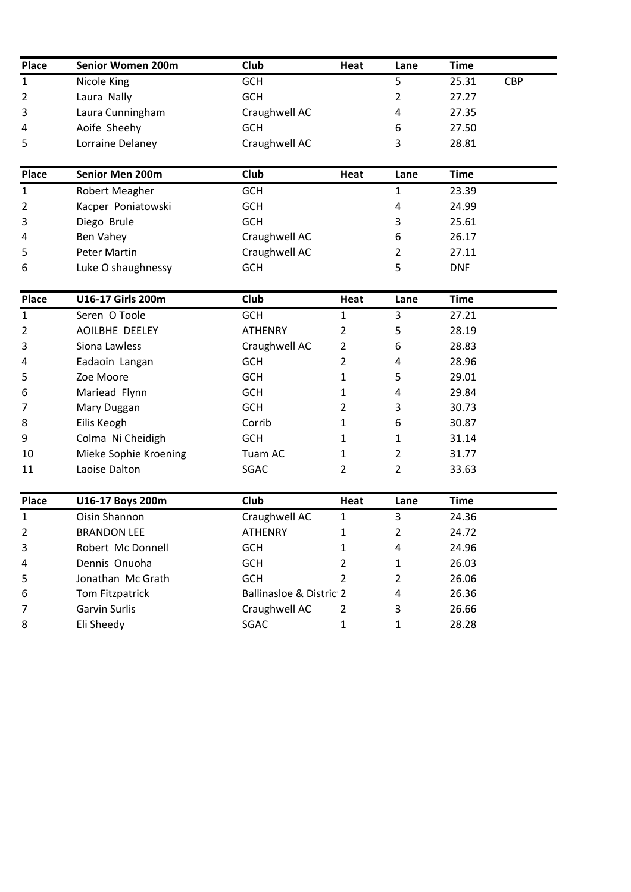| <b>Place</b>   | Senior Women 200m     | Club                                | Heat           | Lane           | <b>Time</b> |            |
|----------------|-----------------------|-------------------------------------|----------------|----------------|-------------|------------|
| $\mathbf{1}$   | Nicole King           | <b>GCH</b>                          |                | 5              | 25.31       | <b>CBP</b> |
| $\overline{2}$ | Laura Nally           | <b>GCH</b>                          |                | $\overline{2}$ | 27.27       |            |
| 3              | Laura Cunningham      | Craughwell AC                       |                | 4              | 27.35       |            |
| 4              | Aoife Sheehy          | <b>GCH</b>                          |                | 6              | 27.50       |            |
| 5              | Lorraine Delaney      | Craughwell AC                       |                | 3              | 28.81       |            |
| <b>Place</b>   | Senior Men 200m       | <b>Club</b>                         | Heat           | Lane           | <b>Time</b> |            |
| $\mathbf{1}$   | Robert Meagher        | <b>GCH</b>                          |                | 1              | 23.39       |            |
| $\overline{2}$ | Kacper Poniatowski    | <b>GCH</b>                          |                | 4              | 24.99       |            |
| 3              | Diego Brule           | <b>GCH</b>                          |                | 3              | 25.61       |            |
| 4              | Ben Vahey             | Craughwell AC                       |                | 6              | 26.17       |            |
| 5              | <b>Peter Martin</b>   | Craughwell AC                       |                | $\overline{2}$ | 27.11       |            |
| 6              | Luke O shaughnessy    | <b>GCH</b>                          |                | 5              | <b>DNF</b>  |            |
| <b>Place</b>   | U16-17 Girls 200m     | <b>Club</b>                         | Heat           | Lane           | <b>Time</b> |            |
| $\mathbf{1}$   | Seren O Toole         | <b>GCH</b>                          | 1              | 3              | 27.21       |            |
| $\overline{2}$ | AOILBHE DEELEY        | <b>ATHENRY</b>                      | 2              | 5              | 28.19       |            |
| 3              | Siona Lawless         | Craughwell AC                       | $\overline{2}$ | 6              | 28.83       |            |
| 4              | Eadaoin Langan        | <b>GCH</b>                          | 2              | 4              | 28.96       |            |
| 5              | Zoe Moore             | <b>GCH</b>                          | 1              | 5              | 29.01       |            |
| 6              | Mariead Flynn         | <b>GCH</b>                          | 1              | 4              | 29.84       |            |
| 7              | Mary Duggan           | <b>GCH</b>                          | 2              | 3              | 30.73       |            |
| 8              | Eilis Keogh           | Corrib                              | 1              | 6              | 30.87       |            |
| 9              | Colma Ni Cheidigh     | <b>GCH</b>                          | 1              | $\mathbf{1}$   | 31.14       |            |
| 10             | Mieke Sophie Kroening | Tuam AC                             | 1              | $\overline{2}$ | 31.77       |            |
| 11             | Laoise Dalton         | SGAC                                | $\overline{2}$ | $\overline{2}$ | 33.63       |            |
| <b>Place</b>   | U16-17 Boys 200m      | <b>Club</b>                         | <b>Heat</b>    | Lane           | <b>Time</b> |            |
| $\mathbf{1}$   | Oisin Shannon         | Craughwell AC                       | 1              | 3              | 24.36       |            |
| 2              | <b>BRANDON LEE</b>    | ATHENRY                             | 1              | $\overline{2}$ | 24.72       |            |
| 3              | Robert Mc Donnell     | <b>GCH</b>                          | 1              | 4              | 24.96       |            |
| 4              | Dennis Onuoha         | <b>GCH</b>                          | 2              | $\mathbf{1}$   | 26.03       |            |
| 5              | Jonathan Mc Grath     | <b>GCH</b>                          | $\overline{2}$ | $\overline{2}$ | 26.06       |            |
| 6              | Tom Fitzpatrick       | <b>Ballinasloe &amp; District 2</b> |                | 4              | 26.36       |            |
| 7              | Garvin Surlis         | Craughwell AC                       | 2              | 3              | 26.66       |            |
| 8              | Eli Sheedy            | SGAC                                | 1              | $\mathbf{1}$   | 28.28       |            |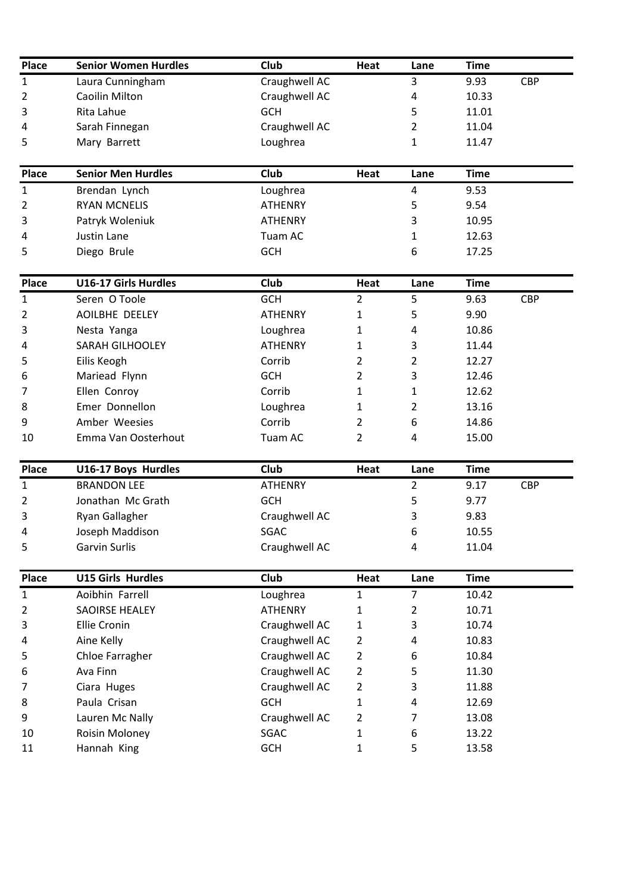| <b>Place</b>   | <b>Senior Women Hurdles</b> | Club          | Heat | Lane | <b>Time</b> |            |
|----------------|-----------------------------|---------------|------|------|-------------|------------|
| $\mathbf{1}$   | Laura Cunningham            | Craughwell AC |      | 3    | 9.93        | <b>CBP</b> |
| $\overline{2}$ | Caoilin Milton              | Craughwell AC |      | 4    | 10.33       |            |
| $\overline{3}$ | Rita Lahue                  | <b>GCH</b>    |      |      | 11.01       |            |
| $\overline{4}$ | Sarah Finnegan              | Craughwell AC |      |      | 11.04       |            |
| 5              | Mary Barrett                | Loughrea      |      |      | 11.47       |            |
|                |                             |               |      |      |             |            |

| Place          | <b>Senior Men Hurdles</b> | Club           | Heat | Lane | Time  |
|----------------|---------------------------|----------------|------|------|-------|
| 1              | Brendan Lynch             | Loughrea       |      | Δ    | 9.53  |
| $\overline{2}$ | <b>RYAN MCNELIS</b>       | <b>ATHENRY</b> |      |      | 9.54  |
| 3              | Patryk Woleniuk           | <b>ATHENRY</b> |      |      | 10.95 |
| 4              | Justin Lane               | Tuam AC        |      |      | 12.63 |
| 5              | Diego Brule               | <b>GCH</b>     |      |      | 17.25 |

| Place        | <b>U16-17 Girls Hurdles</b> | <b>Club</b>    | Heat          | Lane | Time  |            |
|--------------|-----------------------------|----------------|---------------|------|-------|------------|
| $\mathbf{1}$ | Seren O Toole               | <b>GCH</b>     | 2             | 5    | 9.63  | <b>CBP</b> |
| 2            | AOILBHE DEELEY              | <b>ATHENRY</b> | 1             | 5    | 9.90  |            |
| 3            | Nesta Yanga                 | Loughrea       | $\mathbf{1}$  | 4    | 10.86 |            |
| 4            | <b>SARAH GILHOOLEY</b>      | <b>ATHENRY</b> | 1             | 3    | 11.44 |            |
| 5            | Eilis Keogh                 | Corrib         | $\mathcal{P}$ | 2    | 12.27 |            |
| 6            | Mariead Flynn               | <b>GCH</b>     | 2             | 3    | 12.46 |            |
| 7            | Ellen Conroy                | Corrib         | 1             |      | 12.62 |            |
| 8            | Emer Donnellon              | Loughrea       | 1             | 2    | 13.16 |            |
| 9            | Amber Weesies               | Corrib         | 2             | 6    | 14.86 |            |
| 10           | Emma Van Oosterhout         | Tuam AC        | $\mathcal{P}$ | 4    | 15.00 |            |

| <b>Place</b>   | U16-17 Boys Hurdles | <b>Club</b>    | Heat | Lane | Time  |            |
|----------------|---------------------|----------------|------|------|-------|------------|
| 1              | <b>BRANDON LEE</b>  | <b>ATHENRY</b> |      |      | 9.17  | <b>CBP</b> |
| $\overline{2}$ | Jonathan Mc Grath   | <b>GCH</b>     |      |      | 9.77  |            |
| 3              | Ryan Gallagher      | Craughwell AC  |      |      | 9.83  |            |
| 4              | Joseph Maddison     | <b>SGAC</b>    |      | 6    | 10.55 |            |
| 5              | Garvin Surlis       | Craughwell AC  |      | Λ    | 11.04 |            |

| Place          | <b>U15 Girls Hurdles</b> | <b>Club</b>    | Heat           | Lane | <b>Time</b> |
|----------------|--------------------------|----------------|----------------|------|-------------|
| $\mathbf{1}$   | Aoibhin Farrell          | Loughrea       | 1              | 7    | 10.42       |
| $\overline{2}$ | <b>SAOIRSE HEALEY</b>    | <b>ATHENRY</b> | 1              | 2    | 10.71       |
| 3              | <b>Ellie Cronin</b>      | Craughwell AC  | 1              | 3    | 10.74       |
| 4              | Aine Kelly               | Craughwell AC  | $\overline{2}$ | 4    | 10.83       |
| 5              | Chloe Farragher          | Craughwell AC  | $\overline{2}$ | 6    | 10.84       |
| 6              | Ava Finn                 | Craughwell AC  | 2              | 5    | 11.30       |
| 7              | Ciara Huges              | Craughwell AC  | 2              | 3    | 11.88       |
| 8              | Paula Crisan             | <b>GCH</b>     | 1              | 4    | 12.69       |
| 9              | Lauren Mc Nally          | Craughwell AC  | 2              |      | 13.08       |
| 10             | Roisin Moloney           | SGAC           | 1              | 6    | 13.22       |
| 11             | Hannah King              | <b>GCH</b>     |                | 5    | 13.58       |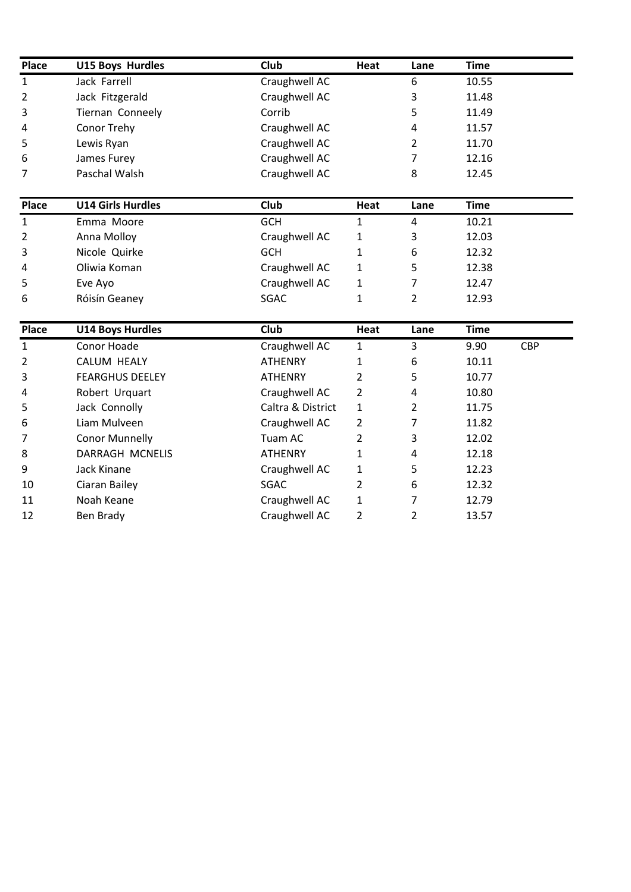| Place          | <b>U15 Boys Hurdles</b>  | <b>Club</b>       | Heat           | Lane           | <b>Time</b> |            |
|----------------|--------------------------|-------------------|----------------|----------------|-------------|------------|
| $\mathbf{1}$   | Jack Farrell             | Craughwell AC     |                | 6              | 10.55       |            |
| $\overline{2}$ | Jack Fitzgerald          | Craughwell AC     |                | 3              | 11.48       |            |
| 3              | Tiernan Conneely         | Corrib            |                | 5              | 11.49       |            |
| 4              | Conor Trehy              | Craughwell AC     |                | 4              | 11.57       |            |
| 5              | Lewis Ryan               | Craughwell AC     |                | 2              | 11.70       |            |
| 6              | James Furey              | Craughwell AC     |                | $\overline{7}$ | 12.16       |            |
| 7              | Paschal Walsh            | Craughwell AC     |                | 8              | 12.45       |            |
| <b>Place</b>   | <b>U14 Girls Hurdles</b> | <b>Club</b>       | Heat           | Lane           | <b>Time</b> |            |
| $\mathbf{1}$   | Emma Moore               | <b>GCH</b>        | $\mathbf{1}$   | $\overline{4}$ | 10.21       |            |
| 2              | Anna Molloy              | Craughwell AC     | 1              | 3              | 12.03       |            |
| 3              | Nicole Quirke            | <b>GCH</b>        | 1              | 6              | 12.32       |            |
| 4              | Oliwia Koman             | Craughwell AC     | 1              | 5              | 12.38       |            |
| 5              | Eve Ayo                  | Craughwell AC     | $\mathbf{1}$   | 7              | 12.47       |            |
| 6              | Róisín Geaney            | SGAC              | $\mathbf{1}$   | $\overline{2}$ | 12.93       |            |
| Place          | <b>U14 Boys Hurdles</b>  | Club              | Heat           | Lane           | <b>Time</b> |            |
| $\mathbf{1}$   | Conor Hoade              | Craughwell AC     | $\mathbf{1}$   | 3              | 9.90        | <b>CBP</b> |
| $\overline{2}$ | <b>CALUM HEALY</b>       | <b>ATHENRY</b>    | 1              | 6              | 10.11       |            |
| 3              | <b>FEARGHUS DEELEY</b>   | <b>ATHENRY</b>    | $\overline{2}$ | 5              | 10.77       |            |
| 4              | Robert Urquart           | Craughwell AC     | $\overline{2}$ | 4              | 10.80       |            |
| 5              | Jack Connolly            | Caltra & District | 1              | 2              | 11.75       |            |
| 6              | Liam Mulveen             | Craughwell AC     | 2              | 7              | 11.82       |            |
| 7              | <b>Conor Munnelly</b>    | Tuam AC           | $\overline{2}$ | 3              | 12.02       |            |
| 8              | DARRAGH MCNELIS          | <b>ATHENRY</b>    | 1              | 4              | 12.18       |            |
| 9              | Jack Kinane              | Craughwell AC     | 1              | 5              | 12.23       |            |
| 10             | Ciaran Bailey            | <b>SGAC</b>       | 2              | 6              | 12.32       |            |
| 11             | Noah Keane               | Craughwell AC     | $\mathbf{1}$   | 7              | 12.79       |            |
| 12             | <b>Ben Brady</b>         | Craughwell AC     | $\overline{2}$ | $\overline{2}$ | 13.57       |            |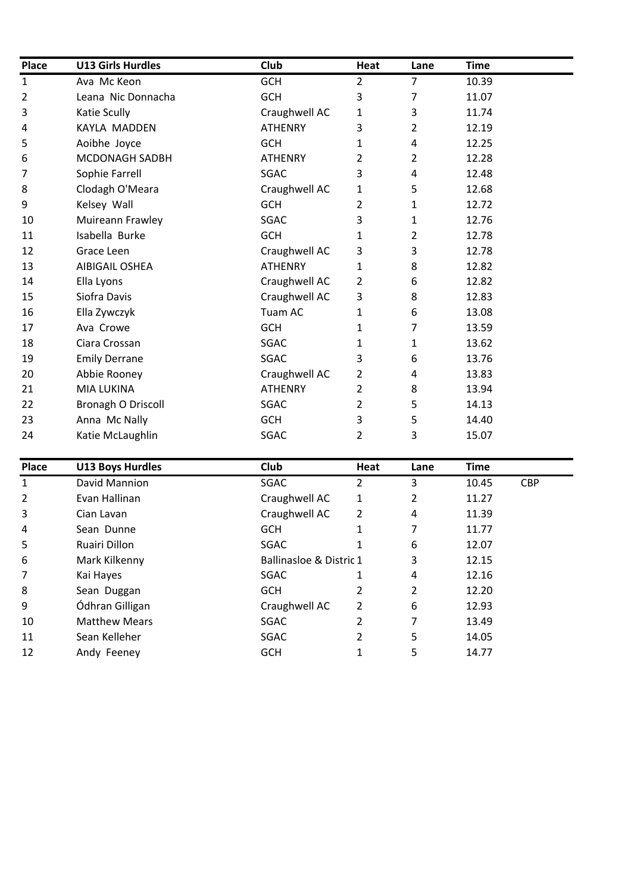| <b>Place</b> | <b>U13 Girls Hurdles</b>  | Club           | Heat           | Lane           | <b>Time</b> |
|--------------|---------------------------|----------------|----------------|----------------|-------------|
| $\mathbf{1}$ | Ava Mc Keon               | <b>GCH</b>     | $\overline{2}$ | $\overline{7}$ | 10.39       |
| 2            | Leana Nic Donnacha        | <b>GCH</b>     | 3              | 7              | 11.07       |
| 3            | Katie Scully              | Craughwell AC  | $\mathbf{1}$   | 3              | 11.74       |
| 4            | KAYLA MADDEN              | <b>ATHENRY</b> | 3              | $\overline{2}$ | 12.19       |
| 5            | Aoibhe Joyce              | <b>GCH</b>     | 1              | 4              | 12.25       |
| 6            | MCDONAGH SADBH            | <b>ATHENRY</b> | 2              | $\overline{2}$ | 12.28       |
| 7            | Sophie Farrell            | SGAC           | 3              | 4              | 12.48       |
| 8            | Clodagh O'Meara           | Craughwell AC  | 1              | 5              | 12.68       |
| 9            | Kelsey Wall               | <b>GCH</b>     | $\overline{2}$ | 1              | 12.72       |
| 10           | Muireann Frawley          | SGAC           | 3              | 1              | 12.76       |
| 11           | Isabella Burke            | <b>GCH</b>     | 1              | 2              | 12.78       |
| 12           | Grace Leen                | Craughwell AC  | 3              | 3              | 12.78       |
| 13           | <b>AIBIGAIL OSHEA</b>     | <b>ATHENRY</b> | 1              | 8              | 12.82       |
| 14           | Ella Lyons                | Craughwell AC  | 2              | 6              | 12.82       |
| 15           | Siofra Davis              | Craughwell AC  | 3              | 8              | 12.83       |
| 16           | Ella Zywczyk              | Tuam AC        | 1              | 6              | 13.08       |
| 17           | Ava Crowe                 | <b>GCH</b>     | 1              | 7              | 13.59       |
| 18           | Ciara Crossan             | SGAC           | 1              | 1              | 13.62       |
| 19           | <b>Emily Derrane</b>      | SGAC           | 3              | 6              | 13.76       |
| 20           | Abbie Rooney              | Craughwell AC  | $\overline{2}$ | 4              | 13.83       |
| 21           | <b>MIA LUKINA</b>         | <b>ATHENRY</b> | $\overline{2}$ | 8              | 13.94       |
| 22           | <b>Bronagh O Driscoll</b> | SGAC           | 2              | 5              | 14.13       |
| 23           | Anna Mc Nally             | <b>GCH</b>     | 3              | 5              | 14.40       |
| 24           | Katie McLaughlin          | SGAC           | 2              | 3              | 15.07       |

| Place          | <b>U13 Boys Hurdles</b> | <b>Club</b>             | Heat | Lane | <b>Time</b> |            |
|----------------|-------------------------|-------------------------|------|------|-------------|------------|
| $\mathbf{1}$   | David Mannion           | SGAC                    | 2    | 3    | 10.45       | <b>CBP</b> |
| $\overline{2}$ | Evan Hallinan           | Craughwell AC           | 1    | 2    | 11.27       |            |
| 3              | Cian Lavan              | Craughwell AC           | 2    | 4    | 11.39       |            |
| 4              | Sean Dunne              | <b>GCH</b>              | 1    | 7    | 11.77       |            |
| 5              | Ruairi Dillon           | SGAC                    |      | 6    | 12.07       |            |
| 6              | Mark Kilkenny           | Ballinasloe & Distric 1 |      | 3    | 12.15       |            |
| 7              | Kai Hayes               | SGAC                    |      | 4    | 12.16       |            |
| 8              | Sean Duggan             | <b>GCH</b>              | 2    | 2    | 12.20       |            |
| 9              | Ódhran Gilligan         | Craughwell AC           | 2    | 6    | 12.93       |            |
| 10             | <b>Matthew Mears</b>    | SGAC                    | 2    | 7    | 13.49       |            |
| 11             | Sean Kelleher           | <b>SGAC</b>             | 2    | 5    | 14.05       |            |
| 12             | Andy Feeney             | <b>GCH</b>              |      | 5    | 14.77       |            |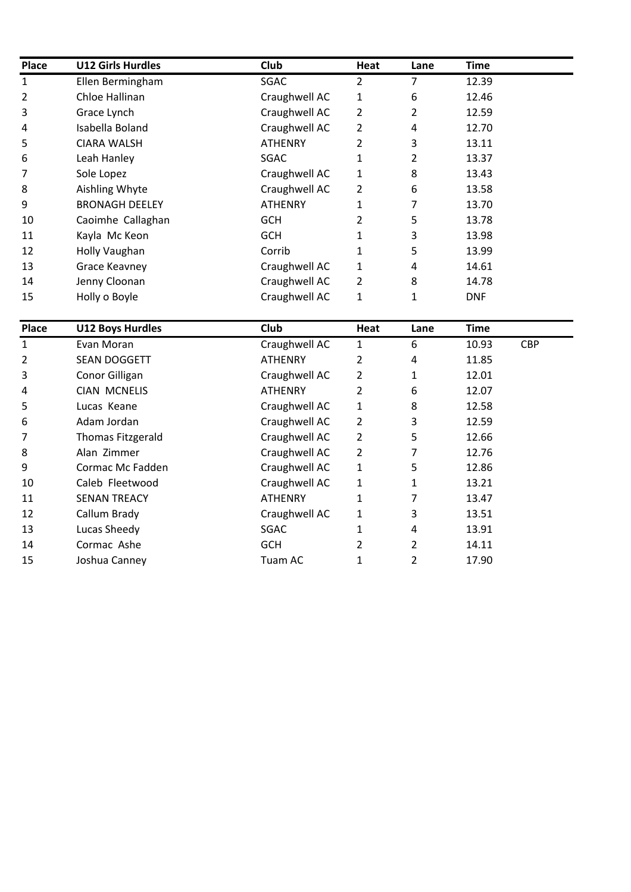| <b>Place</b>   | <b>U12 Girls Hurdles</b> | Club           | Heat           | Lane | Time       |
|----------------|--------------------------|----------------|----------------|------|------------|
| 1              | Ellen Bermingham         | SGAC           | 2              | 7    | 12.39      |
| $\overline{2}$ | Chloe Hallinan           | Craughwell AC  | 1              | 6    | 12.46      |
| 3              | Grace Lynch              | Craughwell AC  | 2              | 2    | 12.59      |
| 4              | Isabella Boland          | Craughwell AC  | 2              | 4    | 12.70      |
| 5              | <b>CIARA WALSH</b>       | <b>ATHENRY</b> | 2              | 3    | 13.11      |
| 6              | Leah Hanley              | <b>SGAC</b>    | 1              | 2    | 13.37      |
| 7              | Sole Lopez               | Craughwell AC  | 1              | 8    | 13.43      |
| 8              | Aishling Whyte           | Craughwell AC  | $\overline{2}$ | 6    | 13.58      |
| 9              | <b>BRONAGH DEELEY</b>    | <b>ATHENRY</b> | 1              |      | 13.70      |
| 10             | Caoimhe Callaghan        | <b>GCH</b>     |                | 5    | 13.78      |
| 11             | Kayla Mc Keon            | <b>GCH</b>     |                | 3    | 13.98      |
| 12             | Holly Vaughan            | Corrib         |                | 5    | 13.99      |
| 13             | Grace Keavney            | Craughwell AC  | 1              | 4    | 14.61      |
| 14             | Jenny Cloonan            | Craughwell AC  | 2              | 8    | 14.78      |
| 15             | Holly o Boyle            | Craughwell AC  | 1              | 1    | <b>DNF</b> |

| Place          | <b>U12 Boys Hurdles</b>  | <b>Club</b>    | Heat | Lane           | <b>Time</b> |            |
|----------------|--------------------------|----------------|------|----------------|-------------|------------|
| $\mathbf{1}$   | Evan Moran               | Craughwell AC  | 1    | 6              | 10.93       | <b>CBP</b> |
| $\overline{2}$ | <b>SEAN DOGGETT</b>      | <b>ATHENRY</b> | 2    | 4              | 11.85       |            |
| 3              | Conor Gilligan           | Craughwell AC  | 2    | 1              | 12.01       |            |
| 4              | <b>CIAN MCNELIS</b>      | <b>ATHENRY</b> | 2    | 6              | 12.07       |            |
| 5              | Lucas Keane              | Craughwell AC  | 1    | 8              | 12.58       |            |
| 6              | Adam Jordan              | Craughwell AC  | 2    | 3              | 12.59       |            |
| 7              | <b>Thomas Fitzgerald</b> | Craughwell AC  | 2    | 5              | 12.66       |            |
| 8              | Alan Zimmer              | Craughwell AC  | 2    | 7              | 12.76       |            |
| 9              | Cormac Mc Fadden         | Craughwell AC  | 1    | 5              | 12.86       |            |
| 10             | Caleb Fleetwood          | Craughwell AC  | 1    | 1              | 13.21       |            |
| 11             | <b>SENAN TREACY</b>      | <b>ATHENRY</b> | 1    | 7              | 13.47       |            |
| 12             | Callum Brady             | Craughwell AC  | 1    | 3              | 13.51       |            |
| 13             | Lucas Sheedy             | SGAC           |      | 4              | 13.91       |            |
| 14             | Cormac Ashe              | <b>GCH</b>     | 2    | $\overline{2}$ | 14.11       |            |
| 15             | Joshua Canney            | Tuam AC        | 1    | 2              | 17.90       |            |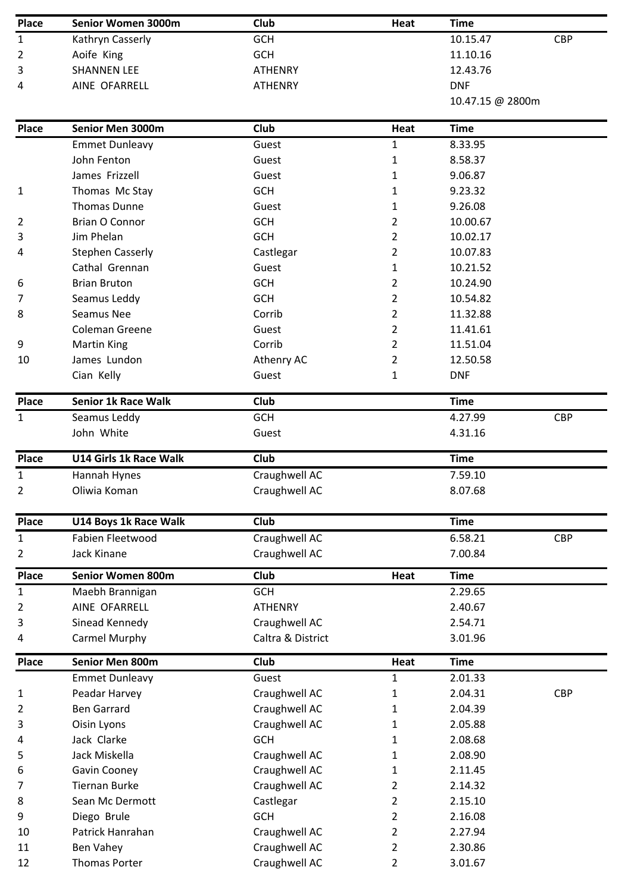| <b>Place</b>   | Senior Women 3000m              | Club                           | Heat           | <b>Time</b>      |            |
|----------------|---------------------------------|--------------------------------|----------------|------------------|------------|
| 1              | Kathryn Casserly                | <b>GCH</b>                     |                | 10.15.47         | <b>CBP</b> |
| 2              | Aoife King                      | <b>GCH</b>                     |                | 11.10.16         |            |
| 3              | <b>SHANNEN LEE</b>              | <b>ATHENRY</b>                 |                | 12.43.76         |            |
| 4              | AINE OFARRELL                   | <b>ATHENRY</b>                 |                | <b>DNF</b>       |            |
|                |                                 |                                |                | 10.47.15 @ 2800m |            |
| Place          | Senior Men 3000m                | <b>Club</b>                    | Heat           | <b>Time</b>      |            |
|                | <b>Emmet Dunleavy</b>           | Guest                          | $\mathbf{1}$   | 8.33.95          |            |
|                | John Fenton                     | Guest                          | 1              | 8.58.37          |            |
|                | James Frizzell                  | Guest                          | 1              | 9.06.87          |            |
| 1              | Thomas Mc Stay                  | <b>GCH</b>                     | 1              | 9.23.32          |            |
|                | <b>Thomas Dunne</b>             | Guest                          | 1              | 9.26.08          |            |
| 2              | <b>Brian O Connor</b>           | <b>GCH</b>                     | 2              | 10.00.67         |            |
| 3              | Jim Phelan                      | <b>GCH</b>                     | $\overline{2}$ | 10.02.17         |            |
| 4              | <b>Stephen Casserly</b>         | Castlegar                      | 2              | 10.07.83         |            |
|                | Cathal Grennan                  | Guest                          | 1              | 10.21.52         |            |
| 6              | <b>Brian Bruton</b>             | <b>GCH</b>                     | 2              | 10.24.90         |            |
| 7              | Seamus Leddy                    | <b>GCH</b>                     | $\overline{2}$ | 10.54.82         |            |
| 8              | Seamus Nee                      | Corrib                         | 2              | 11.32.88         |            |
|                | <b>Coleman Greene</b>           | Guest                          | 2              | 11.41.61         |            |
| 9              | <b>Martin King</b>              | Corrib                         | 2              | 11.51.04         |            |
| 10             | James Lundon                    | Athenry AC                     | 2              | 12.50.58         |            |
|                | Cian Kelly                      | Guest                          | 1              | <b>DNF</b>       |            |
|                |                                 |                                |                |                  |            |
| Place          | <b>Senior 1k Race Walk</b>      | <b>Club</b>                    |                | <b>Time</b>      |            |
| $\mathbf{1}$   | Seamus Leddy                    | <b>GCH</b>                     |                | 4.27.99          | <b>CBP</b> |
|                | John White                      | Guest                          |                | 4.31.16          |            |
| <b>Place</b>   | U14 Girls 1k Race Walk          | <b>Club</b>                    |                | <b>Time</b>      |            |
| 1              | Hannah Hynes                    | Craughwell AC                  |                | 7.59.10          |            |
| $\overline{2}$ | Oliwia Koman                    | Craughwell AC                  |                | 8.07.68          |            |
| <b>Place</b>   | U14 Boys 1k Race Walk           | <b>Club</b>                    |                | <b>Time</b>      |            |
| 1              | Fabien Fleetwood                | Craughwell AC                  |                | 6.58.21          | <b>CBP</b> |
|                |                                 |                                |                | 7.00.84          |            |
| 2              | Jack Kinane                     | Craughwell AC                  |                |                  |            |
| <b>Place</b>   | <b>Senior Women 800m</b>        | Club                           | Heat           | <b>Time</b>      |            |
| $\mathbf{1}$   | Maebh Brannigan                 | <b>GCH</b>                     |                | 2.29.65          |            |
| 2              | AINE OFARRELL                   | <b>ATHENRY</b>                 |                | 2.40.67          |            |
| 3              | Sinead Kennedy                  | Craughwell AC                  |                | 2.54.71          |            |
| 4              |                                 | Caltra & District              |                | 3.01.96          |            |
| <b>Place</b>   | Carmel Murphy                   |                                |                |                  |            |
|                | Senior Men 800m                 | <b>Club</b>                    | Heat           | <b>Time</b>      |            |
| 1              | <b>Emmet Dunleavy</b>           | Guest                          | 1              | 2.01.33          |            |
|                | Peadar Harvey                   | Craughwell AC                  | 1              | 2.04.31          | <b>CBP</b> |
| 2              | <b>Ben Garrard</b>              | Craughwell AC                  | 1              | 2.04.39          |            |
| 3              | Oisin Lyons                     | Craughwell AC                  | 1              | 2.05.88          |            |
| 4              | Jack Clarke                     | <b>GCH</b>                     | 1              | 2.08.68          |            |
| 5              | Jack Miskella                   | Craughwell AC                  | 1              | 2.08.90          |            |
| 6              | Gavin Cooney                    | Craughwell AC                  | 1              | 2.11.45          |            |
| 7              | <b>Tiernan Burke</b>            | Craughwell AC                  | 2              | 2.14.32          |            |
| 8              | Sean Mc Dermott                 |                                | $\overline{2}$ | 2.15.10          |            |
| 9              |                                 | Castlegar<br><b>GCH</b>        | 2              | 2.16.08          |            |
| 10             | Diego Brule<br>Patrick Hanrahan |                                | $\overline{2}$ | 2.27.94          |            |
| 11             | Ben Vahey                       | Craughwell AC<br>Craughwell AC | 2              | 2.30.86          |            |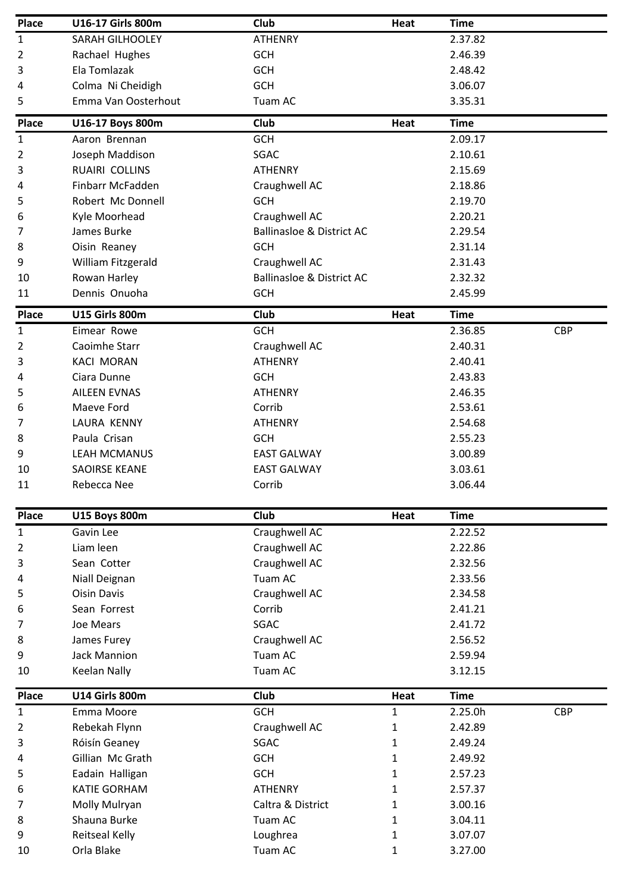| Place        | <b>U16-17 Girls 800m</b> | Club                                 | Heat         | <b>Time</b> |            |
|--------------|--------------------------|--------------------------------------|--------------|-------------|------------|
| 1            | SARAH GILHOOLEY          | <b>ATHENRY</b>                       |              | 2.37.82     |            |
| 2            | Rachael Hughes           | <b>GCH</b>                           |              | 2.46.39     |            |
| 3            | Ela Tomlazak             | <b>GCH</b>                           |              | 2.48.42     |            |
| 4            | Colma Ni Cheidigh        | <b>GCH</b>                           |              | 3.06.07     |            |
| 5            | Emma Van Oosterhout      | Tuam AC                              |              | 3.35.31     |            |
| Place        | U16-17 Boys 800m         | Club                                 | Heat         | <b>Time</b> |            |
| $\mathbf 1$  | Aaron Brennan            | <b>GCH</b>                           |              | 2.09.17     |            |
| 2            | Joseph Maddison          | <b>SGAC</b>                          |              | 2.10.61     |            |
| 3            | RUAIRI COLLINS           | <b>ATHENRY</b>                       |              | 2.15.69     |            |
| 4            | Finbarr McFadden         | Craughwell AC                        |              | 2.18.86     |            |
| 5            | Robert Mc Donnell        | <b>GCH</b>                           |              | 2.19.70     |            |
| 6            | Kyle Moorhead            | Craughwell AC                        |              | 2.20.21     |            |
| 7            | James Burke              | <b>Ballinasloe &amp; District AC</b> |              | 2.29.54     |            |
| 8            | Oisin Reaney             | <b>GCH</b>                           |              | 2.31.14     |            |
| 9            | William Fitzgerald       | Craughwell AC                        |              | 2.31.43     |            |
| 10           | Rowan Harley             | <b>Ballinasloe &amp; District AC</b> |              | 2.32.32     |            |
| 11           | Dennis Onuoha            | <b>GCH</b>                           |              | 2.45.99     |            |
| Place        | <b>U15 Girls 800m</b>    | Club                                 | Heat         | <b>Time</b> |            |
| $\mathbf{1}$ | Eimear Rowe              | GCH                                  |              | 2.36.85     | <b>CBP</b> |
| 2            | Caoimhe Starr            | Craughwell AC                        |              | 2.40.31     |            |
| 3            | <b>KACI MORAN</b>        | <b>ATHENRY</b>                       |              | 2.40.41     |            |
| 4            | Ciara Dunne              | <b>GCH</b>                           |              | 2.43.83     |            |
| 5            | <b>AILEEN EVNAS</b>      | <b>ATHENRY</b>                       |              | 2.46.35     |            |
| 6            | Maeve Ford               | Corrib                               |              | 2.53.61     |            |
| 7            | LAURA KENNY              | <b>ATHENRY</b>                       |              | 2.54.68     |            |
| 8            | Paula Crisan             | <b>GCH</b>                           |              | 2.55.23     |            |
| 9            | LEAH MCMANUS             | <b>EAST GALWAY</b>                   |              | 3.00.89     |            |
| 10           | SAOIRSE KEANE            | <b>EAST GALWAY</b>                   |              | 3.03.61     |            |
| 11           | Rebecca Nee              | Corrib                               |              | 3.06.44     |            |
| Place        | <b>U15 Boys 800m</b>     | <b>Club</b>                          | Heat         | <b>Time</b> |            |
| $\mathbf{1}$ | Gavin Lee                | Craughwell AC                        |              | 2.22.52     |            |
| 2            | Liam leen                | Craughwell AC                        |              | 2.22.86     |            |
| 3            | Sean Cotter              | Craughwell AC                        |              | 2.32.56     |            |
| 4            | Niall Deignan            | Tuam AC                              |              | 2.33.56     |            |
| 5            | <b>Oisin Davis</b>       | Craughwell AC                        |              | 2.34.58     |            |
| 6            | Sean Forrest             | Corrib                               |              | 2.41.21     |            |
| 7            | Joe Mears                | <b>SGAC</b>                          |              | 2.41.72     |            |
| 8            | James Furey              | Craughwell AC                        |              | 2.56.52     |            |
| 9            | <b>Jack Mannion</b>      | Tuam AC                              |              | 2.59.94     |            |
| 10           | <b>Keelan Nally</b>      | Tuam AC                              |              | 3.12.15     |            |
| Place        | <b>U14 Girls 800m</b>    | <b>Club</b>                          | Heat         | <b>Time</b> |            |
| 1            | Emma Moore               | GCH                                  | $\mathbf{1}$ | 2.25.0h     | <b>CBP</b> |
| 2            | Rebekah Flynn            | Craughwell AC                        | 1            | 2.42.89     |            |
| 3            | Róisín Geaney            | <b>SGAC</b>                          | $\mathbf{1}$ | 2.49.24     |            |
| 4            | Gillian Mc Grath         | <b>GCH</b>                           | 1            | 2.49.92     |            |
| 5            | Eadain Halligan          | <b>GCH</b>                           | 1            | 2.57.23     |            |
| 6            | <b>KATIE GORHAM</b>      | <b>ATHENRY</b>                       | 1            | 2.57.37     |            |
| 7            | Molly Mulryan            | Caltra & District                    | 1            | 3.00.16     |            |
| 8            | Shauna Burke             | Tuam AC                              | $\mathbf{1}$ | 3.04.11     |            |
| 9            | Reitseal Kelly           | Loughrea                             | 1            | 3.07.07     |            |
| 10           | Orla Blake               | Tuam AC                              | 1            | 3.27.00     |            |
|              |                          |                                      |              |             |            |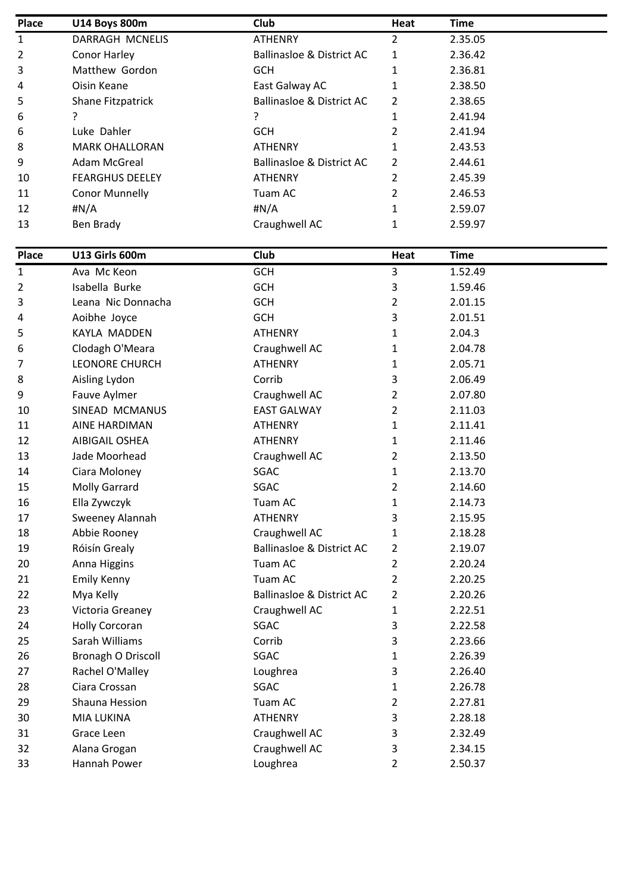| Place          | <b>U14 Boys 800m</b>   | Club                                 | Heat          | <b>Time</b> |
|----------------|------------------------|--------------------------------------|---------------|-------------|
| $\mathbf{1}$   | DARRAGH MCNELIS        | <b>ATHENRY</b>                       | 2             | 2.35.05     |
| $\overline{2}$ | Conor Harley           | <b>Ballinasloe &amp; District AC</b> | 1             | 2.36.42     |
| 3              | Matthew Gordon         | <b>GCH</b>                           | 1             | 2.36.81     |
| 4              | Oisin Keane            | East Galway AC                       | 1             | 2.38.50     |
| 5              | Shane Fitzpatrick      | Ballinasloe & District AC            | 2             | 2.38.65     |
| 6              | ?                      |                                      | 1             | 2.41.94     |
| 6              | Luke Dahler            | <b>GCH</b>                           | 2             | 2.41.94     |
| 8              | <b>MARK OHALLORAN</b>  | <b>ATHENRY</b>                       | 1             | 2.43.53     |
| 9              | Adam McGreal           | Ballinasloe & District AC            | $\mathcal{P}$ | 2.44.61     |
| 10             | <b>FEARGHUS DEELEY</b> | <b>ATHENRY</b>                       |               | 2.45.39     |
| 11             | <b>Conor Munnelly</b>  | Tuam AC                              | 2             | 2.46.53     |
| 12             | #N/A                   | #N/A                                 | $\mathbf{1}$  | 2.59.07     |
| 13             | Ben Brady              | Craughwell AC                        | 1             | 2.59.97     |

| Place | U13 Girls 600m        | Club                                 | Heat           | <b>Time</b> |
|-------|-----------------------|--------------------------------------|----------------|-------------|
| 1     | Ava Mc Keon           | <b>GCH</b>                           | 3              | 1.52.49     |
| 2     | Isabella Burke        | GCH                                  | 3              | 1.59.46     |
| 3     | Leana Nic Donnacha    | <b>GCH</b>                           | $\overline{2}$ | 2.01.15     |
| 4     | Aoibhe Joyce          | <b>GCH</b>                           | 3              | 2.01.51     |
| 5     | KAYLA MADDEN          | <b>ATHENRY</b>                       | $\mathbf{1}$   | 2.04.3      |
| 6     | Clodagh O'Meara       | Craughwell AC                        | 1              | 2.04.78     |
| 7     | <b>LEONORE CHURCH</b> | <b>ATHENRY</b>                       | $\mathbf{1}$   | 2.05.71     |
| 8     | Aisling Lydon         | Corrib                               | 3              | 2.06.49     |
| 9     | Fauve Aylmer          | Craughwell AC                        | $\overline{2}$ | 2.07.80     |
| 10    | SINEAD MCMANUS        | <b>EAST GALWAY</b>                   | $\overline{2}$ | 2.11.03     |
| 11    | <b>AINE HARDIMAN</b>  | <b>ATHENRY</b>                       | $\mathbf{1}$   | 2.11.41     |
| 12    | <b>AIBIGAIL OSHEA</b> | <b>ATHENRY</b>                       | 1              | 2.11.46     |
| 13    | Jade Moorhead         | Craughwell AC                        | $\overline{2}$ | 2.13.50     |
| 14    | Ciara Moloney         | <b>SGAC</b>                          | 1              | 2.13.70     |
| 15    | <b>Molly Garrard</b>  | <b>SGAC</b>                          | $\overline{2}$ | 2.14.60     |
| 16    | Ella Zywczyk          | Tuam AC                              | 1              | 2.14.73     |
| 17    | Sweeney Alannah       | <b>ATHENRY</b>                       | 3              | 2.15.95     |
| 18    | Abbie Rooney          | Craughwell AC                        | $\mathbf{1}$   | 2.18.28     |
| 19    | Róisín Grealy         | <b>Ballinasloe &amp; District AC</b> | $\overline{2}$ | 2.19.07     |
| 20    | Anna Higgins          | Tuam AC                              | $\overline{2}$ | 2.20.24     |
| 21    | Emily Kenny           | Tuam AC                              | $\overline{2}$ | 2.20.25     |
| 22    | Mya Kelly             | <b>Ballinasloe &amp; District AC</b> | 2              | 2.20.26     |
| 23    | Victoria Greaney      | Craughwell AC                        | $\mathbf{1}$   | 2.22.51     |
| 24    | <b>Holly Corcoran</b> | SGAC                                 | 3              | 2.22.58     |
| 25    | Sarah Williams        | Corrib                               | 3              | 2.23.66     |
| 26    | Bronagh O Driscoll    | SGAC                                 | 1              | 2.26.39     |
| 27    | Rachel O'Malley       | Loughrea                             | 3              | 2.26.40     |
| 28    | Ciara Crossan         | <b>SGAC</b>                          | $\mathbf{1}$   | 2.26.78     |
| 29    | Shauna Hession        | Tuam AC                              | $\overline{2}$ | 2.27.81     |
| 30    | <b>MIA LUKINA</b>     | <b>ATHENRY</b>                       | 3              | 2.28.18     |
| 31    | Grace Leen            | Craughwell AC                        | 3              | 2.32.49     |
| 32    | Alana Grogan          | Craughwell AC                        | 3              | 2.34.15     |
| 33    | Hannah Power          | Loughrea                             | $\overline{2}$ | 2.50.37     |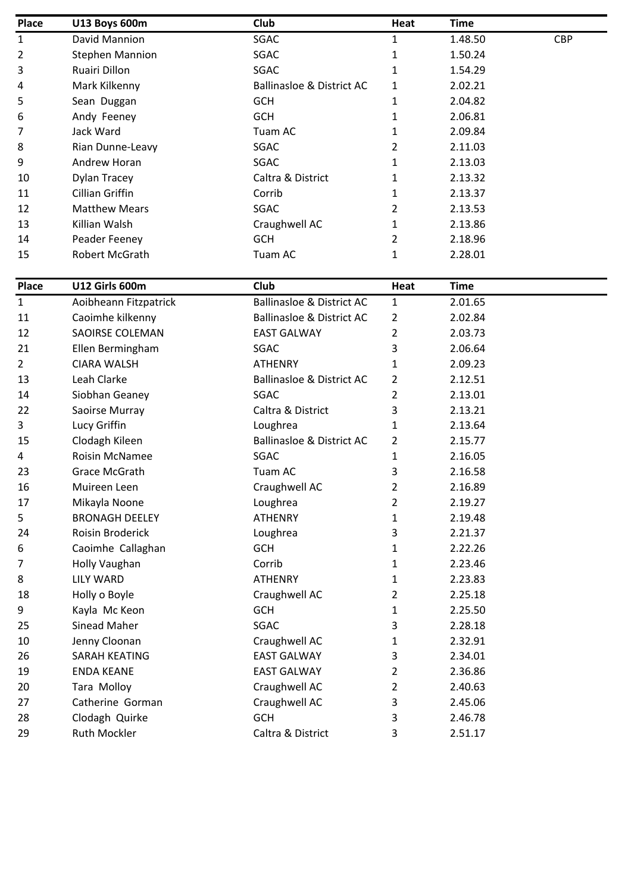| Place        | <b>U13 Boys 600m</b>   | Club                      | Heat | <b>Time</b> |            |
|--------------|------------------------|---------------------------|------|-------------|------------|
| $\mathbf{1}$ | David Mannion          | SGAC                      | 1    | 1.48.50     | <b>CBP</b> |
| 2            | <b>Stephen Mannion</b> | SGAC                      |      | 1.50.24     |            |
| 3            | Ruairi Dillon          | SGAC                      |      | 1.54.29     |            |
| 4            | Mark Kilkenny          | Ballinasloe & District AC | 1    | 2.02.21     |            |
| 5            | Sean Duggan            | <b>GCH</b>                | 1    | 2.04.82     |            |
| 6            | Andy Feeney            | <b>GCH</b>                | 1    | 2.06.81     |            |
| 7            | Jack Ward              | Tuam AC                   | 1    | 2.09.84     |            |
| 8            | Rian Dunne-Leavy       | SGAC                      | 2    | 2.11.03     |            |
| 9            | Andrew Horan           | SGAC                      | 1    | 2.13.03     |            |
| 10           | Dylan Tracey           | Caltra & District         |      | 2.13.32     |            |
| 11           | Cillian Griffin        | Corrib                    | 1    | 2.13.37     |            |
| 12           | <b>Matthew Mears</b>   | SGAC                      | 2    | 2.13.53     |            |
| 13           | Killian Walsh          | Craughwell AC             | 1    | 2.13.86     |            |
| 14           | Peader Feeney          | <b>GCH</b>                | 2    | 2.18.96     |            |
| 15           | <b>Robert McGrath</b>  | Tuam AC                   | 1    | 2.28.01     |            |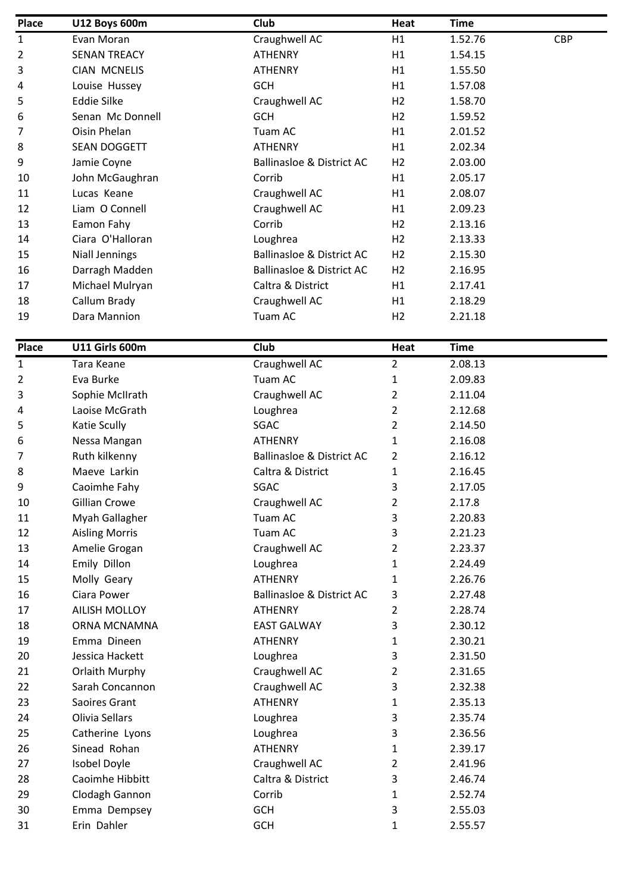| Place          | <b>U12 Boys 600m</b>  | Club                                 | Heat           | <b>Time</b> |            |
|----------------|-----------------------|--------------------------------------|----------------|-------------|------------|
| 1              | Evan Moran            | Craughwell AC                        | H1             | 1.52.76     | <b>CBP</b> |
| $\overline{2}$ | <b>SENAN TREACY</b>   | <b>ATHENRY</b>                       | H1             | 1.54.15     |            |
| 3              | <b>CIAN MCNELIS</b>   | <b>ATHENRY</b>                       | H1             | 1.55.50     |            |
| 4              | Louise Hussey         | <b>GCH</b>                           | H1             | 1.57.08     |            |
| 5              | <b>Eddie Silke</b>    | Craughwell AC                        | H <sub>2</sub> | 1.58.70     |            |
| 6              | Senan Mc Donnell      | <b>GCH</b>                           | H2             | 1.59.52     |            |
| 7              | Oisin Phelan          | Tuam AC                              | H1             | 2.01.52     |            |
| 8              | SEAN DOGGETT          | <b>ATHENRY</b>                       | H1             | 2.02.34     |            |
| 9              | Jamie Coyne           | <b>Ballinasloe &amp; District AC</b> | H <sub>2</sub> | 2.03.00     |            |
| 10             | John McGaughran       | Corrib                               | H1             | 2.05.17     |            |
| 11             | Lucas Keane           | Craughwell AC                        | H1             | 2.08.07     |            |
| 12             | Liam O Connell        | Craughwell AC                        | H1             | 2.09.23     |            |
| 13             | Eamon Fahy            | Corrib                               | H <sub>2</sub> | 2.13.16     |            |
| 14             | Ciara O'Halloran      | Loughrea                             | H <sub>2</sub> | 2.13.33     |            |
| 15             | <b>Niall Jennings</b> | Ballinasloe & District AC            | H <sub>2</sub> | 2.15.30     |            |
| 16             | Darragh Madden        | <b>Ballinasloe &amp; District AC</b> | H <sub>2</sub> | 2.16.95     |            |
| 17             | Michael Mulryan       | Caltra & District                    | H1             | 2.17.41     |            |
| 18             | Callum Brady          | Craughwell AC                        | H1             | 2.18.29     |            |
| 19             | Dara Mannion          | Tuam AC                              | H <sub>2</sub> | 2.21.18     |            |
|                |                       |                                      |                |             |            |

| <b>Place</b>   | <b>U11 Girls 600m</b> | Club                                 | Heat           | <b>Time</b> |
|----------------|-----------------------|--------------------------------------|----------------|-------------|
| $\mathbf{1}$   | Tara Keane            | Craughwell AC                        | $\overline{2}$ | 2.08.13     |
| $\overline{2}$ | Eva Burke             | Tuam AC                              | $\mathbf{1}$   | 2.09.83     |
| 3              | Sophie McIIrath       | Craughwell AC                        | $\overline{2}$ | 2.11.04     |
| 4              | Laoise McGrath        | Loughrea                             | $\overline{2}$ | 2.12.68     |
| 5              | Katie Scully          | SGAC                                 | $\overline{2}$ | 2.14.50     |
| 6              | Nessa Mangan          | <b>ATHENRY</b>                       | $\mathbf{1}$   | 2.16.08     |
| 7              | Ruth kilkenny         | <b>Ballinasloe &amp; District AC</b> | $\overline{2}$ | 2.16.12     |
| 8              | Maeve Larkin          | Caltra & District                    | 1              | 2.16.45     |
| 9              | Caoimhe Fahy          | SGAC                                 | 3              | 2.17.05     |
| 10             | <b>Gillian Crowe</b>  | Craughwell AC                        | 2              | 2.17.8      |
| 11             | Myah Gallagher        | Tuam AC                              | 3              | 2.20.83     |
| 12             | <b>Aisling Morris</b> | Tuam AC                              | 3              | 2.21.23     |
| 13             | Amelie Grogan         | Craughwell AC                        | $\overline{2}$ | 2.23.37     |
| 14             | Emily Dillon          | Loughrea                             | $\mathbf{1}$   | 2.24.49     |
| 15             | Molly Geary           | <b>ATHENRY</b>                       | $\mathbf{1}$   | 2.26.76     |
| 16             | Ciara Power           | <b>Ballinasloe &amp; District AC</b> | 3              | 2.27.48     |
| 17             | <b>AILISH MOLLOY</b>  | <b>ATHENRY</b>                       | $\overline{2}$ | 2.28.74     |
| 18             | ORNA MCNAMNA          | <b>EAST GALWAY</b>                   | 3              | 2.30.12     |
| 19             | Emma Dineen           | <b>ATHENRY</b>                       | 1              | 2.30.21     |
| 20             | Jessica Hackett       | Loughrea                             | 3              | 2.31.50     |
| 21             | Orlaith Murphy        | Craughwell AC                        | 2              | 2.31.65     |
| 22             | Sarah Concannon       | Craughwell AC                        | 3              | 2.32.38     |
| 23             | Saoires Grant         | <b>ATHENRY</b>                       | 1              | 2.35.13     |
| 24             | Olivia Sellars        | Loughrea                             | 3              | 2.35.74     |
| 25             | Catherine Lyons       | Loughrea                             | 3              | 2.36.56     |
| 26             | Sinead Rohan          | <b>ATHENRY</b>                       | $\mathbf{1}$   | 2.39.17     |
| 27             | <b>Isobel Doyle</b>   | Craughwell AC                        | $\overline{2}$ | 2.41.96     |
| 28             | Caoimhe Hibbitt       | Caltra & District                    | 3              | 2.46.74     |
| 29             | Clodagh Gannon        | Corrib                               | $\mathbf{1}$   | 2.52.74     |
| 30             | Emma Dempsey          | <b>GCH</b>                           | 3              | 2.55.03     |
| 31             | Erin Dahler           | <b>GCH</b>                           | $\mathbf{1}$   | 2.55.57     |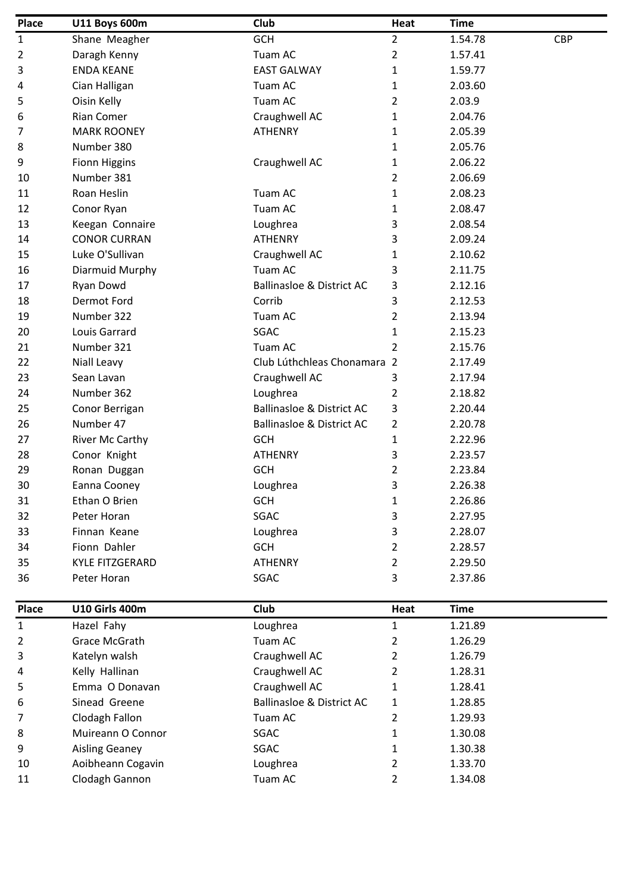| GCH<br>Shane Meagher<br>1<br>$\overline{2}$<br>Daragh Kenny<br>3<br><b>ENDA KEANE</b><br>Cian Halligan<br>Tuam AC<br>4<br>Oisin Kelly<br>Tuam AC<br>5<br><b>Rian Comer</b><br>6<br>7<br><b>MARK ROONEY</b><br>Number 380<br>8 | Tuam AC<br><b>EAST GALWAY</b><br>Craughwell AC<br><b>ATHENRY</b><br>Craughwell AC | $\overline{2}$<br>2<br>1<br>1<br>2<br>1<br>1<br>1 | 1.54.78<br>1.57.41<br>1.59.77<br>2.03.60<br>2.03.9<br>2.04.76<br>2.05.39 | <b>CBP</b> |
|-------------------------------------------------------------------------------------------------------------------------------------------------------------------------------------------------------------------------------|-----------------------------------------------------------------------------------|---------------------------------------------------|--------------------------------------------------------------------------|------------|
|                                                                                                                                                                                                                               |                                                                                   |                                                   |                                                                          |            |
|                                                                                                                                                                                                                               |                                                                                   |                                                   |                                                                          |            |
|                                                                                                                                                                                                                               |                                                                                   |                                                   |                                                                          |            |
|                                                                                                                                                                                                                               |                                                                                   |                                                   |                                                                          |            |
|                                                                                                                                                                                                                               |                                                                                   |                                                   |                                                                          |            |
|                                                                                                                                                                                                                               |                                                                                   |                                                   |                                                                          |            |
|                                                                                                                                                                                                                               |                                                                                   |                                                   |                                                                          |            |
|                                                                                                                                                                                                                               |                                                                                   |                                                   | 2.05.76                                                                  |            |
| 9<br><b>Fionn Higgins</b>                                                                                                                                                                                                     |                                                                                   | 1                                                 | 2.06.22                                                                  |            |
| Number 381<br>10                                                                                                                                                                                                              |                                                                                   | 2                                                 | 2.06.69                                                                  |            |
| Roan Heslin<br>Tuam AC<br>11                                                                                                                                                                                                  |                                                                                   | 1                                                 | 2.08.23                                                                  |            |
| Tuam AC<br>12<br>Conor Ryan                                                                                                                                                                                                   |                                                                                   | 1                                                 | 2.08.47                                                                  |            |
| 13<br>Keegan Connaire                                                                                                                                                                                                         | Loughrea                                                                          | 3                                                 | 2.08.54                                                                  |            |
| <b>CONOR CURRAN</b><br>14                                                                                                                                                                                                     | <b>ATHENRY</b>                                                                    | 3                                                 | 2.09.24                                                                  |            |
| Luke O'Sullivan<br>15                                                                                                                                                                                                         | Craughwell AC                                                                     | 1                                                 | 2.10.62                                                                  |            |
| Diarmuid Murphy<br>Tuam AC<br>16                                                                                                                                                                                              |                                                                                   | 3                                                 | 2.11.75                                                                  |            |
| Ryan Dowd<br>17                                                                                                                                                                                                               | <b>Ballinasloe &amp; District AC</b>                                              | 3                                                 | 2.12.16                                                                  |            |
| Dermot Ford<br>Corrib<br>18                                                                                                                                                                                                   |                                                                                   | 3                                                 | 2.12.53                                                                  |            |
| Number 322<br>Tuam AC<br>19                                                                                                                                                                                                   |                                                                                   | 2                                                 | 2.13.94                                                                  |            |
| SGAC<br>20<br>Louis Garrard                                                                                                                                                                                                   |                                                                                   | 1                                                 | 2.15.23                                                                  |            |
| Number 321<br>Tuam AC<br>21                                                                                                                                                                                                   |                                                                                   | 2                                                 | 2.15.76                                                                  |            |
| 22<br>Niall Leavy                                                                                                                                                                                                             | Club Lúthchleas Chonamara 2                                                       |                                                   | 2.17.49                                                                  |            |
| 23<br>Sean Lavan                                                                                                                                                                                                              | Craughwell AC                                                                     | 3                                                 | 2.17.94                                                                  |            |
| Number 362<br>24                                                                                                                                                                                                              | Loughrea                                                                          | 2                                                 | 2.18.82                                                                  |            |
| 25<br>Conor Berrigan                                                                                                                                                                                                          | <b>Ballinasloe &amp; District AC</b>                                              | 3                                                 | 2.20.44                                                                  |            |
| Number 47<br>26                                                                                                                                                                                                               | <b>Ballinasloe &amp; District AC</b>                                              | 2                                                 | 2.20.78                                                                  |            |
| <b>GCH</b><br>27<br><b>River Mc Carthy</b>                                                                                                                                                                                    |                                                                                   | 1                                                 | 2.22.96                                                                  |            |
| 28<br>Conor Knight                                                                                                                                                                                                            | <b>ATHENRY</b>                                                                    | 3                                                 | 2.23.57                                                                  |            |
| 29<br><b>GCH</b><br>Ronan Duggan                                                                                                                                                                                              |                                                                                   | 2                                                 | 2.23.84                                                                  |            |
| 30<br>Eanna Cooney                                                                                                                                                                                                            | Loughrea                                                                          | 3                                                 | 2.26.38                                                                  |            |
| 31<br><b>GCH</b><br>Ethan O Brien                                                                                                                                                                                             |                                                                                   | 1                                                 | 2.26.86                                                                  |            |
| SGAC<br>32<br>Peter Horan                                                                                                                                                                                                     |                                                                                   | 3                                                 | 2.27.95                                                                  |            |
| Finnan Keane<br>33                                                                                                                                                                                                            | Loughrea                                                                          | 3                                                 | 2.28.07                                                                  |            |
| Fionn Dahler<br><b>GCH</b><br>34                                                                                                                                                                                              |                                                                                   | 2                                                 | 2.28.57                                                                  |            |
| <b>KYLE FITZGERARD</b><br>35                                                                                                                                                                                                  | <b>ATHENRY</b>                                                                    | $\overline{2}$                                    | 2.29.50                                                                  |            |
| Peter Horan<br>SGAC<br>36                                                                                                                                                                                                     |                                                                                   | 3                                                 | 2.37.86                                                                  |            |

| <b>Place</b>   | <b>U10 Girls 400m</b> | Club                                 | Heat | Time    |
|----------------|-----------------------|--------------------------------------|------|---------|
| $\mathbf{1}$   | Hazel Fahy            | Loughrea                             |      | 1.21.89 |
| $\overline{2}$ | Grace McGrath         | Tuam AC                              | 2    | 1.26.29 |
| 3              | Katelyn walsh         | Craughwell AC                        |      | 1.26.79 |
| 4              | Kelly Hallinan        | Craughwell AC                        |      | 1.28.31 |
| 5              | Emma O Donavan        | Craughwell AC                        |      | 1.28.41 |
| 6              | Sinead Greene         | <b>Ballinasloe &amp; District AC</b> | 1    | 1.28.85 |
| $\overline{7}$ | Clodagh Fallon        | Tuam AC                              | 2    | 1.29.93 |
| 8              | Muireann O Connor     | SGAC                                 |      | 1.30.08 |
| 9              | Aisling Geaney        | SGAC                                 |      | 1.30.38 |
| 10             | Aoibheann Cogavin     | Loughrea                             |      | 1.33.70 |
| 11             | Clodagh Gannon        | Tuam AC                              |      | 1.34.08 |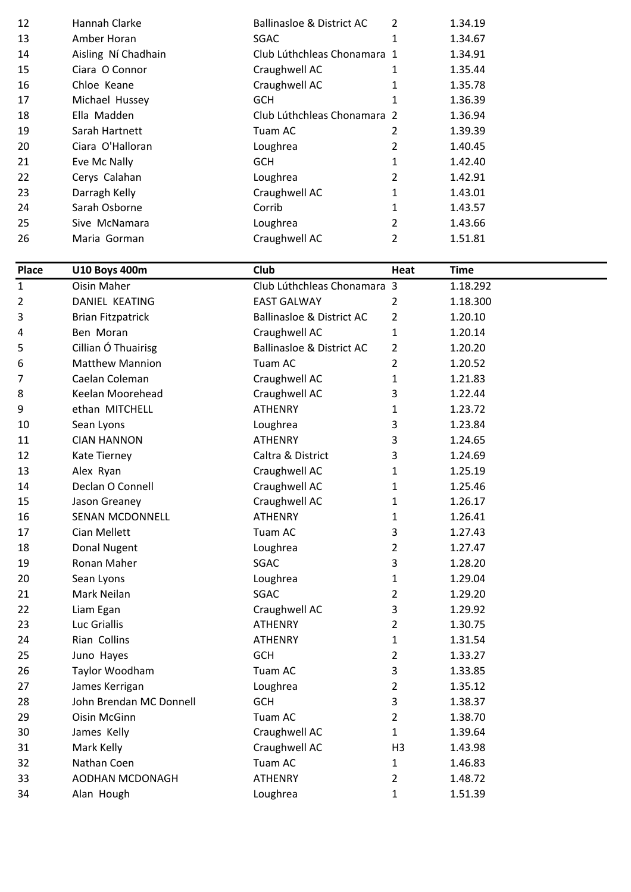| 12 | Hannah Clarke       | <b>Ballinasloe &amp; District AC</b> | $\mathcal{P}$  | 1.34.19 |
|----|---------------------|--------------------------------------|----------------|---------|
| 13 | Amber Horan         | <b>SGAC</b>                          | 1              | 1.34.67 |
| 14 | Aisling Ní Chadhain | Club Lúthchleas Chonamara 1          |                | 1.34.91 |
| 15 | Ciara O Connor      | Craughwell AC                        | 1              | 1.35.44 |
| 16 | Chloe Keane         | Craughwell AC                        |                | 1.35.78 |
| 17 | Michael Hussey      | <b>GCH</b>                           | 1              | 1.36.39 |
| 18 | Ella Madden         | Club Lúthchleas Chonamara 2          |                | 1.36.94 |
| 19 | Sarah Hartnett      | Tuam AC                              | 2              | 1.39.39 |
| 20 | Ciara O'Halloran    | Loughrea                             | 2              | 1.40.45 |
| 21 | Eve Mc Nally        | <b>GCH</b>                           | 1              | 1.42.40 |
| 22 | Cerys Calahan       | Loughrea                             | $\mathcal{P}$  | 1.42.91 |
| 23 | Darragh Kelly       | Craughwell AC                        | 1              | 1.43.01 |
| 24 | Sarah Osborne       | Corrib                               | 1              | 1.43.57 |
| 25 | Sive McNamara       | Loughrea                             | 2              | 1.43.66 |
| 26 | Maria Gorman        | Craughwell AC                        | $\overline{2}$ | 1.51.81 |

| <b>Place</b> | <b>U10 Boys 400m</b>     | Club                                 | <b>Heat</b>    | <b>Time</b> |
|--------------|--------------------------|--------------------------------------|----------------|-------------|
| $\mathbf{1}$ | <b>Oisin Maher</b>       | Club Lúthchleas Chonamara 3          |                | 1.18.292    |
| 2            | <b>DANIEL KEATING</b>    | <b>EAST GALWAY</b>                   | 2              | 1.18.300    |
| 3            | <b>Brian Fitzpatrick</b> | <b>Ballinasloe &amp; District AC</b> | 2              | 1.20.10     |
| 4            | Ben Moran                | Craughwell AC                        | 1              | 1.20.14     |
| 5            | Cillian Ó Thuairisg      | <b>Ballinasloe &amp; District AC</b> | $\overline{2}$ | 1.20.20     |
| 6            | <b>Matthew Mannion</b>   | Tuam AC                              | $\overline{2}$ | 1.20.52     |
| 7            | Caelan Coleman           | Craughwell AC                        | $\mathbf{1}$   | 1.21.83     |
| 8            | Keelan Moorehead         | Craughwell AC                        | 3              | 1.22.44     |
| 9            | ethan MITCHELL           | <b>ATHENRY</b>                       | 1              | 1.23.72     |
| 10           | Sean Lyons               | Loughrea                             | 3              | 1.23.84     |
| 11           | <b>CIAN HANNON</b>       | <b>ATHENRY</b>                       | 3              | 1.24.65     |
| 12           | <b>Kate Tierney</b>      | Caltra & District                    | 3              | 1.24.69     |
| 13           | Alex Ryan                | Craughwell AC                        | $\mathbf{1}$   | 1.25.19     |
| 14           | Declan O Connell         | Craughwell AC                        | 1              | 1.25.46     |
| 15           | Jason Greaney            | Craughwell AC                        | 1              | 1.26.17     |
| 16           | <b>SENAN MCDONNELL</b>   | <b>ATHENRY</b>                       | 1              | 1.26.41     |
| 17           | Cian Mellett             | Tuam AC                              | 3              | 1.27.43     |
| 18           | Donal Nugent             | Loughrea                             | $\overline{2}$ | 1.27.47     |
| 19           | Ronan Maher              | SGAC                                 | 3              | 1.28.20     |
| 20           | Sean Lyons               | Loughrea                             | $\mathbf{1}$   | 1.29.04     |
| 21           | Mark Neilan              | SGAC                                 | $\overline{2}$ | 1.29.20     |
| 22           | Liam Egan                | Craughwell AC                        | 3              | 1.29.92     |
| 23           | Luc Griallis             | <b>ATHENRY</b>                       | $\overline{2}$ | 1.30.75     |
| 24           | Rian Collins             | <b>ATHENRY</b>                       | 1              | 1.31.54     |
| 25           | Juno Hayes               | <b>GCH</b>                           | $\overline{2}$ | 1.33.27     |
| 26           | Taylor Woodham           | Tuam AC                              | 3              | 1.33.85     |
| 27           | James Kerrigan           | Loughrea                             | $\overline{2}$ | 1.35.12     |
| 28           | John Brendan MC Donnell  | <b>GCH</b>                           | 3              | 1.38.37     |
| 29           | Oisin McGinn             | Tuam AC                              | $\overline{2}$ | 1.38.70     |
| 30           | James Kelly              | Craughwell AC                        | $\mathbf{1}$   | 1.39.64     |
| 31           | Mark Kelly               | Craughwell AC                        | H <sub>3</sub> | 1.43.98     |
| 32           | Nathan Coen              | Tuam AC                              | $\mathbf{1}$   | 1.46.83     |
| 33           | AODHAN MCDONAGH          | <b>ATHENRY</b>                       | $\overline{2}$ | 1.48.72     |
| 34           | Alan Hough               | Loughrea                             | $\mathbf{1}$   | 1.51.39     |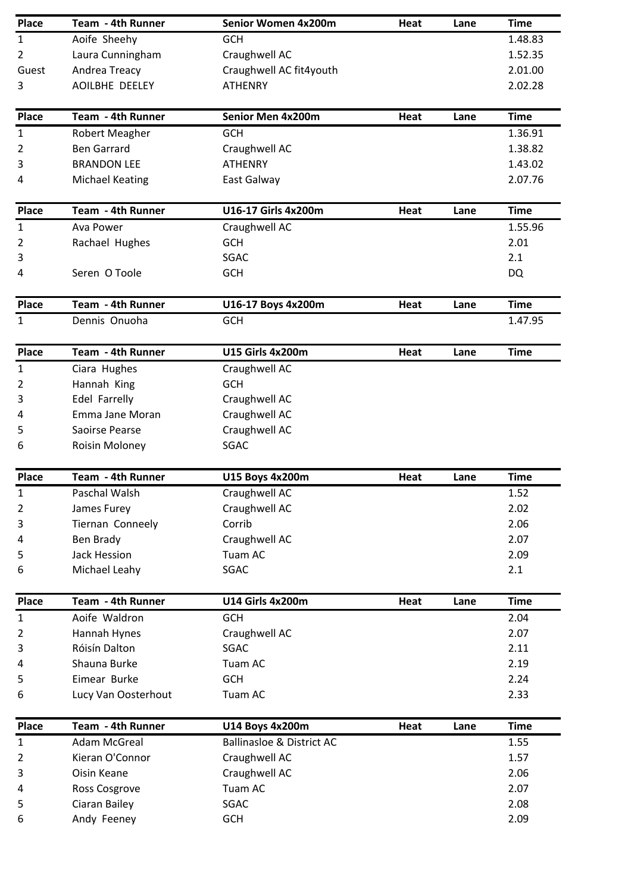| <b>Place</b>   | Team - 4th Runner      | Senior Women 4x200m                  | Heat | Lane | <b>Time</b> |
|----------------|------------------------|--------------------------------------|------|------|-------------|
| $\mathbf{1}$   | Aoife Sheehy           | <b>GCH</b>                           |      |      | 1.48.83     |
| $\overline{2}$ | Laura Cunningham       | Craughwell AC                        |      |      | 1.52.35     |
| Guest          | Andrea Treacy          | Craughwell AC fit4youth              |      |      | 2.01.00     |
| 3              | AOILBHE DEELEY         | <b>ATHENRY</b>                       |      |      | 2.02.28     |
|                |                        |                                      |      |      |             |
| Place          | Team - 4th Runner      | Senior Men 4x200m                    | Heat | Lane | <b>Time</b> |
| $\mathbf{1}$   | Robert Meagher         | <b>GCH</b>                           |      |      | 1.36.91     |
| 2              | <b>Ben Garrard</b>     | Craughwell AC                        |      |      | 1.38.82     |
| 3              | <b>BRANDON LEE</b>     | <b>ATHENRY</b>                       |      |      | 1.43.02     |
| 4              | <b>Michael Keating</b> | East Galway                          |      |      | 2.07.76     |
| Place          | Team - 4th Runner      | U16-17 Girls 4x200m                  | Heat | Lane | <b>Time</b> |
| 1              | Ava Power              | Craughwell AC                        |      |      | 1.55.96     |
| 2              | Rachael Hughes         | <b>GCH</b>                           |      |      | 2.01        |
| 3              |                        | SGAC                                 |      |      | 2.1         |
| 4              | Seren O Toole          | <b>GCH</b>                           |      |      | <b>DQ</b>   |
| Place          | Team - 4th Runner      | U16-17 Boys 4x200m                   | Heat | Lane | <b>Time</b> |
| 1              | Dennis Onuoha          | <b>GCH</b>                           |      |      | 1.47.95     |
| Place          | Team - 4th Runner      | <b>U15 Girls 4x200m</b>              | Heat | Lane | <b>Time</b> |
| 1              | Ciara Hughes           | Craughwell AC                        |      |      |             |
| 2              | Hannah King            | <b>GCH</b>                           |      |      |             |
| 3              | Edel Farrelly          | Craughwell AC                        |      |      |             |
| 4              | Emma Jane Moran        | Craughwell AC                        |      |      |             |
| 5              | Saoirse Pearse         | Craughwell AC                        |      |      |             |
| 6              | Roisin Moloney         | SGAC                                 |      |      |             |
|                |                        |                                      |      |      |             |
| <b>Place</b>   | Team - 4th Runner      | <b>U15 Boys 4x200m</b>               | Heat | Lane | <b>Time</b> |
| 1              | Paschal Walsh          | Craughwell AC                        |      |      | 1.52        |
| 2              | James Furey            | Craughwell AC                        |      |      | 2.02        |
| 3              | Tiernan Conneely       | Corrib                               |      |      | 2.06        |
| 4              | Ben Brady              | Craughwell AC                        |      |      | 2.07        |
| 5              | Jack Hession           | Tuam AC                              |      |      | 2.09        |
| 6              | Michael Leahy          | SGAC                                 |      |      | 2.1         |
| <b>Place</b>   | Team - 4th Runner      | <b>U14 Girls 4x200m</b>              | Heat | Lane | <b>Time</b> |
| $\mathbf{1}$   | Aoife Waldron          | GCH                                  |      |      | 2.04        |
| 2              | Hannah Hynes           | Craughwell AC                        |      |      | 2.07        |
| 3              | Róisín Dalton          | SGAC                                 |      |      | 2.11        |
| 4              | Shauna Burke           | Tuam AC                              |      |      | 2.19        |
| 5              | Eimear Burke           | <b>GCH</b>                           |      |      | 2.24        |
| 6              | Lucy Van Oosterhout    | Tuam AC                              |      |      | 2.33        |
| Place          | Team - 4th Runner      | U14 Boys 4x200m                      | Heat | Lane | <b>Time</b> |
| $\mathbf{1}$   | <b>Adam McGreal</b>    | <b>Ballinasloe &amp; District AC</b> |      |      | 1.55        |
| 2              | Kieran O'Connor        | Craughwell AC                        |      |      | 1.57        |
| 3              | Oisin Keane            | Craughwell AC                        |      |      | 2.06        |
| 4              | Ross Cosgrove          | Tuam AC                              |      |      | 2.07        |
| 5              | Ciaran Bailey          | SGAC                                 |      |      | 2.08        |
| 6              | Andy Feeney            | <b>GCH</b>                           |      |      | 2.09        |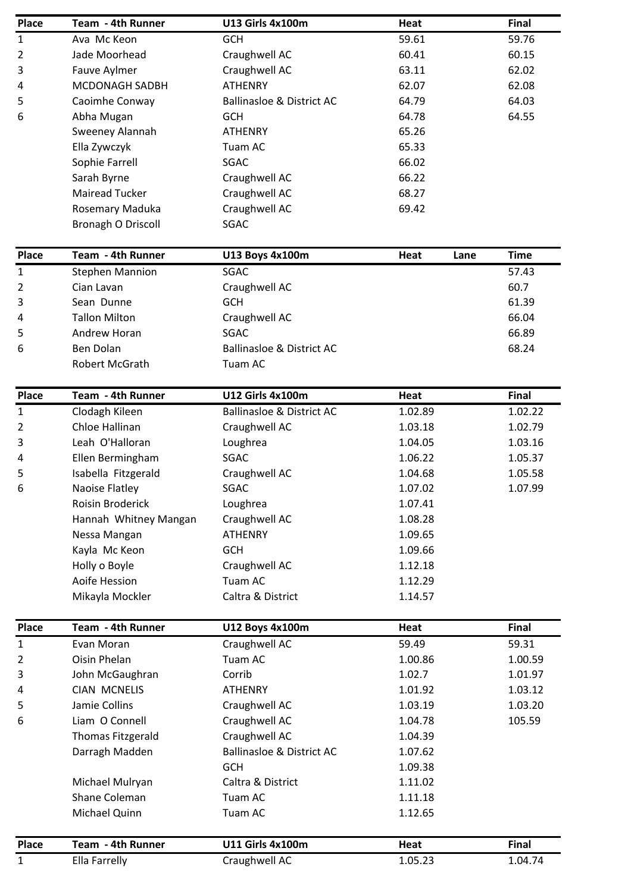| <b>Place</b>   | Team - 4th Runner        | <b>U13 Girls 4x100m</b>              | <b>Heat</b>  | <b>Final</b> |
|----------------|--------------------------|--------------------------------------|--------------|--------------|
| 1              | Ava Mc Keon              | <b>GCH</b>                           | 59.61        | 59.76        |
| $\overline{2}$ | Jade Moorhead            | Craughwell AC                        | 60.41        | 60.15        |
| 3              | Fauve Aylmer             | Craughwell AC                        | 63.11        | 62.02        |
| 4              | MCDONAGH SADBH           | <b>ATHENRY</b>                       | 62.07        | 62.08        |
| 5              | Caoimhe Conway           | <b>Ballinasloe &amp; District AC</b> | 64.79        | 64.03        |
| 6              | Abha Mugan               | <b>GCH</b>                           | 64.78        | 64.55        |
|                | Sweeney Alannah          | <b>ATHENRY</b>                       | 65.26        |              |
|                | Ella Zywczyk             | Tuam AC                              | 65.33        |              |
|                | Sophie Farrell           | <b>SGAC</b>                          | 66.02        |              |
|                | Sarah Byrne              | Craughwell AC                        | 66.22        |              |
|                | <b>Mairead Tucker</b>    | Craughwell AC                        | 68.27        |              |
|                | Rosemary Maduka          | Craughwell AC                        | 69.42        |              |
|                | Bronagh O Driscoll       | SGAC                                 |              |              |
| <b>Place</b>   | Team - 4th Runner        | <b>U13 Boys 4x100m</b>               | Heat<br>Lane | <b>Time</b>  |
| $\mathbf{1}$   | <b>Stephen Mannion</b>   | <b>SGAC</b>                          |              | 57.43        |
| $\overline{2}$ | Cian Lavan               | Craughwell AC                        |              | 60.7         |
| 3              | Sean Dunne               | <b>GCH</b>                           |              | 61.39        |
| 4              | <b>Tallon Milton</b>     | Craughwell AC                        |              | 66.04        |
| 5              | Andrew Horan             | <b>SGAC</b>                          |              | 66.89        |
| 6              | Ben Dolan                | <b>Ballinasloe &amp; District AC</b> |              | 68.24        |
|                | Robert McGrath           | Tuam AC                              |              |              |
|                |                          |                                      |              |              |
| <b>Place</b>   | Team - 4th Runner        | <b>U12 Girls 4x100m</b>              | Heat         | Final        |
| $\mathbf{1}$   | Clodagh Kileen           | <b>Ballinasloe &amp; District AC</b> | 1.02.89      | 1.02.22      |
| $\overline{2}$ | Chloe Hallinan           | Craughwell AC                        | 1.03.18      | 1.02.79      |
| 3              | Leah O'Halloran          | Loughrea                             | 1.04.05      | 1.03.16      |
| 4              | Ellen Bermingham         | SGAC                                 | 1.06.22      | 1.05.37      |
| 5              | Isabella Fitzgerald      | Craughwell AC                        | 1.04.68      | 1.05.58      |
| 6              | Naoise Flatley           | SGAC                                 | 1.07.02      | 1.07.99      |
|                | Roisin Broderick         | Loughrea                             | 1.07.41      |              |
|                | Hannah Whitney Mangan    | Craughwell AC                        | 1.08.28      |              |
|                | Nessa Mangan             | <b>ATHENRY</b>                       | 1.09.65      |              |
|                | Kayla Mc Keon            | <b>GCH</b>                           | 1.09.66      |              |
|                | Holly o Boyle            | Craughwell AC                        | 1.12.18      |              |
|                | Aoife Hession            | Tuam AC                              | 1.12.29      |              |
|                | Mikayla Mockler          | Caltra & District                    | 1.14.57      |              |
| <b>Place</b>   | Team - 4th Runner        | <b>U12 Boys 4x100m</b>               | Heat         | <b>Final</b> |
| $\mathbf{1}$   | Evan Moran               | Craughwell AC                        | 59.49        | 59.31        |
| 2              | Oisin Phelan             | Tuam AC                              | 1.00.86      | 1.00.59      |
| 3              | John McGaughran          | Corrib                               | 1.02.7       | 1.01.97      |
| 4              | <b>CIAN MCNELIS</b>      | <b>ATHENRY</b>                       | 1.01.92      | 1.03.12      |
| 5              | Jamie Collins            | Craughwell AC                        | 1.03.19      | 1.03.20      |
| 6              | Liam O Connell           | Craughwell AC                        | 1.04.78      | 105.59       |
|                | <b>Thomas Fitzgerald</b> | Craughwell AC                        | 1.04.39      |              |
|                | Darragh Madden           | <b>Ballinasloe &amp; District AC</b> | 1.07.62      |              |
|                |                          | <b>GCH</b>                           | 1.09.38      |              |
|                | Michael Mulryan          | Caltra & District                    | 1.11.02      |              |
|                | Shane Coleman            | Tuam AC                              | 1.11.18      |              |
|                | Michael Quinn            | Tuam AC                              | 1.12.65      |              |
| <b>Place</b>   | Team - 4th Runner        | <b>U11 Girls 4x100m</b>              | Heat         | Final        |
| 1              | Ella Farrelly            | Craughwell AC                        | 1.05.23      | 1.04.74      |
|                |                          |                                      |              |              |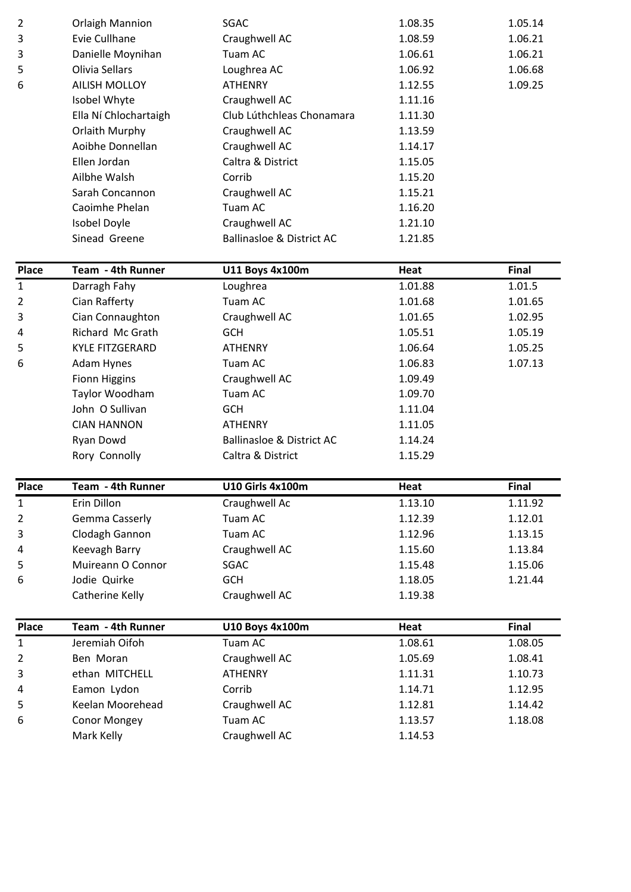| $\overline{2}$ | <b>Orlaigh Mannion</b> | SGAC                                 | 1.08.35 | 1.05.14 |
|----------------|------------------------|--------------------------------------|---------|---------|
| 3              | Evie Cullhane          | Craughwell AC                        | 1.08.59 | 1.06.21 |
| 3              | Danielle Moynihan      | Tuam AC                              | 1.06.61 | 1.06.21 |
| 5              | Olivia Sellars         | Loughrea AC                          | 1.06.92 | 1.06.68 |
| 6              | <b>AILISH MOLLOY</b>   | <b>ATHENRY</b>                       | 1.12.55 | 1.09.25 |
|                | Isobel Whyte           | Craughwell AC                        | 1.11.16 |         |
|                | Ella Ní Chlochartaigh  | Club Lúthchleas Chonamara            | 1.11.30 |         |
|                | Orlaith Murphy         | Craughwell AC                        | 1.13.59 |         |
|                | Aoibhe Donnellan       | Craughwell AC                        | 1.14.17 |         |
|                | Ellen Jordan           | Caltra & District                    | 1.15.05 |         |
|                | Ailbhe Walsh           | Corrib                               | 1.15.20 |         |
|                | Sarah Concannon        | Craughwell AC                        | 1.15.21 |         |
|                | Caoimhe Phelan         | Tuam AC                              | 1.16.20 |         |
|                | Isobel Doyle           | Craughwell AC                        | 1.21.10 |         |
|                | Sinead Greene          | <b>Ballinasloe &amp; District AC</b> | 1.21.85 |         |

| Place        | Team - 4th Runner      | U11 Boys 4x100m                      | Heat    | Final   |
|--------------|------------------------|--------------------------------------|---------|---------|
| $\mathbf{1}$ | Darragh Fahy           | Loughrea                             | 1.01.88 | 1.01.5  |
| 2            | Cian Rafferty          | Tuam AC                              | 1.01.68 | 1.01.65 |
| 3            | Cian Connaughton       | Craughwell AC                        | 1.01.65 | 1.02.95 |
| 4            | Richard Mc Grath       | <b>GCH</b>                           | 1.05.51 | 1.05.19 |
| 5            | <b>KYLE FITZGERARD</b> | <b>ATHENRY</b>                       | 1.06.64 | 1.05.25 |
| 6            | Adam Hynes             | Tuam AC                              | 1.06.83 | 1.07.13 |
|              | <b>Fionn Higgins</b>   | Craughwell AC                        | 1.09.49 |         |
|              | Taylor Woodham         | Tuam AC                              | 1.09.70 |         |
|              | John O Sullivan        | <b>GCH</b>                           | 1.11.04 |         |
|              | <b>CIAN HANNON</b>     | <b>ATHENRY</b>                       | 1.11.05 |         |
|              | Ryan Dowd              | <b>Ballinasloe &amp; District AC</b> | 1.14.24 |         |
|              | Rory Connolly          | Caltra & District                    | 1.15.29 |         |

| Place | Team - 4th Runner | <b>U10 Girls 4x100m</b> | Heat    | <b>Final</b> |
|-------|-------------------|-------------------------|---------|--------------|
| 1     | Erin Dillon       | Craughwell Ac           | 1.13.10 | 1.11.92      |
| 2     | Gemma Casserly    | Tuam AC                 | 1.12.39 | 1.12.01      |
| 3     | Clodagh Gannon    | Tuam AC                 | 1.12.96 | 1.13.15      |
| 4     | Keevagh Barry     | Craughwell AC           | 1.15.60 | 1.13.84      |
| 5     | Muireann O Connor | <b>SGAC</b>             | 1.15.48 | 1.15.06      |
| 6     | Jodie Quirke      | <b>GCH</b>              | 1.18.05 | 1.21.44      |
|       | Catherine Kelly   | Craughwell AC           | 1.19.38 |              |

| Place        | Team - 4th Runner | <b>U10 Boys 4x100m</b> | Heat    | <b>Final</b> |
|--------------|-------------------|------------------------|---------|--------------|
| $\mathbf{1}$ | Jeremiah Oifoh    | Tuam AC                | 1.08.61 | 1.08.05      |
| 2            | Ben Moran         | Craughwell AC          | 1.05.69 | 1.08.41      |
| 3            | ethan MITCHELL    | <b>ATHENRY</b>         | 1.11.31 | 1.10.73      |
| 4            | Eamon Lydon       | Corrib                 | 1.14.71 | 1.12.95      |
| 5            | Keelan Moorehead  | Craughwell AC          | 1.12.81 | 1.14.42      |
| 6            | Conor Mongey      | Tuam AC                | 1.13.57 | 1.18.08      |
|              | Mark Kelly        | Craughwell AC          | 1.14.53 |              |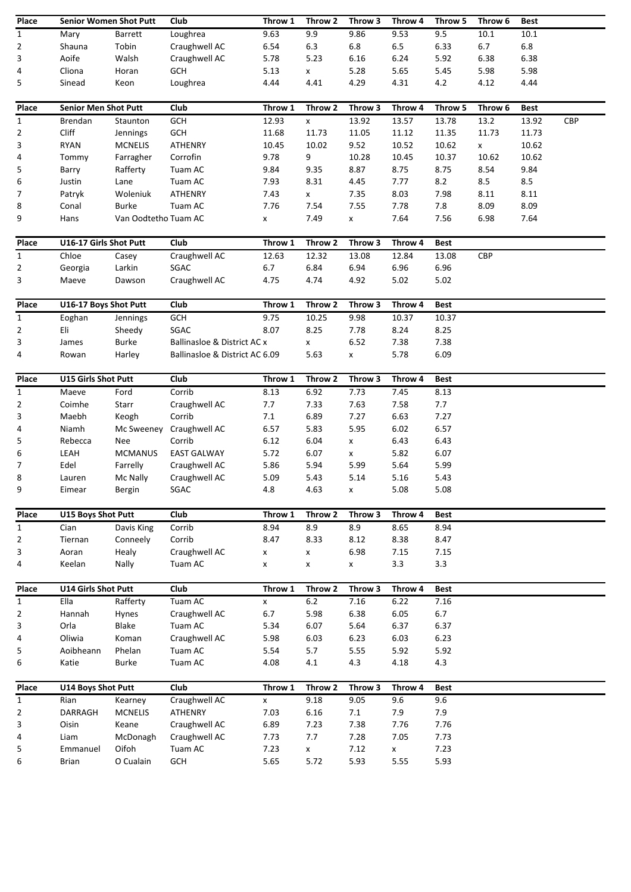| Place                          | <b>Senior Women Shot Putt</b> |                      | Club                           | Throw 1  | Throw 2          | Throw 3            | Throw 4      | Throw 5     | Throw 6 | <b>Best</b> |     |
|--------------------------------|-------------------------------|----------------------|--------------------------------|----------|------------------|--------------------|--------------|-------------|---------|-------------|-----|
| $\mathbf{1}$                   | Mary                          | Barrett              | Loughrea                       | 9.63     | 9.9              | 9.86               | 9.53         | 9.5         | 10.1    | $10.1\,$    |     |
| $\overline{2}$                 | Shauna                        | Tobin                | Craughwell AC                  | 6.54     | 6.3              | 6.8                | 6.5          | 6.33        | 6.7     | $6.8\,$     |     |
| 3                              | Aoife                         | Walsh                | Craughwell AC                  | 5.78     | 5.23             | 6.16               | 6.24         | 5.92        | 6.38    | 6.38        |     |
| 4                              | Cliona                        | Horan                | GCH                            | 5.13     | X                | 5.28               | 5.65         | 5.45        | 5.98    | 5.98        |     |
| 5                              | Sinead                        | Keon                 | Loughrea                       | 4.44     | 4.41             | 4.29               | 4.31         | 4.2         | 4.12    | 4.44        |     |
|                                |                               |                      |                                |          |                  |                    |              |             |         |             |     |
| Place                          | <b>Senior Men Shot Putt</b>   |                      | Club                           | Throw 1  | Throw 2          | Throw 3            | Throw 4      | Throw 5     | Throw 6 | <b>Best</b> |     |
| $\mathbf{1}$                   | Brendan                       | Staunton             | GCH                            | 12.93    | X                | 13.92              | 13.57        | 13.78       | 13.2    | 13.92       | CBP |
| $\overline{2}$                 | Cliff                         | Jennings             | GCH                            | 11.68    | 11.73            | 11.05              | 11.12        | 11.35       | 11.73   | 11.73       |     |
| 3                              | <b>RYAN</b>                   | <b>MCNELIS</b>       | <b>ATHENRY</b>                 | 10.45    | 10.02            | 9.52               | 10.52        | 10.62       | X       | 10.62       |     |
| 4                              | Tommy                         | Farragher            | Corrofin                       | 9.78     | 9                | 10.28              | 10.45        | 10.37       | 10.62   | 10.62       |     |
| 5                              | Barry                         | Rafferty             | Tuam AC                        | 9.84     | 9.35             | 8.87               | 8.75         | 8.75        | 8.54    | 9.84        |     |
| 6                              | Justin                        | Lane                 | Tuam AC                        | 7.93     | 8.31             | 4.45               | 7.77         | 8.2         | 8.5     | 8.5         |     |
| 7                              | Patryk                        | Woleniuk             | <b>ATHENRY</b>                 | 7.43     | X                | 7.35               | 8.03         | 7.98        | 8.11    | 8.11        |     |
| 8                              | Conal                         | <b>Burke</b>         | Tuam AC                        | 7.76     | 7.54             | 7.55               | 7.78         | 7.8         | 8.09    | 8.09        |     |
| 9                              | Hans                          | Van Oodtetho Tuam AC |                                | X        | 7.49             | X                  | 7.64         | 7.56        | 6.98    | 7.64        |     |
|                                |                               |                      |                                |          |                  |                    |              |             |         |             |     |
| Place                          | U16-17 Girls Shot Putt        |                      | Club                           | Throw 1  | Throw 2          | Throw 3            | Throw 4      | <b>Best</b> |         |             |     |
| $\mathbf{1}$                   | Chloe                         | Casey                | Craughwell AC                  | 12.63    | 12.32            | 13.08              | 12.84        | 13.08       | CBP     |             |     |
| 2                              | Georgia                       | Larkin               | SGAC                           | 6.7      | 6.84             | 6.94               | 6.96         | 6.96        |         |             |     |
| 3                              | Maeve                         | Dawson               | Craughwell AC                  | 4.75     | 4.74             | 4.92               | 5.02         | 5.02        |         |             |     |
|                                |                               |                      |                                |          |                  |                    |              |             |         |             |     |
| Place                          | U16-17 Boys Shot Putt         |                      | Club                           | Throw 1  | Throw 2          | Throw 3            | Throw 4      | <b>Best</b> |         |             |     |
| $\mathbf{1}$                   | Eoghan                        | Jennings             | GCH                            | 9.75     | 10.25            | 9.98               | 10.37        | 10.37       |         |             |     |
| $\overline{2}$                 | Eli                           | Sheedy               | SGAC                           | 8.07     | 8.25             | 7.78               | 8.24         | 8.25        |         |             |     |
| 3                              | James                         | <b>Burke</b>         | Ballinasloe & District AC x    |          | X                | 6.52               | 7.38         | 7.38        |         |             |     |
| 4                              | Rowan                         | Harley               | Ballinasloe & District AC 6.09 |          | 5.63             | X                  | 5.78         | 6.09        |         |             |     |
|                                |                               |                      |                                |          |                  |                    |              |             |         |             |     |
| Place                          | U15 Girls Shot Putt           |                      | Club                           | Throw 1  | Throw 2          | Throw 3            | Throw 4      | <b>Best</b> |         |             |     |
| $\mathbf{1}$                   | Maeve                         | Ford                 | Corrib                         | 8.13     | 6.92             | 7.73               | 7.45         | 8.13        |         |             |     |
| $\overline{2}$                 | Coimhe                        | Starr                | Craughwell AC                  | 7.7      | 7.33             | 7.63               | 7.58         | 7.7         |         |             |     |
| 3                              | Maebh                         | Keogh                | Corrib                         | 7.1      | 6.89             | 7.27               | 6.63         | 7.27        |         |             |     |
| 4                              | Niamh                         | Mc Sweeney           | Craughwell AC                  | 6.57     | 5.83             | 5.95               | 6.02         | 6.57        |         |             |     |
| 5                              | Rebecca                       | Nee                  | Corrib                         | 6.12     | 6.04             | $\pmb{\mathsf{x}}$ | 6.43         | 6.43        |         |             |     |
| 6                              | LEAH                          | <b>MCMANUS</b>       | <b>EAST GALWAY</b>             | 5.72     | 6.07             | $\pmb{\mathsf{X}}$ | 5.82         | 6.07        |         |             |     |
| 7                              | Edel                          | Farrelly             | Craughwell AC                  | 5.86     | 5.94             | 5.99               | 5.64         | 5.99        |         |             |     |
| 8                              | Lauren                        | Mc Nally             | Craughwell AC                  | 5.09     | 5.43             | 5.14               | 5.16         | 5.43        |         |             |     |
| 9                              | Eimear                        | Bergin               | SGAC                           | 4.8      | 4.63             | x                  | 5.08         | 5.08        |         |             |     |
|                                |                               |                      |                                |          |                  |                    |              |             |         |             |     |
| Place                          | <b>U15 Boys Shot Putt</b>     |                      | Club                           | Throw 1  | Throw 2          | Throw 3            | Throw 4      | <b>Best</b> |         |             |     |
| $\mathbf{1}$                   | Cian                          | Davis King           | Corrib                         | 8.94     | 8.9              | 8.9                | 8.65         | 8.94        |         |             |     |
| $\overline{2}$                 | Tiernan                       | Conneely             | Corrib                         | 8.47     | 8.33             | 8.12               | 8.38         | 8.47        |         |             |     |
| 3                              | Aoran                         | Healy                | Craughwell AC                  | x        | X                | 6.98               | 7.15         | 7.15        |         |             |     |
| 4                              | Keelan                        | Nally                | Tuam AC                        | X        | x                | x                  | 3.3          | 3.3         |         |             |     |
|                                | <b>U14 Girls Shot Putt</b>    |                      |                                |          |                  |                    |              |             |         |             |     |
| Place                          | Ella                          | Rafferty             | Club<br>Tuam AC                | Throw 1  | Throw 2<br>$6.2$ | Throw 3            | Throw 4      | <b>Best</b> |         |             |     |
| $\mathbf{1}$<br>$\overline{2}$ | Hannah                        | Hynes                | Craughwell AC                  | X<br>6.7 | 5.98             | 7.16<br>6.38       | 6.22<br>6.05 | 7.16<br>6.7 |         |             |     |
| 3                              | Orla                          | <b>Blake</b>         | Tuam AC                        | 5.34     | 6.07             | 5.64               | 6.37         | 6.37        |         |             |     |
| 4                              | Oliwia                        | Koman                | Craughwell AC                  | 5.98     | 6.03             | 6.23               | 6.03         | 6.23        |         |             |     |
| 5                              | Aoibheann                     | Phelan               | Tuam AC                        | 5.54     | 5.7              | 5.55               | 5.92         | 5.92        |         |             |     |
| 6                              | Katie                         | <b>Burke</b>         | Tuam AC                        | 4.08     | 4.1              | 4.3                | 4.18         | 4.3         |         |             |     |
|                                |                               |                      |                                |          |                  |                    |              |             |         |             |     |
| Place                          | U14 Boys Shot Putt            |                      | Club                           | Throw 1  | Throw 2          | Throw 3            | Throw 4      | <b>Best</b> |         |             |     |
| $\mathbf{1}$                   | Rian                          | Kearney              | Craughwell AC                  | X        | 9.18             | 9.05               | 9.6          | 9.6         |         |             |     |
| $\overline{2}$                 | DARRAGH                       | <b>MCNELIS</b>       | ATHENRY                        | 7.03     | 6.16             | 7.1                | 7.9          | 7.9         |         |             |     |
| 3                              | Oisin                         | Keane                | Craughwell AC                  | 6.89     | 7.23             | 7.38               | 7.76         | 7.76        |         |             |     |
| 4                              | Liam                          | McDonagh             | Craughwell AC                  | 7.73     | 7.7              | 7.28               | 7.05         | 7.73        |         |             |     |
| 5                              | Emmanuel                      | Oifoh                | Tuam AC                        | 7.23     | X                | 7.12               | X            | 7.23        |         |             |     |
| 6                              | Brian                         | O Cualain            | <b>GCH</b>                     | 5.65     | 5.72             | 5.93               | 5.55         | 5.93        |         |             |     |
|                                |                               |                      |                                |          |                  |                    |              |             |         |             |     |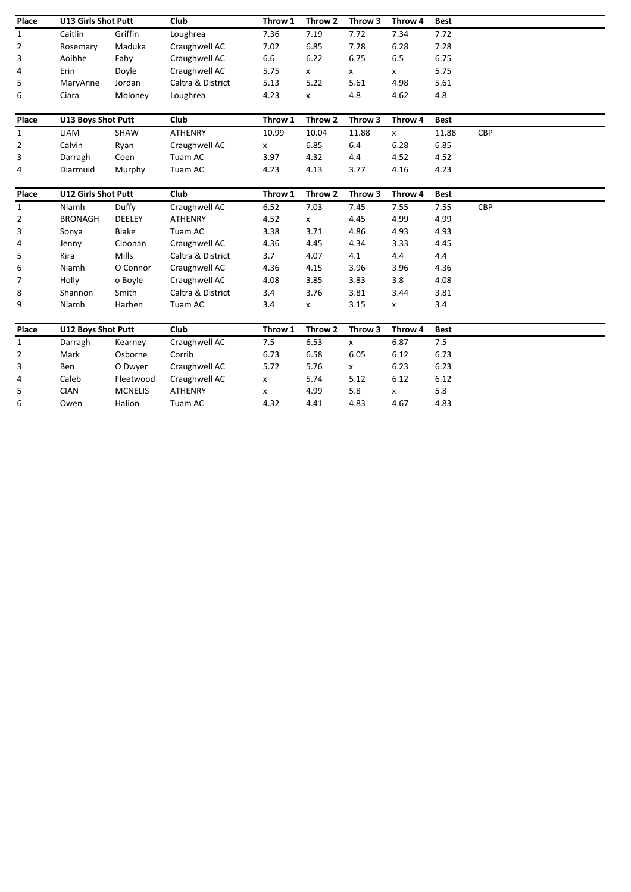| Place          | <b>U13 Girls Shot Putt</b> |                | Club              | Throw 1 | Throw 2 | Throw 3            | Throw 4      | <b>Best</b> |            |
|----------------|----------------------------|----------------|-------------------|---------|---------|--------------------|--------------|-------------|------------|
| 1              | Caitlin                    | Griffin        | Loughrea          | 7.36    | 7.19    | 7.72               | 7.34         | 7.72        |            |
| 2              | Rosemary                   | Maduka         | Craughwell AC     | 7.02    | 6.85    | 7.28               | 6.28         | 7.28        |            |
| 3              | Aoibhe                     | Fahy           | Craughwell AC     | 6.6     | 6.22    | 6.75               | 6.5          | 6.75        |            |
| 4              | Erin                       | Doyle          | Craughwell AC     | 5.75    | X       | X                  | X            | 5.75        |            |
| 5              | MaryAnne                   | Jordan         | Caltra & District | 5.13    | 5.22    | 5.61               | 4.98         | 5.61        |            |
| 6              | Ciara                      | Moloney        | Loughrea          | 4.23    | X       | 4.8                | 4.62         | 4.8         |            |
| Place          | <b>U13 Boys Shot Putt</b>  |                | Club              | Throw 1 | Throw 2 | Throw 3            | Throw 4      | <b>Best</b> |            |
| $\mathbf{1}$   | LIAM                       | <b>SHAW</b>    | <b>ATHENRY</b>    | 10.99   | 10.04   | 11.88              | $\mathsf{x}$ | 11.88       | <b>CBP</b> |
| $\overline{2}$ | Calvin                     | Ryan           | Craughwell AC     | x       | 6.85    | 6.4                | 6.28         | 6.85        |            |
| 3              | Darragh                    | Coen           | Tuam AC           | 3.97    | 4.32    | 4.4                | 4.52         | 4.52        |            |
| 4              | Diarmuid                   | Murphy         | Tuam AC           | 4.23    | 4.13    | 3.77               | 4.16         | 4.23        |            |
| Place          | <b>U12 Girls Shot Putt</b> |                | Club              | Throw 1 | Throw 2 | Throw 3            | Throw 4      | <b>Best</b> |            |
| $\mathbf{1}$   | Niamh                      | Duffy          | Craughwell AC     | 6.52    | 7.03    | 7.45               | 7.55         | 7.55        | <b>CBP</b> |
| $\overline{2}$ | <b>BRONAGH</b>             | <b>DEELEY</b>  | <b>ATHENRY</b>    | 4.52    | X       | 4.45               | 4.99         | 4.99        |            |
| 3              | Sonya                      | Blake          | Tuam AC           | 3.38    | 3.71    | 4.86               | 4.93         | 4.93        |            |
| 4              | Jenny                      | Cloonan        | Craughwell AC     | 4.36    | 4.45    | 4.34               | 3.33         | 4.45        |            |
| 5              | Kira                       | Mills          | Caltra & District | 3.7     | 4.07    | 4.1                | 4.4          | 4.4         |            |
| 6              | Niamh                      | O Connor       | Craughwell AC     | 4.36    | 4.15    | 3.96               | 3.96         | 4.36        |            |
| 7              | Holly                      | o Boyle        | Craughwell AC     | 4.08    | 3.85    | 3.83               | 3.8          | 4.08        |            |
| 8              | Shannon                    | Smith          | Caltra & District | 3.4     | 3.76    | 3.81               | 3.44         | 3.81        |            |
| 9              | Niamh                      | Harhen         | Tuam AC           | 3.4     | X       | 3.15               | X            | 3.4         |            |
| Place          | <b>U12 Boys Shot Putt</b>  |                | Club              | Throw 1 | Throw 2 | Throw 3            | Throw 4      | <b>Best</b> |            |
| $\mathbf{1}$   | Darragh                    | Kearney        | Craughwell AC     | 7.5     | 6.53    | $\pmb{\mathsf{X}}$ | 6.87         | 7.5         |            |
| 2              | Mark                       | Osborne        | Corrib            | 6.73    | 6.58    | 6.05               | 6.12         | 6.73        |            |
| 3              | Ben                        | O Dwyer        | Craughwell AC     | 5.72    | 5.76    | $\mathsf{x}$       | 6.23         | 6.23        |            |
| 4              | Caleb                      | Fleetwood      | Craughwell AC     | X       | 5.74    | 5.12               | 6.12         | 6.12        |            |
| 5              | <b>CIAN</b>                | <b>MCNELIS</b> | <b>ATHENRY</b>    | x       | 4.99    | 5.8                | x            | 5.8         |            |
| 6              | Owen                       | Halion         | Tuam AC           | 4.32    | 4.41    | 4.83               | 4.67         | 4.83        |            |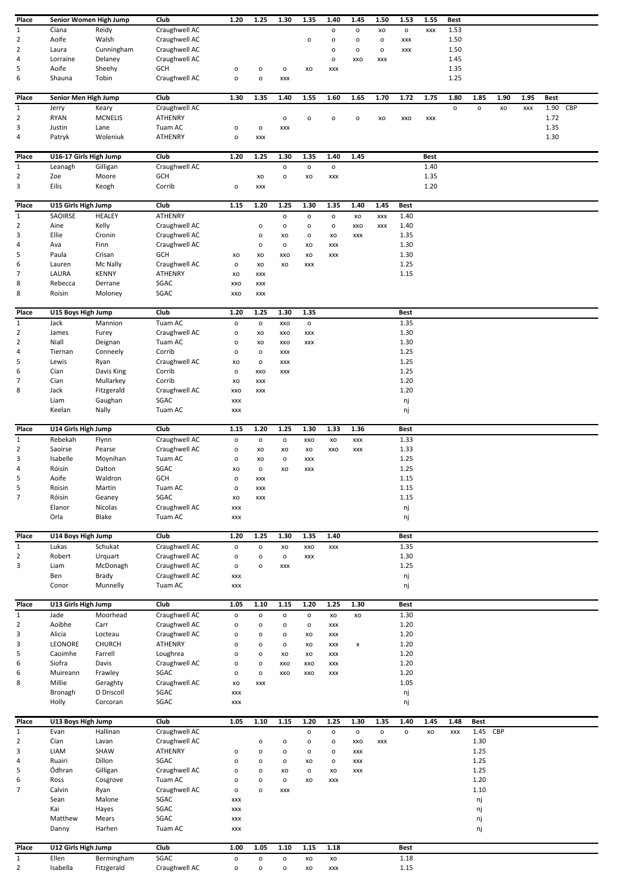| Place                          | Senior Women High Jump |                          | Club                     | 1.20                           | 1.25                         | 1.30                           | 1.35           | 1.40                | 1.45           | 1.50         | 1.53                | 1.55        | Best         |              |      |      |              |     |
|--------------------------------|------------------------|--------------------------|--------------------------|--------------------------------|------------------------------|--------------------------------|----------------|---------------------|----------------|--------------|---------------------|-------------|--------------|--------------|------|------|--------------|-----|
| $\mathbf{1}$                   | Ciana                  | Reidy                    | Craughwell AC            |                                |                              |                                |                | o                   | $\mathsf{o}$   | XO           | $\mathsf{o}$        | XXX         | 1.53         |              |      |      |              |     |
| $\overline{2}$                 | Aoife                  | Walsh                    | Craughwell AC            |                                |                              |                                | o              | $\mathsf{o}$        | $\mathsf{o}$   | $\mathsf{o}$ | XXX                 |             | 1.50         |              |      |      |              |     |
| $\overline{2}$                 | Laura                  | Cunningham               | Craughwell AC            |                                |                              |                                |                | o                   | $\mathsf{o}$   | o            | XXX                 |             | 1.50         |              |      |      |              |     |
| $\overline{4}$                 | Lorraine               | Delaney                  | Craughwell AC            |                                |                              |                                |                | $\mathsf{o}\xspace$ | XXO            | <b>XXX</b>   |                     |             | 1.45         |              |      |      |              |     |
| 5                              | Aoife                  | Sheehy                   | GCH                      | o                              | $\mathsf{o}$                 | $\mathsf{o}$                   | XO             | XXX                 |                |              |                     |             | 1.35         |              |      |      |              |     |
| 6                              | Shauna                 | Tobin                    | Craughwell AC            | $\mathsf{o}\xspace$            | $\mathsf{o}\xspace$          | <b>XXX</b>                     |                |                     |                |              |                     |             | 1.25         |              |      |      |              |     |
|                                |                        |                          |                          |                                |                              |                                |                |                     |                |              |                     |             |              |              |      |      |              |     |
| Place                          | Senior Men High Jump   |                          | Club                     | 1.30                           | 1.35                         | 1.40                           | 1.55           | 1.60                | 1.65           | 1.70         | 1.72                | 1.75        | 1.80         | 1.85         | 1.90 | 1.95 | <b>Best</b>  |     |
| $\mathbf{1}$<br>$\overline{2}$ | Jerry<br><b>RYAN</b>   | Keary<br><b>MCNELIS</b>  | Craughwell AC<br>ATHENRY |                                |                              | $\mathsf{o}$                   | o              | o                   | o              | XO           | XXO                 | XXX         | $\mathsf{o}$ | $\mathsf{o}$ | XO   | XXX  | 1.90<br>1.72 | CBP |
| 3                              | Justin                 | Lane                     | Tuam AC                  | $\mathsf{o}\xspace$            | $\mathsf{o}$                 | <b>XXX</b>                     |                |                     |                |              |                     |             |              |              |      |      | 1.35         |     |
| 4                              | Patryk                 | Woleniuk                 | ATHENRY                  | $\mathsf{o}\xspace$            | XXX                          |                                |                |                     |                |              |                     |             |              |              |      |      | 1.30         |     |
|                                |                        |                          |                          |                                |                              |                                |                |                     |                |              |                     |             |              |              |      |      |              |     |
| Place                          | U16-17 Girls High Jump |                          | Club                     | 1.20                           | 1.25                         | 1.30                           | 1.35           | 1.40                | 1.45           |              |                     | <b>Best</b> |              |              |      |      |              |     |
| $\mathbf{1}$                   | Leanagh                | Gilligan                 | Craughwell AC            |                                |                              | $\mathsf{o}$                   | $\mathsf{o}$   | $\mathsf{o}\,$      |                |              |                     | 1.40        |              |              |      |      |              |     |
| $\overline{2}$                 | Zoe                    | Moore                    | GCH                      |                                | XO                           | $\mathsf{o}$                   | XO             | XXX                 |                |              |                     | 1.35        |              |              |      |      |              |     |
| 3                              | Eilis                  | Keogh                    | Corrib                   | $\mathsf{o}\xspace$            | XXX                          |                                |                |                     |                |              |                     | 1.20        |              |              |      |      |              |     |
| Place                          | U15 Girls High Jump    |                          | Club                     | 1.15                           | 1.20                         | 1.25                           | 1.30           | 1.35                | 1.40           | 1.45         | Best                |             |              |              |      |      |              |     |
| $\mathbf{1}$                   | SAOIRSE                | <b>HEALEY</b>            | ATHENRY                  |                                |                              | $\mathsf{o}$                   | $\mathsf{o}$   | $\mathsf{o}\,$      | XO             | <b>XXX</b>   | 1.40                |             |              |              |      |      |              |     |
| $\overline{2}$                 | Aine                   | Kelly                    | Craughwell AC            |                                | o                            | $\mathsf{o}$                   | o              | o                   | XXO            | <b>XXX</b>   | 1.40                |             |              |              |      |      |              |     |
| 3                              | Ellie                  | Cronin                   | Craughwell AC            |                                | O                            | XO                             | $\mathsf{o}\,$ | XO                  | XXX            |              | 1.35                |             |              |              |      |      |              |     |
| 4                              | Ava                    | Finn                     | Craughwell AC            |                                | o                            | $\mathsf{o}$                   | XO             | XXX                 |                |              | 1.30                |             |              |              |      |      |              |     |
| 5                              | Paula                  | Crisan                   | GCH                      | XO                             | XO                           | XXO                            | XO             | XXX                 |                |              | 1.30                |             |              |              |      |      |              |     |
| 6                              | Lauren                 | Mc Nally                 | Craughwell AC            | o                              | XO                           | XO                             | XXX            |                     |                |              | 1.25                |             |              |              |      |      |              |     |
| 7                              | LAURA                  | <b>KENNY</b>             | <b>ATHENRY</b>           | XO                             | XXX                          |                                |                |                     |                |              | 1.15                |             |              |              |      |      |              |     |
| 8                              | Rebecca                | Derrane                  | SGAC                     | XXO                            | XXX                          |                                |                |                     |                |              |                     |             |              |              |      |      |              |     |
| 8                              | Roisin                 | Moloney                  | SGAC                     | XXO                            | XXX                          |                                |                |                     |                |              |                     |             |              |              |      |      |              |     |
| Place                          | U15 Boys High Jump     |                          | Club                     | 1.20                           | 1.25                         | 1.30                           | 1.35           |                     |                |              | Best                |             |              |              |      |      |              |     |
| 1                              | Jack                   | Mannion                  | Tuam AC                  | $\mathsf{o}\xspace$            | $\mathsf{o}$                 | XXO                            | $\mathsf{o}$   |                     |                |              | 1.35                |             |              |              |      |      |              |     |
| 2                              | James                  | Furey                    | Craughwell AC            | o                              | XO                           | XXO                            | XXX            |                     |                |              | 1.30                |             |              |              |      |      |              |     |
| $\overline{2}$                 | Niall                  | Deignan                  | Tuam AC                  | o                              | XO                           | XXO                            | XXX            |                     |                |              | 1.30                |             |              |              |      |      |              |     |
| 4                              | Tiernan                | Conneely                 | Corrib                   | $\mathsf{o}\xspace$            | $\mathsf{o}$                 | XXX                            |                |                     |                |              | 1.25                |             |              |              |      |      |              |     |
| 5                              | Lewis                  | Ryan                     | Craughwell AC            | XO                             | $\mathsf{o}$                 | XXX                            |                |                     |                |              | 1.25                |             |              |              |      |      |              |     |
| 6                              | Cian                   | Davis King               | Corrib                   | o                              | XXO                          | XXX                            |                |                     |                |              | 1.25                |             |              |              |      |      |              |     |
| $\overline{7}$                 | Cian                   | Mullarkey                | Corrib                   | XO                             | XXX                          |                                |                |                     |                |              | 1.20                |             |              |              |      |      |              |     |
| 8                              | Jack                   | Fitzgerald               | Craughwell AC            | XXO                            | XXX                          |                                |                |                     |                |              | 1.20                |             |              |              |      |      |              |     |
|                                | Liam                   | Gaughan                  | SGAC                     | XXX                            |                              |                                |                |                     |                |              | nj                  |             |              |              |      |      |              |     |
|                                | Keelan                 | Nally                    | Tuam AC                  | XXX                            |                              |                                |                |                     |                |              | nj                  |             |              |              |      |      |              |     |
| Place                          | U14 Girls High Jump    |                          | Club                     | 1.15                           | 1.20                         | 1.25                           | 1.30           | 1.33                | 1.36           |              | Best                |             |              |              |      |      |              |     |
| $\mathbf{1}$                   | Rebekah                | Flynn                    | Craughwell AC            | $\mathsf{o}$                   | $\mathsf{o}$                 | $\mathsf{o}\,$                 | XXO            | XO                  | XXX            |              | 1.33                |             |              |              |      |      |              |     |
| $\overline{2}$                 | Saoirse                | Pearse                   | Craughwell AC            | o                              | XO                           | XO                             | XO             | XXO                 | XXX            |              | 1.33                |             |              |              |      |      |              |     |
| 3                              | Isabelle               | Moynihan                 | Tuam AC                  | o                              | XO                           | $\mathsf{o}$                   | XXX            |                     |                |              | 1.25                |             |              |              |      |      |              |     |
| 4                              | Róisín                 | Dalton                   | SGAC                     | XO                             | $\mathsf{o}$                 | XO                             | <b>XXX</b>     |                     |                |              | 1.25                |             |              |              |      |      |              |     |
| 5                              | Aoife                  | Waldron                  | GCH                      | $\mathsf{o}\xspace$            | XXX                          |                                |                |                     |                |              | 1.15                |             |              |              |      |      |              |     |
| 5                              | Roisin                 | Martin                   | Tuam AC                  | o                              | XXX                          |                                |                |                     |                |              | 1.15                |             |              |              |      |      |              |     |
| $\overline{7}$                 | Róisín                 | Geaney                   | SGAC<br>Craughwell AC    | XO                             | XXX                          |                                |                |                     |                |              | 1.15                |             |              |              |      |      |              |     |
|                                | Elanor<br>Orla         | Nicolas<br>Blake         | Tuam AC                  | XXX<br>XXX                     |                              |                                |                |                     |                |              | nj<br>nj            |             |              |              |      |      |              |     |
|                                |                        |                          |                          |                                |                              |                                |                |                     |                |              |                     |             |              |              |      |      |              |     |
| Place                          | U14 Boys High Jump     |                          | Club                     | 1.20                           | 1.25                         | 1.30                           | 1.35           | 1.40                |                |              | Best                |             |              |              |      |      |              |     |
| $\mathbf{1}$                   | Lukas                  | Schukat                  | Craughwell AC            | $\mathsf{o}\xspace$            | $\mathsf{o}$                 | XO                             | XXO            | <b>XXX</b>          |                |              | 1.35                |             |              |              |      |      |              |     |
| $\overline{2}$                 | Robert                 | Urquart                  | Craughwell AC            | $\mathsf{o}\xspace$            | $\mathsf{o}$                 | $\mathsf{o}$                   | XXX            |                     |                |              | 1.30                |             |              |              |      |      |              |     |
| 3                              | Liam                   | McDonagh                 | Craughwell AC            | $\mathsf{o}\xspace$            | $\mathsf{o}$                 | XXX                            |                |                     |                |              | 1.25                |             |              |              |      |      |              |     |
|                                | Ben                    | Brady                    | Craughwell AC            | XXX                            |                              |                                |                |                     |                |              | nj                  |             |              |              |      |      |              |     |
|                                | Conor                  | Munnelly                 | Tuam AC                  | XXX                            |                              |                                |                |                     |                |              | nj                  |             |              |              |      |      |              |     |
| Place                          | U13 Girls High Jump    |                          | Club                     | 1.05                           | 1.10                         | 1.15                           | 1.20           | 1.25                | 1.30           |              | Best                |             |              |              |      |      |              |     |
| $\mathbf{1}$                   | Jade                   | Moorhead                 | Craughwell AC            | $\mathsf{o}\xspace$            | $\mathsf{o}$                 | $\mathsf{o}$                   | $\mathsf{o}$   | XO                  | XO             |              | 1.30                |             |              |              |      |      |              |     |
| $\overline{2}$                 | Aoibhe                 | Carr                     | Craughwell AC            | $\mathsf{o}\xspace$            | $\mathsf{o}$                 | $\mathsf{o}$                   | $\mathsf{o}$   | XXX                 |                |              | 1.20                |             |              |              |      |      |              |     |
| 3                              | Alicia                 | Locteau                  | Craughwell AC            | o                              | $\mathsf{o}$                 | $\mathsf{o}$                   | XO             | XXX                 |                |              | 1.20                |             |              |              |      |      |              |     |
| 3                              | LEONORE                | CHURCH                   | ATHENRY                  | $\mathsf{o}$                   | $\mathsf{o}$                 | $\mathsf{o}$                   | XO             | XXX                 | $\pmb{\times}$ |              | 1.20                |             |              |              |      |      |              |     |
| 5                              | Caoimhe                | Farrell                  | Loughrea                 | o                              | $\mathsf{o}$                 | XO                             | XO             | XXX                 |                |              | 1.20                |             |              |              |      |      |              |     |
| 6                              | Siofra                 | Davis                    | Craughwell AC            | o                              | $\mathsf{o}$                 | XXO                            | XXO            | XXX                 |                |              | 1.20                |             |              |              |      |      |              |     |
| 6                              | Muireann               | Frawley                  | SGAC                     | o                              | $\mathsf{o}\xspace$          | XXO                            | XXO            | XXX                 |                |              | 1.20                |             |              |              |      |      |              |     |
| 8                              | Millie                 | Geraghty                 | Craughwell AC            | XO                             | XXX                          |                                |                |                     |                |              | 1.05                |             |              |              |      |      |              |     |
|                                | Bronagh<br>Holly       | O Driscoll<br>Corcoran   | SGAC<br>SGAC             | XXX<br>XXX                     |                              |                                |                |                     |                |              | nj<br>nj            |             |              |              |      |      |              |     |
|                                |                        |                          |                          |                                |                              |                                |                |                     |                |              |                     |             |              |              |      |      |              |     |
| Place                          | U13 Boys High Jump     |                          | Club                     | 1.05                           | 1.10                         | 1.15                           | 1.20           | 1.25                | 1.30           | 1.35         | 1.40                | 1.45        | 1.48         | <b>Best</b>  |      |      |              |     |
| $1\,$                          | Evan                   | Hallinan                 | Craughwell AC            |                                |                              |                                | $\mathsf{o}$   | $\mathsf{o}\xspace$ | $\mathsf{o}$   | $\mathsf{o}$ | $\mathsf{o}\xspace$ | xo          | XXX          | 1.45 CBP     |      |      |              |     |
| $\overline{2}$                 | Cian                   | Lavan                    | Craughwell AC            |                                | o                            | $\mathsf{o}$                   | $\mathsf{o}$   | $\mathsf{o}$        | XXO            | XXX          |                     |             |              | 1.30         |      |      |              |     |
| 3                              | LIAM                   | SHAW                     | ATHENRY                  | $\mathsf{o}\xspace$            | $\mathsf{o}$                 | $\mathsf{o}$                   | o              | $\mathsf{o}$        | XXX            |              |                     |             |              | 1.25         |      |      |              |     |
| 4                              | Ruairi                 | Dillon                   | SGAC                     | o                              | o                            | $\mathsf{o}$                   | XO             | o                   | XXX            |              |                     |             |              | 1.25         |      |      |              |     |
| 5                              | Ódhran                 | Gilligan                 | Craughwell AC            | o                              | $\mathsf{o}$                 | XO                             | $\mathsf{o}$   | XO                  | XXX            |              |                     |             |              | 1.25         |      |      |              |     |
| 6<br>7                         | Ross                   | Cosgrove                 | Tuam AC                  | o                              | $\mathsf{o}\xspace$          | $\mathsf{o}$                   | XO             | XXX                 |                |              |                     |             |              | 1.20<br>1.10 |      |      |              |     |
|                                | Calvin<br>Sean         | Ryan<br>Malone           | Craughwell AC<br>SGAC    | $\mathsf{o}\xspace$<br>XXX     | $\mathsf{o}\xspace$          | XXX                            |                |                     |                |              |                     |             |              | nj           |      |      |              |     |
|                                | Kai                    | Hayes                    | SGAC                     | $\pmb{\mathsf{XXX}}$           |                              |                                |                |                     |                |              |                     |             |              | nj           |      |      |              |     |
|                                | Matthew                | Mears                    | SGAC                     | XXX                            |                              |                                |                |                     |                |              |                     |             |              | nj           |      |      |              |     |
|                                | Danny                  | Harhen                   | Tuam AC                  | XXX                            |                              |                                |                |                     |                |              |                     |             |              | nj           |      |      |              |     |
|                                |                        |                          |                          |                                |                              |                                |                |                     |                |              |                     |             |              |              |      |      |              |     |
| Place                          | U12 Girls High Jump    |                          | Club                     | 1.00                           | 1.05                         | 1.10                           | 1.15           | 1.18                |                |              | Best                |             |              |              |      |      |              |     |
|                                |                        |                          |                          |                                |                              |                                |                |                     |                |              |                     |             |              |              |      |      |              |     |
| 1<br>$\overline{2}$            | Ellen<br>Isabella      | Bermingham<br>Fitzgerald | SGAC<br>Craughwell AC    | $\mathsf{o}$<br>$\mathsf{o}\,$ | $\mathsf{o}$<br>$\mathsf{o}$ | $\mathsf{o}$<br>$\mathsf{o}\,$ | XO<br>xo       | XO<br>XXX           |                |              | 1.18<br>1.15        |             |              |              |      |      |              |     |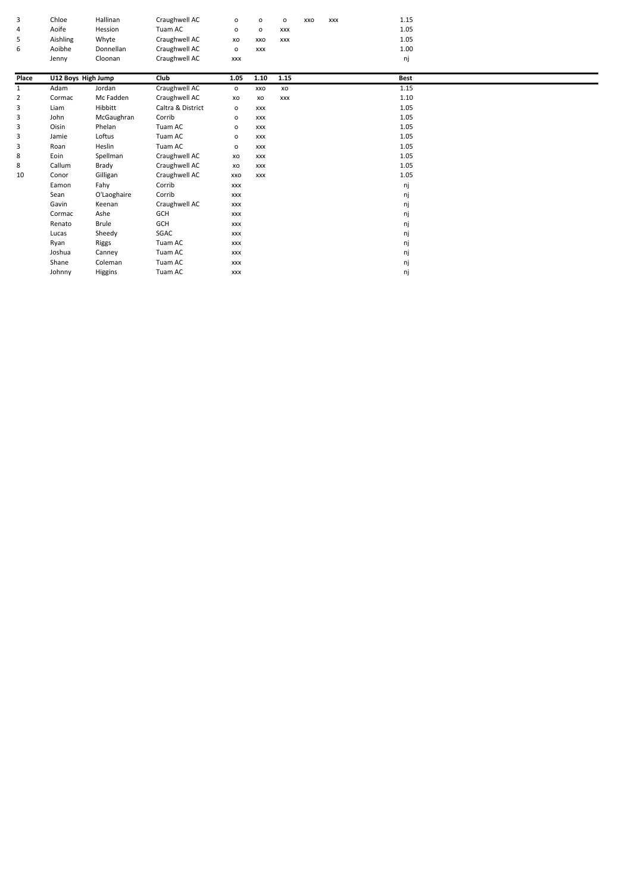| 3     | Chloe              | Hallinan     | Craughwell AC     | 0            | $\mathsf{o}$ | $\mathsf{o}$ | XXO | XXX | 1.15        |  |  |
|-------|--------------------|--------------|-------------------|--------------|--------------|--------------|-----|-----|-------------|--|--|
| 4     | Aoife              | Hession      | Tuam AC           | o            | $\circ$      | XXX          |     |     | 1.05        |  |  |
| 5     | Aishling           | Whyte        | Craughwell AC     | XO           | XXO          | <b>XXX</b>   |     |     | 1.05        |  |  |
| 6     | Aoibhe             | Donnellan    | Craughwell AC     | $\circ$      | <b>XXX</b>   |              |     |     | 1.00        |  |  |
|       | Jenny              | Cloonan      | Craughwell AC     | <b>XXX</b>   |              |              |     |     | nj          |  |  |
|       |                    |              |                   |              |              |              |     |     |             |  |  |
| Place | U12 Boys High Jump |              | Club              | 1.05         | 1.10         | 1.15         |     |     | <b>Best</b> |  |  |
| 1     | Adam               | Jordan       | Craughwell AC     | $\mathsf{o}$ | XXO          | xo           |     |     | 1.15        |  |  |
| 2     | Cormac             | Mc Fadden    | Craughwell AC     | XO           | XO           | <b>XXX</b>   |     |     | 1.10        |  |  |
| 3     | Liam               | Hibbitt      | Caltra & District | $\circ$      | <b>XXX</b>   |              |     |     | 1.05        |  |  |
| 3     | John               | McGaughran   | Corrib            | o            | <b>XXX</b>   |              |     |     | 1.05        |  |  |
| 3     | Oisin              | Phelan       | Tuam AC           | $\circ$      | <b>XXX</b>   |              |     |     | 1.05        |  |  |
| 3     | Jamie              | Loftus       | Tuam AC           | $\circ$      | <b>XXX</b>   |              |     |     | 1.05        |  |  |
| 3     | Roan               | Heslin       | Tuam AC           | $\mathsf{o}$ | <b>XXX</b>   |              |     |     | 1.05        |  |  |
| 8     | Eoin               | Spellman     | Craughwell AC     | XO           | <b>XXX</b>   |              |     |     | 1.05        |  |  |
| 8     | Callum             | Brady        | Craughwell AC     | XO           | <b>XXX</b>   |              |     |     | 1.05        |  |  |
| 10    | Conor              | Gilligan     | Craughwell AC     | XXO          | <b>XXX</b>   |              |     |     | 1.05        |  |  |
|       | Eamon              | Fahy         | Corrib            | <b>XXX</b>   |              |              |     |     | nj          |  |  |
|       | Sean               | O'Laoghaire  | Corrib            | <b>XXX</b>   |              |              |     |     | nj          |  |  |
|       | Gavin              | Keenan       | Craughwell AC     | <b>XXX</b>   |              |              |     |     | nj          |  |  |
|       | Cormac             | Ashe         | GCH               | <b>XXX</b>   |              |              |     |     | nj          |  |  |
|       | Renato             | <b>Brule</b> | GCH               | <b>XXX</b>   |              |              |     |     | nj          |  |  |
|       | Lucas              | Sheedy       | SGAC              | <b>XXX</b>   |              |              |     |     | nj          |  |  |
|       | Ryan               | Riggs        | Tuam AC           | <b>XXX</b>   |              |              |     |     | nj          |  |  |
|       | Joshua             | Canney       | Tuam AC           | <b>XXX</b>   |              |              |     |     | nj          |  |  |
|       | Shane              | Coleman      | Tuam AC           | <b>XXX</b>   |              |              |     |     | nj          |  |  |
|       | Johnny             | Higgins      | Tuam AC           | <b>XXX</b>   |              |              |     |     | ni          |  |  |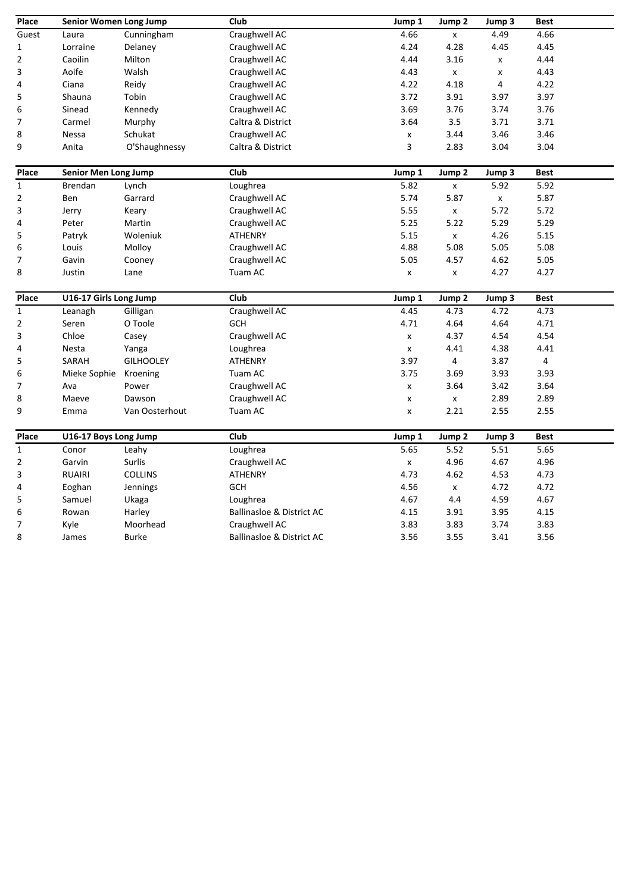| Place                    | Senior Women Long Jump      |                  | $\overline{Club}$                    | Jump 1             | Jump <sub>2</sub>  | Jump 3 | <b>Best</b> |
|--------------------------|-----------------------------|------------------|--------------------------------------|--------------------|--------------------|--------|-------------|
| Guest                    | Laura                       | Cunningham       | Craughwell AC                        | 4.66               | x                  | 4.49   | 4.66        |
| $\mathbf 1$              | Lorraine                    | Delaney          | Craughwell AC                        | 4.24               | 4.28               | 4.45   | 4.45        |
| $\overline{\mathbf{c}}$  | Caoilin                     | Milton           | Craughwell AC                        | 4.44               | 3.16               | x      | 4.44        |
| 3                        | Aoife                       | Walsh            | Craughwell AC                        | 4.43               | X                  | x      | 4.43        |
| 4                        | Ciana                       | Reidy            | Craughwell AC                        | 4.22               | 4.18               | 4      | 4.22        |
| 5                        | Shauna                      | Tobin            | Craughwell AC                        | 3.72               | 3.91               | 3.97   | 3.97        |
| 6                        | Sinead                      | Kennedy          | Craughwell AC                        | 3.69               | 3.76               | 3.74   | 3.76        |
| $\overline{7}$           | Carmel                      | Murphy           | Caltra & District                    | 3.64               | 3.5                | 3.71   | 3.71        |
| 8                        | Nessa                       | Schukat          | Craughwell AC                        | $\pmb{\mathsf{x}}$ | 3.44               | 3.46   | 3.46        |
| 9                        | Anita                       | O'Shaughnessy    | Caltra & District                    | 3                  | 2.83               | 3.04   | 3.04        |
| Place                    | <b>Senior Men Long Jump</b> |                  | Club                                 | Jump 1             | Jump 2             | Jump 3 | <b>Best</b> |
| $\mathbf{1}$             | Brendan                     | Lynch            | Loughrea                             | 5.82               | $\mathsf{x}$       | 5.92   | 5.92        |
| $\overline{2}$           | Ben                         | Garrard          | Craughwell AC                        | 5.74               | 5.87               | X      | 5.87        |
| 3                        | Jerry                       | Keary            | Craughwell AC                        | 5.55               | x                  | 5.72   | 5.72        |
| 4                        | Peter                       | Martin           | Craughwell AC                        | 5.25               | 5.22               | 5.29   | 5.29        |
| 5                        | Patryk                      | Woleniuk         | <b>ATHENRY</b>                       | 5.15               | X                  | 4.26   | 5.15        |
| 6                        | Louis                       | Molloy           | Craughwell AC                        | 4.88               | 5.08               | 5.05   | 5.08        |
| $\overline{\mathcal{I}}$ | Gavin                       | Cooney           | Craughwell AC                        | 5.05               | 4.57               | 4.62   | 5.05        |
| 8                        | Justin                      | Lane             | Tuam AC                              | $\pmb{\mathsf{x}}$ | x                  | 4.27   | 4.27        |
| Place                    | U16-17 Girls Long Jump      |                  | Club                                 | Jump 1             | Jump <sub>2</sub>  | Jump 3 | <b>Best</b> |
| $\mathbf{1}$             | Leanagh                     | Gilligan         | Craughwell AC                        | 4.45               | 4.73               | 4.72   | 4.73        |
| $\mathbf 2$              | Seren                       | O Toole          | <b>GCH</b>                           | 4.71               | 4.64               | 4.64   | 4.71        |
| 3                        | Chloe                       | Casey            | Craughwell AC                        | $\pmb{\mathsf{x}}$ | 4.37               | 4.54   | 4.54        |
| 4                        | Nesta                       | Yanga            | Loughrea                             | $\pmb{\mathsf{x}}$ | 4.41               | 4.38   | 4.41        |
| 5                        | SARAH                       | <b>GILHOOLEY</b> | <b>ATHENRY</b>                       | 3.97               | 4                  | 3.87   | 4           |
| 6                        | Mieke Sophie                | Kroening         | Tuam AC                              | 3.75               | 3.69               | 3.93   | 3.93        |
| 7                        | Ava                         | Power            | Craughwell AC                        | $\pmb{\mathsf{x}}$ | 3.64               | 3.42   | 3.64        |
| 8                        | Maeve                       | Dawson           | Craughwell AC                        | $\pmb{\mathsf{x}}$ | $\mathsf{x}$       | 2.89   | 2.89        |
| 9                        | Emma                        | Van Oosterhout   | Tuam AC                              | X                  | 2.21               | 2.55   | 2.55        |
| Place                    | U16-17 Boys Long Jump       |                  | Club                                 | Jump 1             | Jump <sub>2</sub>  | Jump 3 | <b>Best</b> |
| $\mathbf 1$              | Conor                       | Leahy            | Loughrea                             | 5.65               | 5.52               | 5.51   | 5.65        |
| $\overline{2}$           | Garvin                      | Surlis           | Craughwell AC                        | $\pmb{\mathsf{x}}$ | 4.96               | 4.67   | 4.96        |
| 3                        | <b>RUAIRI</b>               | <b>COLLINS</b>   | <b>ATHENRY</b>                       | 4.73               | 4.62               | 4.53   | 4.73        |
| 4                        | Eoghan                      | Jennings         | <b>GCH</b>                           | 4.56               | $\pmb{\mathsf{x}}$ | 4.72   | 4.72        |
| 5                        | Samuel                      | Ukaga            | Loughrea                             | 4.67               | 4.4                | 4.59   | 4.67        |
| 6                        | Rowan                       | Harley           | <b>Ballinasloe &amp; District AC</b> | 4.15               | 3.91               | 3.95   | 4.15        |
| $\boldsymbol{7}$         | Kyle                        | Moorhead         | Craughwell AC                        | 3.83               | 3.83               | 3.74   | 3.83        |
| 8                        | James                       | <b>Burke</b>     | <b>Ballinasloe &amp; District AC</b> | 3.56               | 3.55               | 3.41   | 3.56        |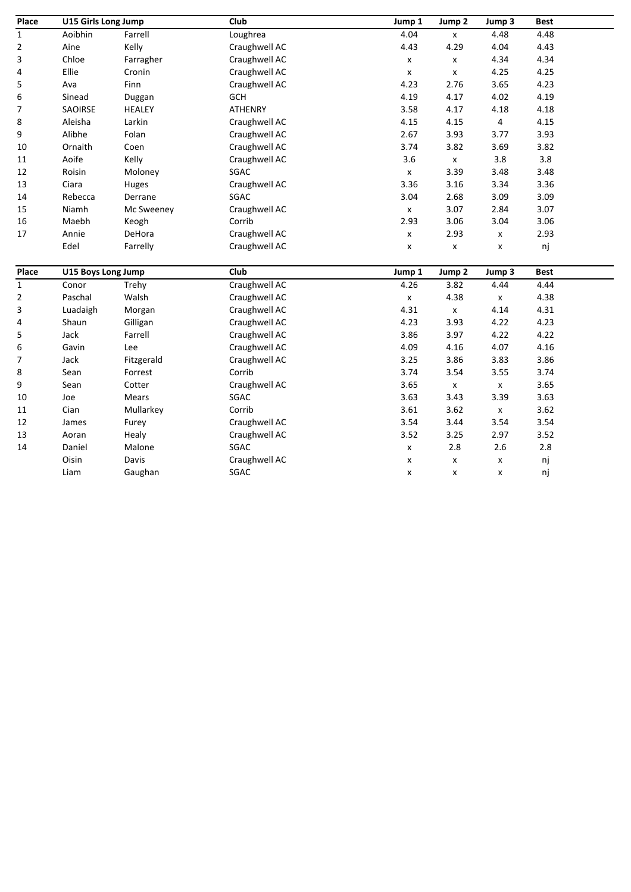| Place          | U15 Girls Long Jump |               | Club          | Jump 1             | Jump <sub>2</sub>  | Jump 3             | <b>Best</b> |  |
|----------------|---------------------|---------------|---------------|--------------------|--------------------|--------------------|-------------|--|
| $\mathbf{1}$   | Aoibhin             | Farrell       | Loughrea      | 4.04               | $\mathsf X$        | 4.48               | 4.48        |  |
| 2              | Aine                | Kelly         | Craughwell AC | 4.43               | 4.29               | 4.04               | 4.43        |  |
| 3              | Chloe               | Farragher     | Craughwell AC | X                  | X                  | 4.34               | 4.34        |  |
| 4              | Ellie               | Cronin        | Craughwell AC | $\pmb{\mathsf{x}}$ | $\pmb{\mathsf{x}}$ | 4.25               | 4.25        |  |
| 5              | Ava                 | Finn          | Craughwell AC | 4.23               | 2.76               | 3.65               | 4.23        |  |
| 6              | Sinead              | Duggan        | GCH           | 4.19               | 4.17               | 4.02               | 4.19        |  |
| $\overline{7}$ | SAOIRSE             | <b>HEALEY</b> | ATHENRY       | 3.58               | 4.17               | 4.18               | 4.18        |  |
| 8              | Aleisha             | Larkin        | Craughwell AC | 4.15               | 4.15               | 4                  | 4.15        |  |
| 9              | Alibhe              | Folan         | Craughwell AC | 2.67               | 3.93               | 3.77               | 3.93        |  |
| 10             | Ornaith             | Coen          | Craughwell AC | 3.74               | 3.82               | 3.69               | 3.82        |  |
| 11             | Aoife               | Kelly         | Craughwell AC | 3.6                | $\pmb{\mathsf{X}}$ | 3.8                | 3.8         |  |
| 12             | Roisin              | Moloney       | SGAC          | $\pmb{\mathsf{x}}$ | 3.39               | 3.48               | 3.48        |  |
| 13             | Ciara               | Huges         | Craughwell AC | 3.36               | 3.16               | 3.34               | 3.36        |  |
| 14             | Rebecca             | Derrane       | SGAC          | 3.04               | 2.68               | 3.09               | 3.09        |  |
| 15             | Niamh               | Mc Sweeney    | Craughwell AC | x                  | 3.07               | 2.84               | 3.07        |  |
| 16             | Maebh               | Keogh         | Corrib        | 2.93               | 3.06               | 3.04               | 3.06        |  |
| 17             | Annie               | DeHora        | Craughwell AC | x                  | 2.93               | x                  | 2.93        |  |
|                | Edel                | Farrelly      | Craughwell AC | x                  | $\pmb{\mathsf{x}}$ | x                  | nj          |  |
| Place          | U15 Boys Long Jump  |               | Club          | Jump 1             | Jump <sub>2</sub>  | Jump 3             | <b>Best</b> |  |
| $\mathbf{1}$   | Conor               | Trehy         | Craughwell AC | 4.26               | 3.82               | 4.44               | 4.44        |  |
| 2              | Paschal             | Walsh         | Craughwell AC | $\pmb{\mathsf{X}}$ | 4.38               | $\mathsf{x}$       | 4.38        |  |
| 3              | Luadaigh            | Morgan        | Craughwell AC | 4.31               | X                  | 4.14               | 4.31        |  |
| 4              | Shaun               | Gilligan      | Craughwell AC | 4.23               | 3.93               | 4.22               | 4.23        |  |
| 5              | Jack                | Farrell       | Craughwell AC | 3.86               | 3.97               | 4.22               | 4.22        |  |
| 6              | Gavin               | Lee           | Craughwell AC | 4.09               | 4.16               | 4.07               | 4.16        |  |
| 7              | Jack                | Fitzgerald    | Craughwell AC | 3.25               | 3.86               | 3.83               | 3.86        |  |
| 8              | Sean                | Forrest       | Corrib        | 3.74               | 3.54               | 3.55               | 3.74        |  |
| 9              | Sean                | Cotter        | Craughwell AC | 3.65               | X                  | x                  | 3.65        |  |
| 10             | Joe                 | <b>Mears</b>  | SGAC          | 3.63               | 3.43               | 3.39               | 3.63        |  |
| 11             | Cian                | Mullarkey     | Corrib        | 3.61               | 3.62               | $\pmb{\mathsf{x}}$ | 3.62        |  |
| 12             | James               | Furey         | Craughwell AC | 3.54               | 3.44               | 3.54               | 3.54        |  |
| 13             | Aoran               | Healy         | Craughwell AC | 3.52               | 3.25               | 2.97               | 3.52        |  |
| 14             | Daniel              | Malone        | SGAC          | x                  | 2.8                | 2.6                | 2.8         |  |
|                | Oisin               | Davis         | Craughwell AC | x                  | x                  | x                  | nj          |  |
|                | Liam                | Gaughan       | SGAC          | x                  | x                  | x                  | nj          |  |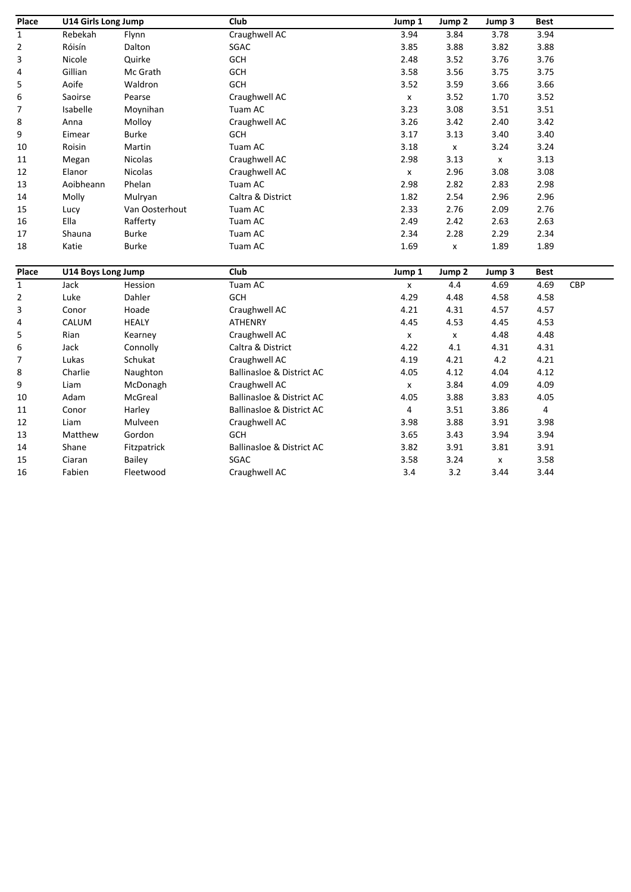| Place            | U14 Girls Long Jump |                | Club                                 | Jump 1             | Jump 2             | Jump 3             | <b>Best</b>             |     |
|------------------|---------------------|----------------|--------------------------------------|--------------------|--------------------|--------------------|-------------------------|-----|
| $\mathbf{1}$     | Rebekah             | Flynn          | Craughwell AC                        | 3.94               | 3.84               | 3.78               | 3.94                    |     |
| 2                | Róisín              | Dalton         | SGAC                                 | 3.85               | 3.88               | 3.82               | 3.88                    |     |
| 3                | Nicole              | Quirke         | <b>GCH</b>                           | 2.48               | 3.52               | 3.76               | 3.76                    |     |
| 4                | Gillian             | Mc Grath       | GCH                                  | 3.58               | 3.56               | 3.75               | 3.75                    |     |
| 5                | Aoife               | Waldron        | <b>GCH</b>                           | 3.52               | 3.59               | 3.66               | 3.66                    |     |
| 6                | Saoirse             | Pearse         | Craughwell AC                        | $\pmb{\mathsf{x}}$ | 3.52               | 1.70               | 3.52                    |     |
| 7                | Isabelle            | Moynihan       | Tuam AC                              | 3.23               | 3.08               | 3.51               | 3.51                    |     |
| 8                | Anna                | Molloy         | Craughwell AC                        | 3.26               | 3.42               | 2.40               | 3.42                    |     |
| 9                | Eimear              | <b>Burke</b>   | GCH                                  | 3.17               | 3.13               | 3.40               | 3.40                    |     |
| 10               | Roisin              | Martin         | Tuam AC                              | 3.18               | $\pmb{\mathsf{X}}$ | 3.24               | 3.24                    |     |
| 11               | Megan               | Nicolas        | Craughwell AC                        | 2.98               | 3.13               | $\mathsf{x}$       | 3.13                    |     |
| 12               | Elanor              | Nicolas        | Craughwell AC                        | $\pmb{\mathsf{x}}$ | 2.96               | 3.08               | 3.08                    |     |
| 13               | Aoibheann           | Phelan         | Tuam AC                              | 2.98               | 2.82               | 2.83               | 2.98                    |     |
| 14               | Molly               | Mulryan        | Caltra & District                    | 1.82               | 2.54               | 2.96               | 2.96                    |     |
| 15               | Lucy                | Van Oosterhout | Tuam AC                              | 2.33               | 2.76               | 2.09               | 2.76                    |     |
| 16               | Ella                | Rafferty       | Tuam AC                              | 2.49               | 2.42               | 2.63               | 2.63                    |     |
| 17               | Shauna              | <b>Burke</b>   | Tuam AC                              | 2.34               | 2.28               | 2.29               | 2.34                    |     |
| 18               | Katie               | <b>Burke</b>   | Tuam AC                              | 1.69               | $\pmb{\mathsf{x}}$ | 1.89               | 1.89                    |     |
| Place            | U14 Boys Long Jump  |                | Club                                 | Jump 1             | Jump <sub>2</sub>  | Jump 3             | <b>Best</b>             |     |
| $\mathbf 1$      | Jack                | Hession        | Tuam AC                              | $\pmb{\mathsf{x}}$ | 4.4                | 4.69               | 4.69                    | CBP |
| $\overline{2}$   | Luke                | Dahler         | GCH                                  | 4.29               | 4.48               | 4.58               | 4.58                    |     |
| 3                | Conor               | Hoade          | Craughwell AC                        | 4.21               | 4.31               | 4.57               | 4.57                    |     |
| 4                | CALUM               | <b>HEALY</b>   | ATHENRY                              | 4.45               | 4.53               | 4.45               | 4.53                    |     |
| 5                | Rian                | Kearney        | Craughwell AC                        | $\pmb{\mathsf{x}}$ | $\pmb{\times}$     | 4.48               | 4.48                    |     |
| 6                | Jack                | Connolly       | Caltra & District                    | 4.22               | 4.1                | 4.31               | 4.31                    |     |
| $\boldsymbol{7}$ | Lukas               | Schukat        | Craughwell AC                        | 4.19               | 4.21               | 4.2                | 4.21                    |     |
| 8                | Charlie             | Naughton       | <b>Ballinasloe &amp; District AC</b> | 4.05               | 4.12               | 4.04               | 4.12                    |     |
| 9                | Liam                | McDonagh       | Craughwell AC                        | $\pmb{\mathsf{x}}$ | 3.84               | 4.09               | 4.09                    |     |
| 10               | Adam                | McGreal        | <b>Ballinasloe &amp; District AC</b> | 4.05               | 3.88               | 3.83               | 4.05                    |     |
| 11               | Conor               | Harley         | <b>Ballinasloe &amp; District AC</b> | 4                  | 3.51               | 3.86               | $\overline{\mathbf{4}}$ |     |
| 12               | Liam                | Mulveen        | Craughwell AC                        | 3.98               | 3.88               | 3.91               | 3.98                    |     |
| 13               | Matthew             | Gordon         | <b>GCH</b>                           | 3.65               | 3.43               | 3.94               | 3.94                    |     |
| 14               | Shane               | Fitzpatrick    | <b>Ballinasloe &amp; District AC</b> | 3.82               | 3.91               | 3.81               | 3.91                    |     |
| 15               | Ciaran              | Bailey         | SGAC                                 | 3.58               | 3.24               | $\pmb{\mathsf{x}}$ | 3.58                    |     |
| 16               | Fabien              | Fleetwood      | Craughwell AC                        | 3.4                | 3.2                | 3.44               | 3.44                    |     |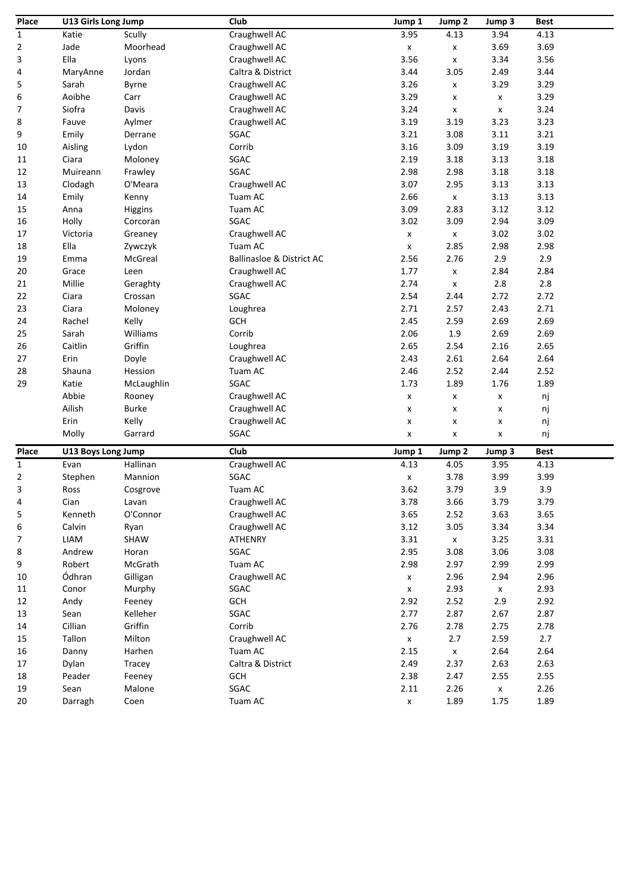| Place        | U13 Girls Long Jump |              | Club                                 | Jump 1             | Jump 2             | Jump 3             | <b>Best</b> |
|--------------|---------------------|--------------|--------------------------------------|--------------------|--------------------|--------------------|-------------|
| $\mathbf{1}$ | Katie               | Scully       | Craughwell AC                        | 3.95               | 4.13               | 3.94               | 4.13        |
| 2            | Jade                | Moorhead     | Craughwell AC                        | $\pmb{\mathsf{X}}$ | $\pmb{\mathsf{x}}$ | 3.69               | 3.69        |
| 3            | Ella                | Lyons        | Craughwell AC                        | 3.56               | $\pmb{\mathsf{x}}$ | 3.34               | 3.56        |
| 4            | MaryAnne            | Jordan       | Caltra & District                    | 3.44               | 3.05               | 2.49               | 3.44        |
| 5            | Sarah               | Byrne        | Craughwell AC                        | 3.26               | X                  | 3.29               | 3.29        |
| 6            | Aoibhe              | Carr         | Craughwell AC                        | 3.29               | X                  | x                  | 3.29        |
| 7            | Siofra              | Davis        | Craughwell AC                        | 3.24               | $\pmb{\mathsf{x}}$ | X                  | 3.24        |
| 8            | Fauve               | Aylmer       | Craughwell AC                        | 3.19               | 3.19               | 3.23               | 3.23        |
| 9            | Emily               | Derrane      | SGAC                                 | 3.21               | 3.08               | 3.11               | 3.21        |
| $10\,$       | Aisling             | Lydon        | Corrib                               | 3.16               | 3.09               | 3.19               | 3.19        |
| 11           | Ciara               | Moloney      | SGAC                                 | 2.19               | 3.18               | 3.13               | 3.18        |
| 12           | Muireann            | Frawley      | SGAC                                 | 2.98               | 2.98               | 3.18               | 3.18        |
| 13           | Clodagh             | O'Meara      | Craughwell AC                        | 3.07               | 2.95               | 3.13               | 3.13        |
| 14           | Emily               | Kenny        | Tuam AC                              | 2.66               | $\pmb{\mathsf{x}}$ | 3.13               | 3.13        |
| 15           | Anna                | Higgins      | Tuam AC                              | 3.09               | 2.83               | 3.12               | 3.12        |
| 16           | Holly               | Corcoran     | SGAC                                 | 3.02               | 3.09               | 2.94               | 3.09        |
| 17           | Victoria            | Greaney      | Craughwell AC                        | x                  | $\pmb{\mathsf{x}}$ | 3.02               | 3.02        |
| 18           | Ella                | Zywczyk      | Tuam AC                              | x                  | 2.85               | 2.98               | 2.98        |
| 19           | Emma                | McGreal      | <b>Ballinasloe &amp; District AC</b> | 2.56               | 2.76               | 2.9                | 2.9         |
| 20           | Grace               | Leen         | Craughwell AC                        | 1.77               | $\pmb{\mathsf{x}}$ | 2.84               | 2.84        |
| 21           | Millie              | Geraghty     | Craughwell AC                        | 2.74               | X                  | 2.8                | 2.8         |
| 22           | Ciara               | Crossan      | SGAC                                 | 2.54               | 2.44               | 2.72               | 2.72        |
| 23           | Ciara               | Moloney      | Loughrea                             | 2.71               | 2.57               | 2.43               | 2.71        |
| 24           | Rachel              | Kelly        | <b>GCH</b>                           | 2.45               | 2.59               | 2.69               | 2.69        |
| 25           | Sarah               | Williams     | Corrib                               | 2.06               | 1.9                | 2.69               | 2.69        |
| 26           | Caitlin             | Griffin      | Loughrea                             | 2.65               | 2.54               | 2.16               | 2.65        |
| 27           | Erin                | Doyle        | Craughwell AC                        | 2.43               | 2.61               | 2.64               | 2.64        |
| 28           | Shauna              | Hession      | Tuam AC                              | 2.46               | 2.52               | 2.44               | 2.52        |
| 29           | Katie               | McLaughlin   | SGAC                                 | 1.73               | 1.89               | 1.76               | 1.89        |
|              | Abbie               | Rooney       | Craughwell AC                        | x                  | $\pmb{\mathsf{x}}$ | x                  | nj          |
|              | Ailish              | <b>Burke</b> | Craughwell AC                        | x                  | X                  | x                  | nj          |
|              | Erin                | Kelly        | Craughwell AC                        | x                  | x                  | x                  | nj          |
|              | Molly               | Garrard      | SGAC                                 | x                  | $\pmb{\mathsf{x}}$ | X                  | nj          |
| Place        | U13 Boys Long Jump  |              | Club                                 | Jump 1             | Jump 2             | Jump 3             | <b>Best</b> |
| $\mathbf{1}$ | Evan                | Hallinan     | Craughwell AC                        | 4.13               | 4.05               | 3.95               | 4.13        |
| 2            | Stephen             | Mannion      | SGAC                                 | x                  | 3.78               | 3.99               | 3.99        |
| 3            | Ross                | Cosgrove     | Tuam AC                              | 3.62               | 3.79               | 3.9                | 3.9         |
| 4            | Cian                | Lavan        | Craughwell AC                        | 3.78               | 3.66               | 3.79               | 3.79        |
| 5            | Kenneth             | O'Connor     | Craughwell AC                        | 3.65               | 2.52               | 3.63               | 3.65        |
| 6            | Calvin              | Ryan         | Craughwell AC                        | 3.12               | 3.05               | 3.34               | 3.34        |
| 7            | LIAM                | SHAW         | ATHENRY                              | 3.31               | $\pmb{\mathsf{X}}$ | 3.25               | 3.31        |
| 8            | Andrew              | Horan        | SGAC                                 | 2.95               | 3.08               | 3.06               | 3.08        |
| 9            | Robert              | McGrath      | Tuam AC                              | 2.98               | 2.97               | 2.99               | 2.99        |
| 10           | Ódhran              | Gilligan     | Craughwell AC                        | $\pmb{\mathsf{x}}$ | 2.96               | 2.94               | 2.96        |
| 11           | Conor               | Murphy       | SGAC                                 | $\pmb{\mathsf{x}}$ | 2.93               | $\pmb{\mathsf{X}}$ | 2.93        |
| 12           | Andy                | Feeney       | GCH                                  | 2.92               | 2.52               | 2.9                | 2.92        |
| 13           | Sean                | Kelleher     | SGAC                                 | 2.77               | 2.87               | 2.67               | 2.87        |
| 14           | Cillian             | Griffin      | Corrib                               | 2.76               | 2.78               | 2.75               | 2.78        |
| 15           | Tallon              | Milton       | Craughwell AC                        | $\pmb{\mathsf{x}}$ | 2.7                | 2.59               | 2.7         |
| 16           | Danny               | Harhen       | Tuam AC                              | 2.15               | $\pmb{\mathsf{X}}$ | 2.64               | 2.64        |
| 17           | Dylan               | Tracey       | Caltra & District                    | 2.49               | 2.37               | 2.63               | 2.63        |
| 18           | Peader              | Feeney       | <b>GCH</b>                           | 2.38               | 2.47               | 2.55               | 2.55        |
| 19           | Sean                | Malone       | SGAC                                 | 2.11               | 2.26               | $\pmb{\mathsf{x}}$ | 2.26        |
| 20           | Darragh             | Coen         | Tuam AC                              | $\pmb{\mathsf{x}}$ | 1.89               | 1.75               | 1.89        |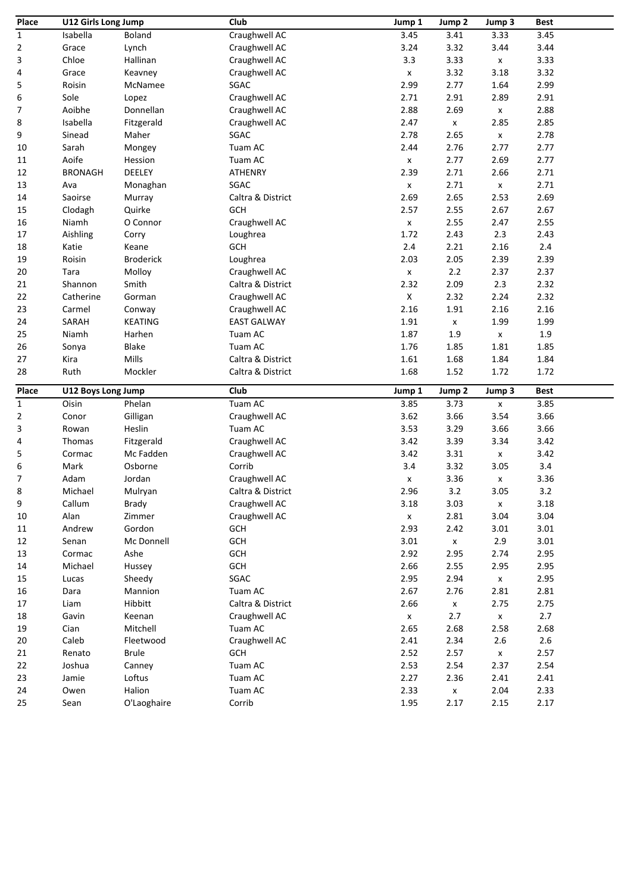| Place        | U12 Girls Long Jump |                       | Club               | Jump 1             | Jump 2                     | Jump 3             | <b>Best</b>  |
|--------------|---------------------|-----------------------|--------------------|--------------------|----------------------------|--------------------|--------------|
| 1            | Isabella            | Boland                | Craughwell AC      | 3.45               | 3.41                       | 3.33               | 3.45         |
| 2            | Grace               | Lynch                 | Craughwell AC      | 3.24               | 3.32                       | 3.44               | 3.44         |
| 3            | Chloe               | Hallinan              | Craughwell AC      | 3.3                | 3.33                       | $\pmb{\mathsf{x}}$ | 3.33         |
| 4            | Grace               | Keavney               | Craughwell AC      | $\pmb{\mathsf{x}}$ | 3.32                       | 3.18               | 3.32         |
| 5            | Roisin              | McNamee               | SGAC               | 2.99               | 2.77                       | 1.64               | 2.99         |
| 6            | Sole                | Lopez                 | Craughwell AC      | 2.71               | 2.91                       | 2.89               | 2.91         |
| 7            | Aoibhe              | Donnellan             | Craughwell AC      | 2.88               | 2.69                       | $\pmb{\mathsf{x}}$ | 2.88         |
| 8            | Isabella            | Fitzgerald            | Craughwell AC      | 2.47               | $\pmb{\mathsf{X}}$         | 2.85               | 2.85         |
| 9            | Sinead              | Maher                 | SGAC               | 2.78               | 2.65                       | $\pmb{\mathsf{x}}$ | 2.78         |
| 10           | Sarah               | Mongey                | Tuam AC            | 2.44               | 2.76                       | 2.77               | 2.77         |
| 11           | Aoife               | Hession               | Tuam AC            | $\pmb{\mathsf{x}}$ | 2.77                       | 2.69               | 2.77         |
| 12           | <b>BRONAGH</b>      | DEELEY                | <b>ATHENRY</b>     | 2.39               | 2.71                       | 2.66               | 2.71         |
| 13           | Ava                 | Monaghan              | SGAC               | $\pmb{\mathsf{x}}$ | 2.71                       | $\pmb{\mathsf{x}}$ | 2.71         |
| 14           | Saoirse             | Murray                | Caltra & District  | 2.69               | 2.65                       | 2.53               | 2.69         |
| 15           | Clodagh             | Quirke                | <b>GCH</b>         | 2.57               | 2.55                       | 2.67               | 2.67         |
| 16           | Niamh               | O Connor              | Craughwell AC      | $\pmb{\mathsf{x}}$ | 2.55                       | 2.47               | 2.55         |
| 17           | Aishling            | Corry                 | Loughrea           | 1.72               | 2.43                       | 2.3                | 2.43         |
| 18           | Katie               | Keane                 | <b>GCH</b>         | $2.4\,$            | 2.21                       | 2.16               | 2.4          |
| 19           | Roisin              | <b>Broderick</b>      | Loughrea           | 2.03               | 2.05                       | 2.39               | 2.39         |
| 20           | Tara                | Molloy                | Craughwell AC      | $\pmb{\mathsf{x}}$ | 2.2                        | 2.37               | 2.37         |
| 21           | Shannon             | Smith                 | Caltra & District  | 2.32               | 2.09                       | 2.3                | 2.32         |
|              |                     |                       |                    | $\pmb{\mathsf{X}}$ |                            |                    | 2.32         |
| 22           | Catherine           | Gorman                | Craughwell AC      |                    | 2.32                       | 2.24               | 2.16         |
| 23           | Carmel              | Conway                | Craughwell AC      | 2.16               | 1.91                       | 2.16               |              |
| 24           | SARAH               | <b>KEATING</b>        | <b>EAST GALWAY</b> | 1.91               | $\pmb{\mathsf{X}}$         | 1.99               | 1.99         |
| 25           | Niamh               | Harhen                | Tuam AC            | 1.87               | 1.9                        | $\pmb{\mathsf{X}}$ | 1.9          |
| 26           | Sonya               | Blake                 | Tuam AC            | 1.76               | 1.85                       | 1.81               | 1.85         |
| 27           | Kira                | Mills                 | Caltra & District  | 1.61               | 1.68                       | 1.84               | 1.84         |
| 28           | Ruth                | Mockler               | Caltra & District  | 1.68               | 1.52                       | 1.72               | 1.72         |
| Place        | U12 Boys Long Jump  |                       | Club               | Jump 1             | Jump <sub>2</sub>          | Jump 3             | <b>Best</b>  |
| $\mathbf{1}$ | Oisin               | Phelan                | Tuam AC            | 3.85               | 3.73                       | X                  | 3.85         |
| 2            | Conor               | Gilligan              | Craughwell AC      | 3.62               | 3.66                       | 3.54               | 3.66         |
| 3            | Rowan               | Heslin                | Tuam AC            | 3.53               | 3.29                       | 3.66               | 3.66         |
| 4            | Thomas              | Fitzgerald            | Craughwell AC      | 3.42               | 3.39                       | 3.34               | 3.42         |
| 5            | Cormac              | Mc Fadden             | Craughwell AC      | 3.42               | 3.31                       | $\pmb{\mathsf{x}}$ | 3.42         |
| 6            | Mark                | Osborne               | Corrib             | 3.4                | 3.32                       | 3.05               | 3.4          |
| 7            | Adam                | Jordan                | Craughwell AC      | X                  | 3.36                       | $\pmb{\mathsf{x}}$ | 3.36         |
| 8            | Michael             | Mulryan               | Caltra & District  | 2.96               | 3.2                        | 3.05               | 3.2          |
| 9            | Callum              | Brady                 | Craughwell AC      | 3.18               | 3.03                       | X                  | 3.18         |
| $10\,$       | Alan                | Zimmer                | Craughwell AC      | $\pmb{\mathsf{x}}$ | 2.81                       | 3.04               | 3.04         |
| 11           | Andrew              | Gordon                | GCH                | 2.93               | 2.42                       | 3.01               | 3.01         |
| 12           | Senan               | Mc Donnell            | <b>GCH</b>         | 3.01               | $\pmb{\mathsf{X}}$         | 2.9                | 3.01         |
| 13           | Cormac              | Ashe                  | GCH                | 2.92               | 2.95                       | 2.74               | 2.95         |
| 14           | Michael             | Hussey                | GCH                | 2.66               | 2.55                       | 2.95               | 2.95         |
| 15           | Lucas               | Sheedy                | SGAC               | 2.95               | 2.94                       | $\pmb{\mathsf{X}}$ | 2.95         |
| 16           | Dara                | Mannion               | Tuam AC            | 2.67               | 2.76                       | 2.81               | 2.81         |
| 17           | Liam                | Hibbitt               | Caltra & District  | 2.66               | $\pmb{\mathsf{X}}$         | 2.75               | 2.75         |
| 18           | Gavin               | Keenan                | Craughwell AC      | $\pmb{\mathsf{x}}$ | 2.7                        | $\pmb{\mathsf{X}}$ | 2.7          |
| 19           | Cian                | Mitchell              | Tuam AC            | 2.65               | 2.68                       | 2.58               | 2.68         |
| 20           | Caleb               | Fleetwood             | Craughwell AC      | 2.41               | 2.34                       | 2.6                | $2.6\,$      |
| 21           | Renato              | <b>Brule</b>          | <b>GCH</b>         | 2.52               | 2.57                       | $\pmb{\mathsf{X}}$ | 2.57         |
| 22           |                     |                       |                    |                    |                            |                    |              |
|              |                     |                       |                    |                    |                            |                    |              |
|              | Joshua              | Canney                | Tuam AC            | 2.53               | 2.54                       | 2.37               | 2.54         |
| 23           | Jamie               | Loftus                | Tuam AC            | 2.27               | 2.36                       | 2.41               | 2.41         |
| 24<br>25     | Owen<br>Sean        | Halion<br>O'Laoghaire | Tuam AC<br>Corrib  | 2.33<br>1.95       | $\pmb{\mathsf{x}}$<br>2.17 | 2.04<br>2.15       | 2.33<br>2.17 |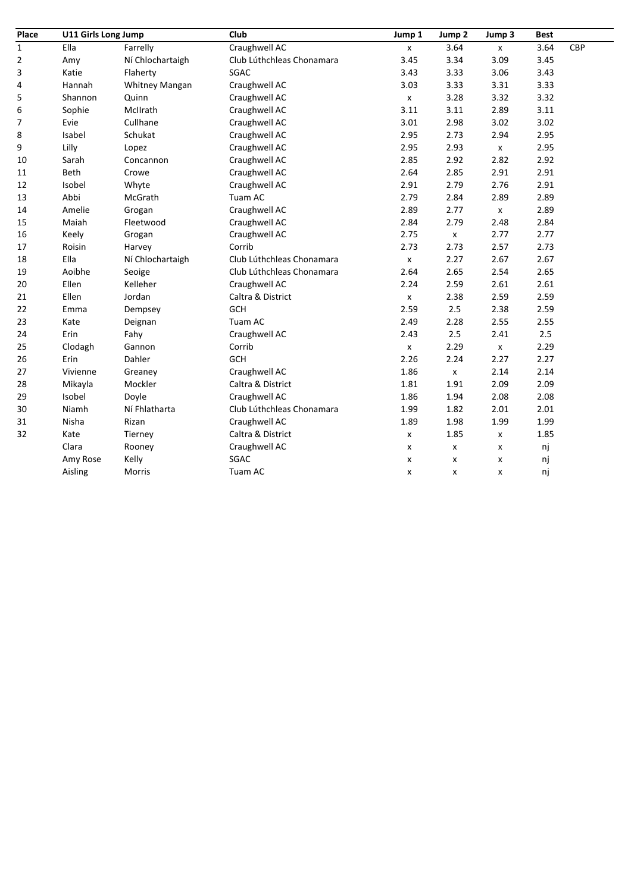| Place          | U11 Girls Long Jump |                       | Club                      | Jump 1             | Jump <sub>2</sub>  | Jump 3             | <b>Best</b> |     |
|----------------|---------------------|-----------------------|---------------------------|--------------------|--------------------|--------------------|-------------|-----|
| $\mathbf{1}$   | Ella                | Farrelly              | Craughwell AC             | $\pmb{\mathsf{x}}$ | 3.64               | $\pmb{\chi}$       | 3.64        | CBP |
| $\overline{2}$ | Amy                 | Ní Chlochartaigh      | Club Lúthchleas Chonamara | 3.45               | 3.34               | 3.09               | 3.45        |     |
| 3              | Katie               | Flaherty              | SGAC                      | 3.43               | 3.33               | 3.06               | 3.43        |     |
| 4              | Hannah              | <b>Whitney Mangan</b> | Craughwell AC             | 3.03               | 3.33               | 3.31               | 3.33        |     |
| 5              | Shannon             | Quinn                 | Craughwell AC             | X                  | 3.28               | 3.32               | 3.32        |     |
| 6              | Sophie              | McIIrath              | Craughwell AC             | 3.11               | 3.11               | 2.89               | 3.11        |     |
| $\overline{7}$ | Evie                | Cullhane              | Craughwell AC             | 3.01               | 2.98               | 3.02               | 3.02        |     |
| 8              | Isabel              | Schukat               | Craughwell AC             | 2.95               | 2.73               | 2.94               | 2.95        |     |
| 9              | Lilly               | Lopez                 | Craughwell AC             | 2.95               | 2.93               | $\pmb{\mathsf{x}}$ | 2.95        |     |
| 10             | Sarah               | Concannon             | Craughwell AC             | 2.85               | 2.92               | 2.82               | 2.92        |     |
| 11             | <b>Beth</b>         | Crowe                 | Craughwell AC             | 2.64               | 2.85               | 2.91               | 2.91        |     |
| 12             | Isobel              | Whyte                 | Craughwell AC             | 2.91               | 2.79               | 2.76               | 2.91        |     |
| 13             | Abbi                | McGrath               | Tuam AC                   | 2.79               | 2.84               | 2.89               | 2.89        |     |
| 14             | Amelie              | Grogan                | Craughwell AC             | 2.89               | 2.77               | $\pmb{\mathsf{x}}$ | 2.89        |     |
| 15             | Maiah               | Fleetwood             | Craughwell AC             | 2.84               | 2.79               | 2.48               | 2.84        |     |
| 16             | Keely               | Grogan                | Craughwell AC             | 2.75               | $\pmb{\mathsf{x}}$ | 2.77               | 2.77        |     |
| 17             | Roisin              | Harvey                | Corrib                    | 2.73               | 2.73               | 2.57               | 2.73        |     |
| 18             | Ella                | Ní Chlochartaigh      | Club Lúthchleas Chonamara | $\pmb{\mathsf{x}}$ | 2.27               | 2.67               | 2.67        |     |
| 19             | Aoibhe              | Seoige                | Club Lúthchleas Chonamara | 2.64               | 2.65               | 2.54               | 2.65        |     |
| 20             | Ellen               | Kelleher              | Craughwell AC             | 2.24               | 2.59               | 2.61               | 2.61        |     |
| 21             | Ellen               | Jordan                | Caltra & District         | $\pmb{\mathsf{x}}$ | 2.38               | 2.59               | 2.59        |     |
| 22             | Emma                | Dempsey               | <b>GCH</b>                | 2.59               | 2.5                | 2.38               | 2.59        |     |
| 23             | Kate                | Deignan               | Tuam AC                   | 2.49               | 2.28               | 2.55               | 2.55        |     |
| 24             | Erin                | Fahy                  | Craughwell AC             | 2.43               | 2.5                | 2.41               | 2.5         |     |
| 25             | Clodagh             | Gannon                | Corrib                    | $\pmb{\mathsf{x}}$ | 2.29               | $\pmb{\times}$     | 2.29        |     |
| 26             | Erin                | Dahler                | <b>GCH</b>                | 2.26               | 2.24               | 2.27               | 2.27        |     |
| 27             | Vivienne            | Greaney               | Craughwell AC             | 1.86               | $\pmb{\mathsf{x}}$ | 2.14               | 2.14        |     |
| 28             | Mikayla             | Mockler               | Caltra & District         | 1.81               | 1.91               | 2.09               | 2.09        |     |
| 29             | Isobel              | Doyle                 | Craughwell AC             | 1.86               | 1.94               | 2.08               | 2.08        |     |
| 30             | Niamh               | Ní Fhlatharta         | Club Lúthchleas Chonamara | 1.99               | 1.82               | 2.01               | 2.01        |     |
| 31             | Nisha               | Rizan                 | Craughwell AC             | 1.89               | 1.98               | 1.99               | 1.99        |     |
| 32             | Kate                | Tierney               | Caltra & District         | $\pmb{\mathsf{x}}$ | 1.85               | x                  | 1.85        |     |
|                | Clara               | Rooney                | Craughwell AC             | X                  | x                  | X                  | nj          |     |
|                | Amy Rose            | Kelly                 | SGAC                      | x                  | x                  | x                  | nj          |     |
|                | Aisling             | Morris                | Tuam AC                   | x                  | x                  | x                  | nj          |     |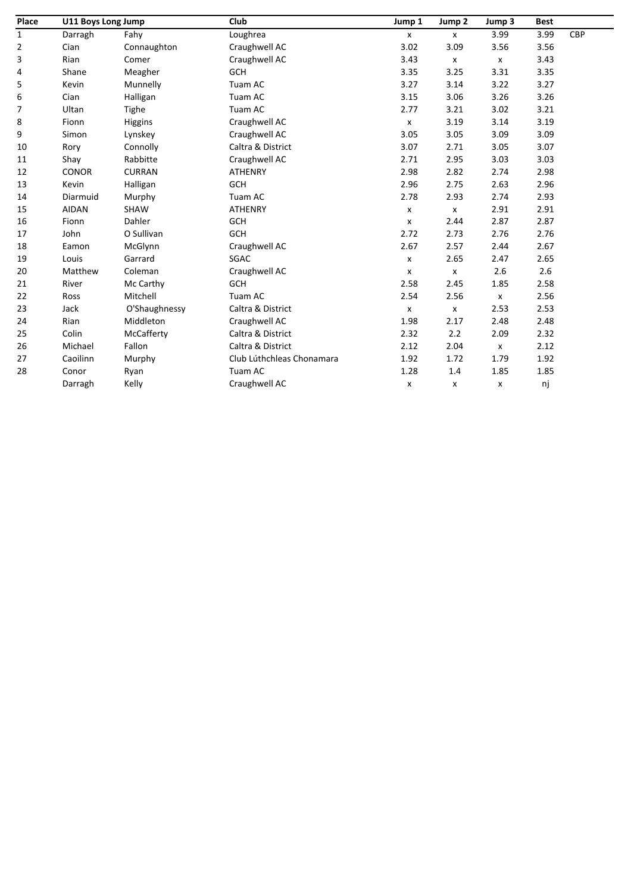| Place        | U11 Boys Long Jump |               | Club                      | Jump 1                    | Jump <sub>2</sub>  | Jump 3 | <b>Best</b> |            |
|--------------|--------------------|---------------|---------------------------|---------------------------|--------------------|--------|-------------|------------|
| $\mathbf{1}$ | Darragh            | Fahy          | Loughrea                  | $\mathsf{x}$              | $\mathsf{x}$       | 3.99   | 3.99        | <b>CBP</b> |
| 2            | Cian               | Connaughton   | Craughwell AC             | 3.02                      | 3.09               | 3.56   | 3.56        |            |
| 3            | Rian               | Comer         | Craughwell AC             | 3.43                      | $\pmb{\chi}$       | X      | 3.43        |            |
| 4            | Shane              | Meagher       | <b>GCH</b>                | 3.35                      | 3.25               | 3.31   | 3.35        |            |
| 5            | Kevin              | Munnelly      | Tuam AC                   | 3.27                      | 3.14               | 3.22   | 3.27        |            |
| 6            | Cian               | Halligan      | Tuam AC                   | 3.15                      | 3.06               | 3.26   | 3.26        |            |
| 7            | Ultan              | Tighe         | Tuam AC                   | 2.77                      | 3.21               | 3.02   | 3.21        |            |
| 8            | Fionn              | Higgins       | Craughwell AC             | $\pmb{\chi}$              | 3.19               | 3.14   | 3.19        |            |
| 9            | Simon              | Lynskey       | Craughwell AC             | 3.05                      | 3.05               | 3.09   | 3.09        |            |
| 10           | Rory               | Connolly      | Caltra & District         | 3.07                      | 2.71               | 3.05   | 3.07        |            |
| 11           | Shay               | Rabbitte      | Craughwell AC             | 2.71                      | 2.95               | 3.03   | 3.03        |            |
| 12           | <b>CONOR</b>       | <b>CURRAN</b> | <b>ATHENRY</b>            | 2.98                      | 2.82               | 2.74   | 2.98        |            |
| 13           | Kevin              | Halligan      | <b>GCH</b>                | 2.96                      | 2.75               | 2.63   | 2.96        |            |
| 14           | Diarmuid           | Murphy        | Tuam AC                   | 2.78                      | 2.93               | 2.74   | 2.93        |            |
| 15           | <b>AIDAN</b>       | SHAW          | <b>ATHENRY</b>            | X                         | $\pmb{\mathsf{x}}$ | 2.91   | 2.91        |            |
| 16           | Fionn              | Dahler        | <b>GCH</b>                | $\boldsymbol{\mathsf{x}}$ | 2.44               | 2.87   | 2.87        |            |
| 17           | John               | O Sullivan    | <b>GCH</b>                | 2.72                      | 2.73               | 2.76   | 2.76        |            |
| 18           | Eamon              | McGlynn       | Craughwell AC             | 2.67                      | 2.57               | 2.44   | 2.67        |            |
| 19           | Louis              | Garrard       | SGAC                      | $\pmb{\mathsf{x}}$        | 2.65               | 2.47   | 2.65        |            |
| 20           | Matthew            | Coleman       | Craughwell AC             | $\pmb{\mathsf{X}}$        | X                  | 2.6    | 2.6         |            |
| 21           | River              | Mc Carthy     | <b>GCH</b>                | 2.58                      | 2.45               | 1.85   | 2.58        |            |
| 22           | Ross               | Mitchell      | Tuam AC                   | 2.54                      | 2.56               | X      | 2.56        |            |
| 23           | Jack               | O'Shaughnessy | Caltra & District         | $\pmb{\mathsf{x}}$        | $\pmb{\chi}$       | 2.53   | 2.53        |            |
| 24           | Rian               | Middleton     | Craughwell AC             | 1.98                      | 2.17               | 2.48   | 2.48        |            |
| 25           | Colin              | McCafferty    | Caltra & District         | 2.32                      | 2.2                | 2.09   | 2.32        |            |
| 26           | Michael            | Fallon        | Caltra & District         | 2.12                      | 2.04               | X      | 2.12        |            |
| 27           | Caoilinn           | Murphy        | Club Lúthchleas Chonamara | 1.92                      | 1.72               | 1.79   | 1.92        |            |
| 28           | Conor              | Ryan          | Tuam AC                   | 1.28                      | $1.4\,$            | 1.85   | 1.85        |            |
|              | Darragh            | Kelly         | Craughwell AC             | x                         | x                  | X      | nj          |            |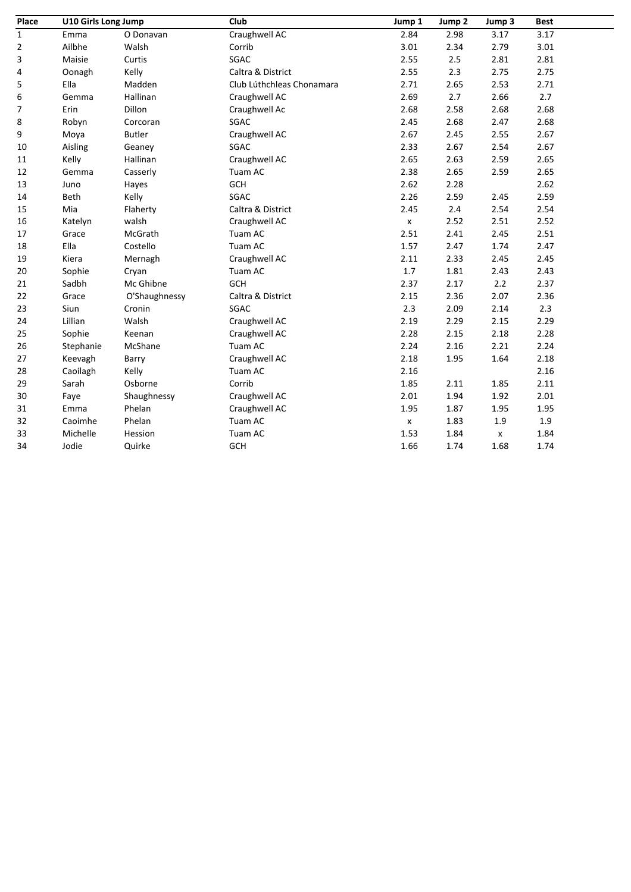| Place       | U10 Girls Long Jump |               | Club                      | Jump 1                    | Jump 2 | Jump 3             | <b>Best</b> |
|-------------|---------------------|---------------|---------------------------|---------------------------|--------|--------------------|-------------|
| $\mathbf 1$ | Emma                | O Donavan     | Craughwell AC             | 2.84                      | 2.98   | 3.17               | 3.17        |
| 2           | Ailbhe              | Walsh         | Corrib                    | 3.01                      | 2.34   | 2.79               | 3.01        |
| 3           | Maisie              | Curtis        | SGAC                      | 2.55                      | 2.5    | 2.81               | 2.81        |
| 4           | Oonagh              | Kelly         | Caltra & District         | 2.55                      | 2.3    | 2.75               | 2.75        |
| 5           | Ella                | Madden        | Club Lúthchleas Chonamara | 2.71                      | 2.65   | 2.53               | 2.71        |
| 6           | Gemma               | Hallinan      | Craughwell AC             | 2.69                      | 2.7    | 2.66               | 2.7         |
| 7           | Erin                | Dillon        | Craughwell Ac             | 2.68                      | 2.58   | 2.68               | 2.68        |
| 8           | Robyn               | Corcoran      | SGAC                      | 2.45                      | 2.68   | 2.47               | 2.68        |
| 9           | Moya                | <b>Butler</b> | Craughwell AC             | 2.67                      | 2.45   | 2.55               | 2.67        |
| 10          | Aisling             | Geaney        | SGAC                      | 2.33                      | 2.67   | 2.54               | 2.67        |
| 11          | Kelly               | Hallinan      | Craughwell AC             | 2.65                      | 2.63   | 2.59               | 2.65        |
| 12          | Gemma               | Casserly      | Tuam AC                   | 2.38                      | 2.65   | 2.59               | 2.65        |
| 13          | Juno                | Hayes         | <b>GCH</b>                | 2.62                      | 2.28   |                    | 2.62        |
| 14          | Beth                | Kelly         | SGAC                      | 2.26                      | 2.59   | 2.45               | 2.59        |
| 15          | Mia                 | Flaherty      | Caltra & District         | 2.45                      | 2.4    | 2.54               | 2.54        |
| 16          | Katelyn             | walsh         | Craughwell AC             | $\boldsymbol{\mathsf{x}}$ | 2.52   | 2.51               | 2.52        |
| 17          | Grace               | McGrath       | Tuam AC                   | 2.51                      | 2.41   | 2.45               | 2.51        |
| 18          | Ella                | Costello      | Tuam AC                   | 1.57                      | 2.47   | 1.74               | 2.47        |
| 19          | Kiera               | Mernagh       | Craughwell AC             | 2.11                      | 2.33   | 2.45               | 2.45        |
| 20          | Sophie              | Cryan         | Tuam AC                   | 1.7                       | 1.81   | 2.43               | 2.43        |
| 21          | Sadbh               | Mc Ghibne     | GCH                       | 2.37                      | 2.17   | 2.2                | 2.37        |
| 22          | Grace               | O'Shaughnessy | Caltra & District         | 2.15                      | 2.36   | 2.07               | 2.36        |
| 23          | Siun                | Cronin        | SGAC                      | 2.3                       | 2.09   | 2.14               | $2.3$       |
| 24          | Lillian             | Walsh         | Craughwell AC             | 2.19                      | 2.29   | 2.15               | 2.29        |
| 25          | Sophie              | Keenan        | Craughwell AC             | 2.28                      | 2.15   | 2.18               | 2.28        |
| 26          | Stephanie           | McShane       | Tuam AC                   | 2.24                      | 2.16   | 2.21               | 2.24        |
| 27          | Keevagh             | Barry         | Craughwell AC             | 2.18                      | 1.95   | 1.64               | 2.18        |
| 28          | Caoilagh            | Kelly         | Tuam AC                   | 2.16                      |        |                    | 2.16        |
| 29          | Sarah               | Osborne       | Corrib                    | 1.85                      | 2.11   | 1.85               | 2.11        |
| 30          | Faye                | Shaughnessy   | Craughwell AC             | 2.01                      | 1.94   | 1.92               | 2.01        |
| 31          | Emma                | Phelan        | Craughwell AC             | 1.95                      | 1.87   | 1.95               | 1.95        |
| 32          | Caoimhe             | Phelan        | Tuam AC                   | $\pmb{\mathsf{x}}$        | 1.83   | 1.9                | $1.9\,$     |
| 33          | Michelle            | Hession       | Tuam AC                   | 1.53                      | 1.84   | $\pmb{\mathsf{x}}$ | 1.84        |
| 34          | Jodie               | Quirke        | GCH                       | 1.66                      | 1.74   | 1.68               | 1.74        |